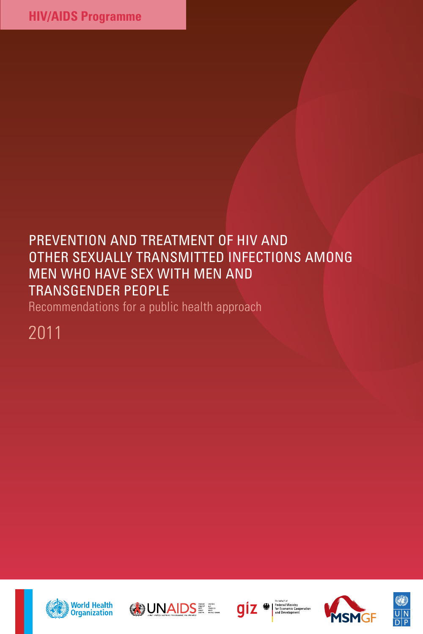# PREVENTION AND TREATMENT OF HIV AND other sexually transmitted infections among men who have sex with men and transgender people

Recommendations for a public health approach

2011









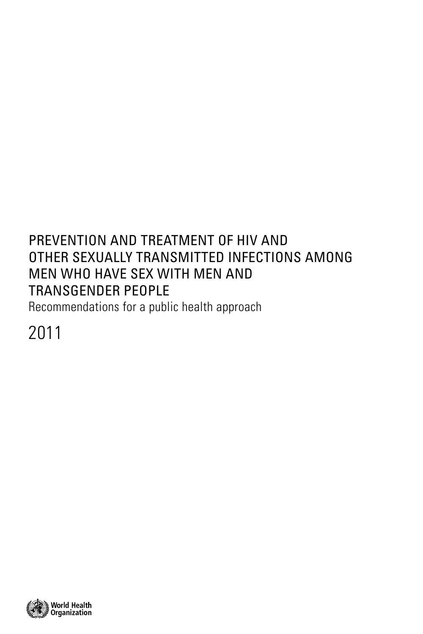# PREVENTION AND TREATMENT OF HIV AND other sexually transmitted infections among men who have sex with men and transgender people

Recommendations for a public health approach

2011

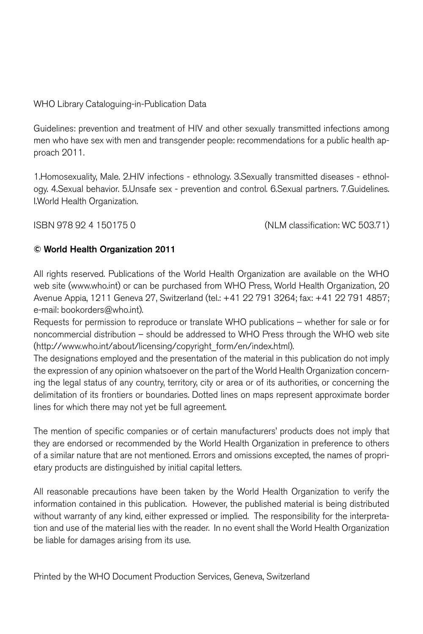## WHO Library Cataloguing-in-Publication Data

Guidelines: prevention and treatment of HIV and other sexually transmitted infections among men who have sex with men and transgender people: recommendations for a public health approach 2011.

1.Homosexuality, Male. 2.HIV infections - ethnology. 3.Sexually transmitted diseases - ethnology. 4.Sexual behavior. 5.Unsafe sex - prevention and control. 6.Sexual partners. 7.Guidelines. I.World Health Organization.

ISBN 978 92 4 150175 0 (NLM classification: WC 503.71)

## © World Health Organization 2011

All rights reserved. Publications of the World Health Organization are available on the WHO web site (www.who.int) or can be purchased from WHO Press, World Health Organization, 20 Avenue Appia, 1211 Geneva 27, Switzerland (tel.: +41 22 791 3264; fax: +41 22 791 4857; e-mail: bookorders@who.int).

Requests for permission to reproduce or translate WHO publications – whether for sale or for noncommercial distribution – should be addressed to WHO Press through the WHO web site (http://www.who.int/about/licensing/copyright\_form/en/index.html).

The designations employed and the presentation of the material in this publication do not imply the expression of any opinion whatsoever on the part of the World Health Organization concerning the legal status of any country, territory, city or area or of its authorities, or concerning the delimitation of its frontiers or boundaries. Dotted lines on maps represent approximate border lines for which there may not yet be full agreement.

The mention of specific companies or of certain manufacturers' products does not imply that they are endorsed or recommended by the World Health Organization in preference to others of a similar nature that are not mentioned. Errors and omissions excepted, the names of proprietary products are distinguished by initial capital letters.

All reasonable precautions have been taken by the World Health Organization to verify the information contained in this publication. However, the published material is being distributed without warranty of any kind, either expressed or implied. The responsibility for the interpretation and use of the material lies with the reader. In no event shall the World Health Organization be liable for damages arising from its use.

Printed by the WHO Document Production Services, Geneva, Switzerland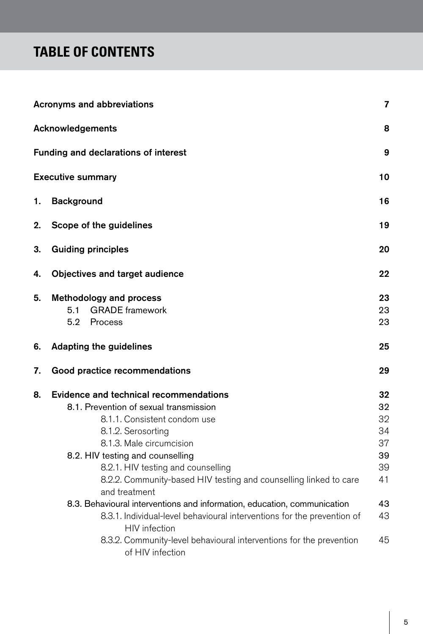# **TABLE OF CONTENTS**

|    | <b>Acronyms and abbreviations</b>                                                                                                                                                                                                                                      | 7                          |
|----|------------------------------------------------------------------------------------------------------------------------------------------------------------------------------------------------------------------------------------------------------------------------|----------------------------|
|    | Acknowledgements                                                                                                                                                                                                                                                       | 8                          |
|    | Funding and declarations of interest                                                                                                                                                                                                                                   | 9                          |
|    | <b>Executive summary</b>                                                                                                                                                                                                                                               | 10                         |
| 1. | <b>Background</b>                                                                                                                                                                                                                                                      | 16                         |
| 2. | Scope of the guidelines                                                                                                                                                                                                                                                | 19                         |
| 3. | <b>Guiding principles</b>                                                                                                                                                                                                                                              | 20                         |
| 4. | Objectives and target audience                                                                                                                                                                                                                                         | 22                         |
| 5. | <b>Methodology and process</b><br>5.1<br><b>GRADE</b> framework<br>5.2<br>Process                                                                                                                                                                                      | 23<br>23<br>23             |
| 6. | <b>Adapting the guidelines</b>                                                                                                                                                                                                                                         | 25                         |
| 7. | Good practice recommendations                                                                                                                                                                                                                                          | 29                         |
| 8. | <b>Evidence and technical recommendations</b><br>8.1. Prevention of sexual transmission<br>8.1.1. Consistent condom use<br>8.1.2. Serosorting<br>8.1.3. Male circumcision                                                                                              | 32<br>32<br>32<br>34<br>37 |
|    | 8.2. HIV testing and counselling<br>8.2.1. HIV testing and counselling<br>8.2.2. Community-based HIV testing and counselling linked to care<br>and treatment                                                                                                           | 39<br>39<br>41             |
|    | 8.3. Behavioural interventions and information, education, communication<br>8.3.1. Individual-level behavioural interventions for the prevention of<br><b>HIV</b> infection<br>8.3.2. Community-level behavioural interventions for the prevention<br>of HIV infection | 43<br>43<br>45             |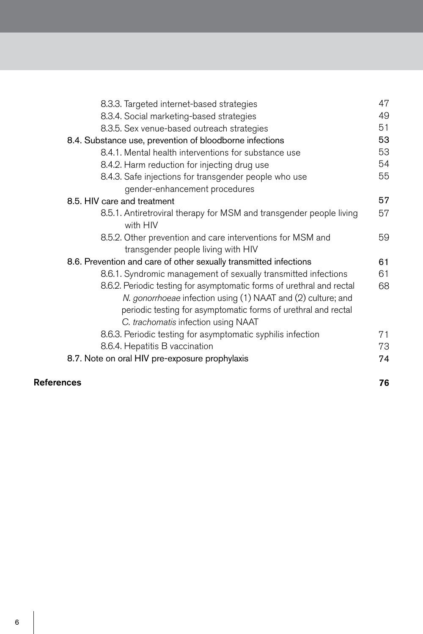| 8.3.3. Targeted internet-based strategies                                                                                                                                                                                                      | 47 |
|------------------------------------------------------------------------------------------------------------------------------------------------------------------------------------------------------------------------------------------------|----|
| 8.3.4. Social marketing-based strategies                                                                                                                                                                                                       | 49 |
| 8.3.5. Sex venue-based outreach strategies                                                                                                                                                                                                     | 51 |
| 8.4. Substance use, prevention of bloodborne infections                                                                                                                                                                                        | 53 |
| 8.4.1. Mental health interventions for substance use                                                                                                                                                                                           | 53 |
| 8.4.2. Harm reduction for injecting drug use                                                                                                                                                                                                   | 54 |
| 8.4.3. Safe injections for transgender people who use                                                                                                                                                                                          | 55 |
| gender-enhancement procedures                                                                                                                                                                                                                  |    |
| 8.5. HIV care and treatment                                                                                                                                                                                                                    | 57 |
| 8.5.1. Antiretroviral therapy for MSM and transgender people living<br>with HIV                                                                                                                                                                | 57 |
| 8.5.2. Other prevention and care interventions for MSM and<br>transgender people living with HIV                                                                                                                                               | 59 |
| 8.6. Prevention and care of other sexually transmitted infections                                                                                                                                                                              | 61 |
| 8.6.1. Syndromic management of sexually transmitted infections                                                                                                                                                                                 | 61 |
| 8.6.2. Periodic testing for asymptomatic forms of urethral and rectal<br>N. gonorrhoeae infection using (1) NAAT and (2) culture; and<br>periodic testing for asymptomatic forms of urethral and rectal<br>C. trachomatis infection using NAAT | 68 |
| 8.6.3. Periodic testing for asymptomatic syphilis infection                                                                                                                                                                                    | 71 |
| 8.6.4. Hepatitis B vaccination                                                                                                                                                                                                                 | 73 |
| 8.7. Note on oral HIV pre-exposure prophylaxis                                                                                                                                                                                                 | 74 |
|                                                                                                                                                                                                                                                |    |

## References

76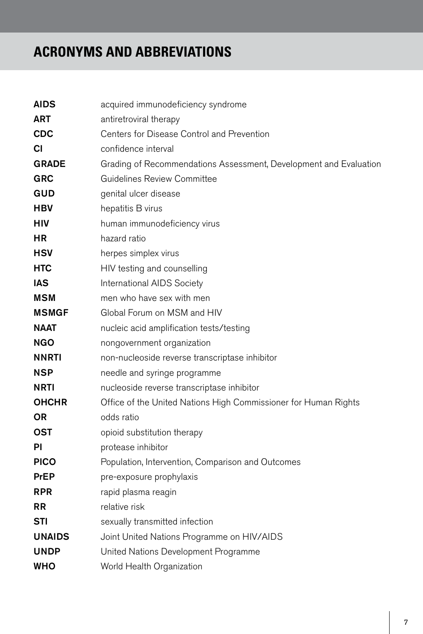# **ACRONYMS AND ABBREVIATIONS**

| <b>AIDS</b>   | acquired immunodeficiency syndrome                                |
|---------------|-------------------------------------------------------------------|
| <b>ART</b>    | antiretroviral therapy                                            |
| <b>CDC</b>    | Centers for Disease Control and Prevention                        |
| СI            | confidence interval                                               |
| <b>GRADE</b>  | Grading of Recommendations Assessment, Development and Evaluation |
| <b>GRC</b>    | <b>Guidelines Review Committee</b>                                |
| GUD           | genital ulcer disease                                             |
| HBV           | hepatitis B virus                                                 |
| HIV           | human immunodeficiency virus                                      |
| <b>HR</b>     | hazard ratio                                                      |
| <b>HSV</b>    | herpes simplex virus                                              |
| <b>HTC</b>    | HIV testing and counselling                                       |
| IAS           | International AIDS Society                                        |
| <b>MSM</b>    | men who have sex with men                                         |
| <b>MSMGF</b>  | Global Forum on MSM and HIV                                       |
| <b>NAAT</b>   | nucleic acid amplification tests/testing                          |
| <b>NGO</b>    | nongovernment organization                                        |
| <b>NNRTI</b>  | non-nucleoside reverse transcriptase inhibitor                    |
| NSP           | needle and syringe programme                                      |
| NRTI          | nucleoside reverse transcriptase inhibitor                        |
| <b>OHCHR</b>  | Office of the United Nations High Commissioner for Human Rights   |
| <b>OR</b>     | odds ratio                                                        |
| OST           | opioid substitution therapy                                       |
| ΡI            | protease inhibitor                                                |
| <b>PICO</b>   | Population, Intervention, Comparison and Outcomes                 |
| <b>PrEP</b>   | pre-exposure prophylaxis                                          |
| <b>RPR</b>    | rapid plasma reagin                                               |
| <b>RR</b>     | relative risk                                                     |
| STI           | sexually transmitted infection                                    |
| <b>UNAIDS</b> | Joint United Nations Programme on HIV/AIDS                        |
| <b>UNDP</b>   | United Nations Development Programme                              |
| WHO           | World Health Organization                                         |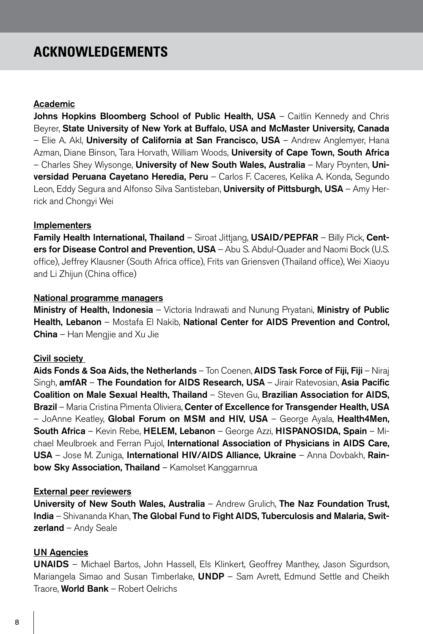# **ACKNOWLEDGEMENTS**

#### Academic

Johns Hopkins Bloomberg School of Public Health, USA – Caitlin Kennedy and Chris Beyrer, State University of New York at Buffalo, USA and McMaster University, Canada – Elie A. Akl, University of California at San Francisco, USA – Andrew Anglemyer, Hana Azman, Diane Binson, Tara Horvath, William Woods, University of Cape Town, South Africa – Charles Shey Wiysonge, University of New South Wales, Australia – Mary Poynten, Universidad Peruana Cayetano Heredia, Peru - Carlos F. Caceres, Kelika A. Konda, Segundo Leon, Eddy Segura and Alfonso Silva Santisteban, University of Pittsburgh, USA – Amy Herrick and Chongyi Wei

#### Implementers

Family Health International, Thailand - Siroat Jittjang, USAID/PEPFAR - Billy Pick, Centers for Disease Control and Prevention, USA - Abu S. Abdul-Quader and Naomi Bock (U.S. office), Jeffrey Klausner (South Africa office), Frits van Griensven (Thailand office), Wei Xiaoyu and Li Zhijun (China office)

#### National programme managers

Ministry of Health, Indonesia – Victoria Indrawati and Nunung Pryatani, Ministry of Public Health, Lebanon – Mostafa El Nakib, National Center for AIDS Prevention and Control, **China** – Han Mengjie and Xu Jie

#### Civil society

Aids Fonds & Soa Aids, the Netherlands – Ton Coenen, AIDS Task Force of Fiji, Fiji – Niraj Singh, **amfAR – The Foundation for AIDS Research, USA –** Jirair Ratevosian, **Asia Pacific** Coalition on Male Sexual Health, Thailand – Steven Gu, Brazilian Association for AIDS, Brazil – Maria Cristina Pimenta Oliviera, Center of Excellence for Transgender Health, USA – JoAnne Keatley, Global Forum on MSM and HIV, USA – George Ayala, Health4Men, South Africa – Kevin Rebe, HELEM, Lebanon – George Azzi, HISPANOSIDA, Spain – Michael Meulbroek and Ferran Pujol, International Association of Physicians in AIDS Care, USA – Jose M. Zuniga, International HIV/AIDS Alliance, Ukraine – Anna Dovbakh, Rainbow Sky Association, Thailand - Kamolset Kanggarnrua

#### External peer reviewers

University of New South Wales, Australia – Andrew Grulich, The Naz Foundation Trust, India – Shivananda Khan, The Global Fund to Fight AIDS, Tuberculosis and Malaria, Swit**zerland** – Andy Seale

#### UN Agencies

UNAIDS – Michael Bartos, John Hassell, Els Klinkert, Geoffrey Manthey, Jason Sigurdson, Mariangela Simao and Susan Timberlake, UNDP - Sam Avrett, Edmund Settle and Cheikh Traore, **World Bank** – Robert Oelrichs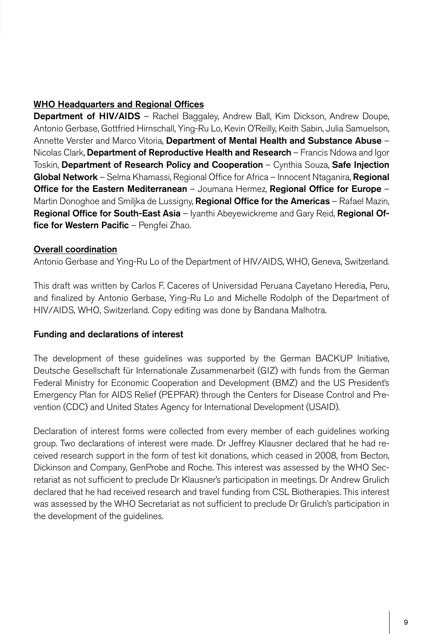## WHO Headquarters and Regional Offices

Department of HIV/AIDS - Rachel Baggaley, Andrew Ball, Kim Dickson, Andrew Doupe, Antonio Gerbase, Gottfried Hirnschall, Ying-Ru Lo, Kevin O'Reilly, Keith Sabin, Julia Samuelson, Annette Verster and Marco Vitoria, Department of Mental Health and Substance Abuse -Nicolas Clark, Department of Reproductive Health and Research – Francis Ndowa and Igor Toskin, Department of Research Policy and Cooperation - Cynthia Souza, Safe Injection Global Network – Selma Khamassi, Regional Office for Africa – Innocent Ntaganira, Regional Office for the Eastern Mediterranean – Joumana Hermez, Regional Office for Europe – Martin Donoghoe and Smiljka de Lussigny, Regional Office for the Americas - Rafael Mazin, **Regional Office for South-East Asia** – Iyanthi Abeyewickreme and Gary Reid, **Regional Of**fice for Western Pacific - Pengfei Zhao.

### Overall coordination

Antonio Gerbase and Ying-Ru Lo of the Department of HIV/AIDS, WHO, Geneva, Switzerland.

This draft was written by Carlos F. Caceres of Universidad Peruana Cayetano Heredia, Peru, and finalized by Antonio Gerbase, Ying-Ru Lo and Michelle Rodolph of the Department of HIV/AIDS, WHO, Switzerland. Copy editing was done by Bandana Malhotra.

### Funding and declarations of interest

The development of these guidelines was supported by the German BACKUP Initiative, Deutsche Gesellschaft für Internationale Zusammenarbeit (GIZ) with funds from the German Federal Ministry for Economic Cooperation and Development (BMZ) and the US President's Emergency Plan for AIDS Relief (PEPFAR) through the Centers for Disease Control and Prevention (CDC) and United States Agency for International Development (USAID).

Declaration of interest forms were collected from every member of each guidelines working group. Two declarations of interest were made. Dr Jeffrey Klausner declared that he had received research support in the form of test kit donations, which ceased in 2008, from Becton, Dickinson and Company, GenProbe and Roche. This interest was assessed by the WHO Secretariat as not sufficient to preclude Dr Klausner's participation in meetings. Dr Andrew Grulich declared that he had received research and travel funding from CSL Biotherapies. This interest was assessed by the WHO Secretariat as not sufficient to preclude Dr Grulich's participation in the development of the guidelines.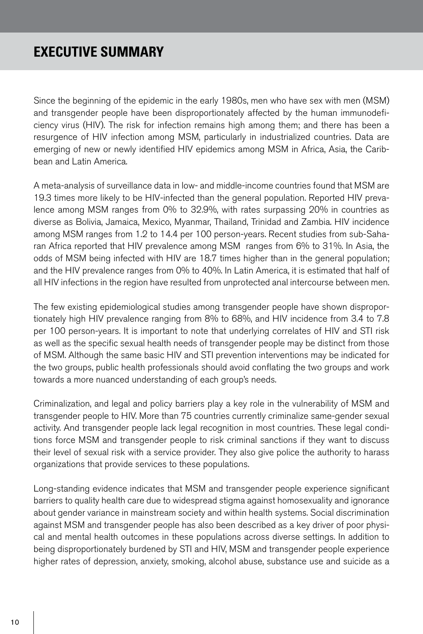# **EXECUTIVE SUMMARY**

Since the beginning of the epidemic in the early 1980s, men who have sex with men (MSM) and transgender people have been disproportionately affected by the human immunodeficiency virus (HIV). The risk for infection remains high among them; and there has been a resurgence of HIV infection among MSM, particularly in industrialized countries. Data are emerging of new or newly identified HIV epidemics among MSM in Africa, Asia, the Caribbean and Latin America.

A meta-analysis of surveillance data in low- and middle-income countries found that MSM are 19.3 times more likely to be HIV-infected than the general population. Reported HIV prevalence among MSM ranges from 0% to 32.9%, with rates surpassing 20% in countries as diverse as Bolivia, Jamaica, Mexico, Myanmar, Thailand, Trinidad and Zambia. HIV incidence among MSM ranges from 1.2 to 14.4 per 100 person-years. Recent studies from sub-Saharan Africa reported that HIV prevalence among MSM ranges from 6% to 31%. In Asia, the odds of MSM being infected with HIV are 18.7 times higher than in the general population; and the HIV prevalence ranges from 0% to 40%. In Latin America, it is estimated that half of all HIV infections in the region have resulted from unprotected anal intercourse between men.

The few existing epidemiological studies among transgender people have shown disproportionately high HIV prevalence ranging from 8% to 68%, and HIV incidence from 3.4 to 7.8 per 100 person-years. It is important to note that underlying correlates of HIV and STI risk as well as the specific sexual health needs of transgender people may be distinct from those of MSM. Although the same basic HIV and STI prevention interventions may be indicated for the two groups, public health professionals should avoid conflating the two groups and work towards a more nuanced understanding of each group's needs.

Criminalization, and legal and policy barriers play a key role in the vulnerability of MSM and transgender people to HIV. More than 75 countries currently criminalize same-gender sexual activity. And transgender people lack legal recognition in most countries. These legal conditions force MSM and transgender people to risk criminal sanctions if they want to discuss their level of sexual risk with a service provider. They also give police the authority to harass organizations that provide services to these populations.

Long-standing evidence indicates that MSM and transgender people experience significant barriers to quality health care due to widespread stigma against homosexuality and ignorance about gender variance in mainstream society and within health systems. Social discrimination against MSM and transgender people has also been described as a key driver of poor physical and mental health outcomes in these populations across diverse settings. In addition to being disproportionately burdened by STI and HIV, MSM and transgender people experience higher rates of depression, anxiety, smoking, alcohol abuse, substance use and suicide as a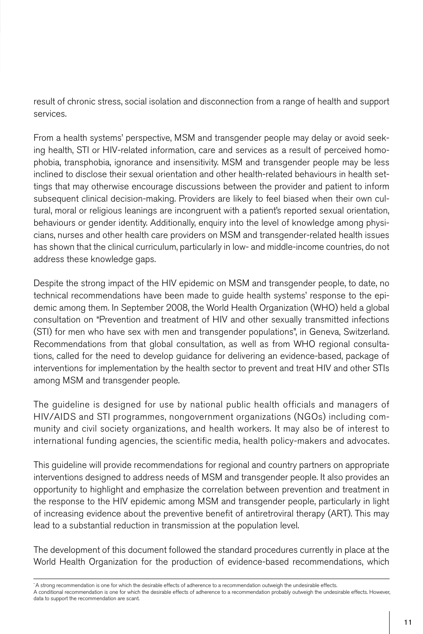result of chronic stress, social isolation and disconnection from a range of health and support services.

From a health systems' perspective, MSM and transgender people may delay or avoid seeking health, STI or HIV-related information, care and services as a result of perceived homophobia, transphobia, ignorance and insensitivity. MSM and transgender people may be less inclined to disclose their sexual orientation and other health-related behaviours in health settings that may otherwise encourage discussions between the provider and patient to inform subsequent clinical decision-making. Providers are likely to feel biased when their own cultural, moral or religious leanings are incongruent with a patient's reported sexual orientation, behaviours or gender identity. Additionally, enquiry into the level of knowledge among physicians, nurses and other health care providers on MSM and transgender-related health issues has shown that the clinical curriculum, particularly in low- and middle-income countries, do not address these knowledge gaps.

Despite the strong impact of the HIV epidemic on MSM and transgender people, to date, no technical recommendations have been made to guide health systems' response to the epidemic among them. In September 2008, the World Health Organization (WHO) held a global consultation on "Prevention and treatment of HIV and other sexually transmitted infections (STI) for men who have sex with men and transgender populations", in Geneva, Switzerland. Recommendations from that global consultation, as well as from WHO regional consultations, called for the need to develop guidance for delivering an evidence-based, package of interventions for implementation by the health sector to prevent and treat HIV and other STIs among MSM and transgender people.

The guideline is designed for use by national public health officials and managers of HIV/AIDS and STI programmes, nongovernment organizations (NGOs) including community and civil society organizations, and health workers. It may also be of interest to international funding agencies, the scientific media, health policy-makers and advocates.

This guideline will provide recommendations for regional and country partners on appropriate interventions designed to address needs of MSM and transgender people. It also provides an opportunity to highlight and emphasize the correlation between prevention and treatment in the response to the HIV epidemic among MSM and transgender people, particularly in light of increasing evidence about the preventive benefit of antiretroviral therapy (ART). This may lead to a substantial reduction in transmission at the population level.

The development of this document followed the standard procedures currently in place at the World Health Organization for the production of evidence-based recommendations, which

<sup>\*</sup> A strong recommendation is one for which the desirable effects of adherence to a recommendation outweigh the undesirable effects.

A conditional recommendation is one for which the desirable effects of adherence to a recommendation probably outweigh the undesirable effects. However, data to support the recommendation are scant.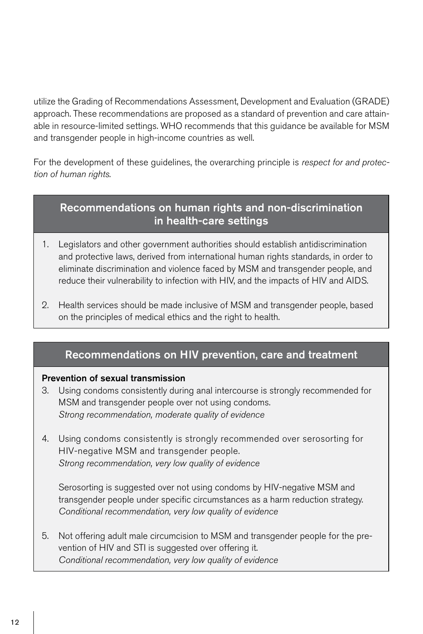utilize the Grading of Recommendations Assessment, Development and Evaluation (GRADE) approach. These recommendations are proposed as a standard of prevention and care attainable in resource-limited settings. WHO recommends that this guidance be available for MSM and transgender people in high-income countries as well.

For the development of these guidelines, the overarching principle is *respect for and protection of human rights.* 

# Recommendations on human rights and non-discrimination in health-care settings

- 1. Legislators and other government authorities should establish antidiscrimination and protective laws, derived from international human rights standards, in order to eliminate discrimination and violence faced by MSM and transgender people, and reduce their vulnerability to infection with HIV, and the impacts of HIV and AIDS.
- 2. Health services should be made inclusive of MSM and transgender people, based on the principles of medical ethics and the right to health.

# Recommendations on HIV prevention, care and treatment

### Prevention of sexual transmission

- 3. Using condoms consistently during anal intercourse is strongly recommended for MSM and transgender people over not using condoms. *Strong recommendation, moderate quality of evidence*
- 4. Using condoms consistently is strongly recommended over serosorting for HIV-negative MSM and transgender people. *Strong recommendation, very low quality of evidence*

 Serosorting is suggested over not using condoms by HIV-negative MSM and transgender people under specific circumstances as a harm reduction strategy. *Conditional recommendation, very low quality of evidence* 

5. Not offering adult male circumcision to MSM and transgender people for the prevention of HIV and STI is suggested over offering it. *Conditional recommendation, very low quality of evidence*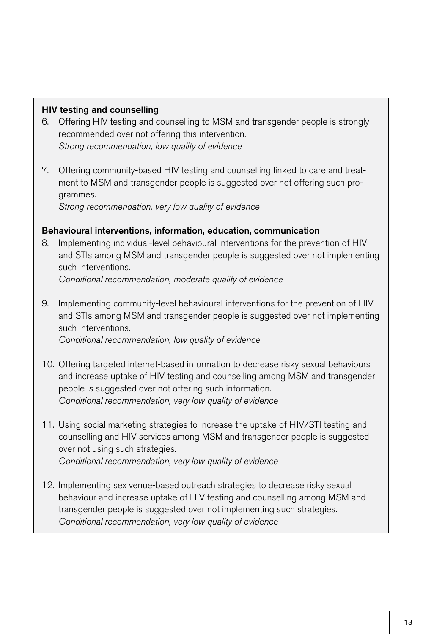### HIV testing and counselling

- 6. Offering HIV testing and counselling to MSM and transgender people is strongly recommended over not offering this intervention. *Strong recommendation, low quality of evidence*
- 7. Offering community-based HIV testing and counselling linked to care and treatment to MSM and transgender people is suggested over not offering such programmes.

*Strong recommendation, very low quality of evidence* 

## Behavioural interventions, information, education, communication

8. Implementing individual-level behavioural interventions for the prevention of HIV and STIs among MSM and transgender people is suggested over not implementing such interventions.

*Conditional recommendation, moderate quality of evidence*

- 9. Implementing community-level behavioural interventions for the prevention of HIV and STIs among MSM and transgender people is suggested over not implementing such interventions.  *Conditional recommendation, low quality of evidence*
- 10. Offering targeted internet-based information to decrease risky sexual behaviours and increase uptake of HIV testing and counselling among MSM and transgender people is suggested over not offering such information.  *Conditional recommendation, very low quality of evidence*
- 11. Using social marketing strategies to increase the uptake of HIV/STI testing and counselling and HIV services among MSM and transgender people is suggested over not using such strategies.

*Conditional recommendation, very low quality of evidence*

12. Implementing sex venue-based outreach strategies to decrease risky sexual behaviour and increase uptake of HIV testing and counselling among MSM and transgender people is suggested over not implementing such strategies. *Conditional recommendation, very low quality of evidence*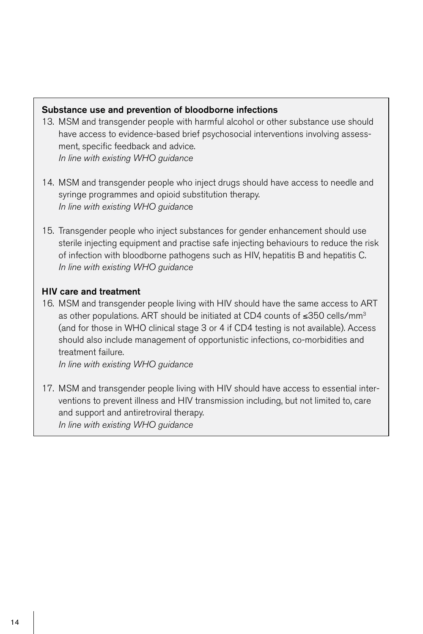#### Substance use and prevention of bloodborne infections

- 13. MSM and transgender people with harmful alcohol or other substance use should have access to evidence-based brief psychosocial interventions involving assessment, specific feedback and advice.  *In line with existing WHO guidance*
- 14. MSM and transgender people who inject drugs should have access to needle and syringe programmes and opioid substitution therapy. *In line with existing WHO guidanc*e
- 15. Transgender people who inject substances for gender enhancement should use sterile injecting equipment and practise safe injecting behaviours to reduce the risk of infection with bloodborne pathogens such as HIV, hepatitis B and hepatitis C.  *In line with existing WHO guidance*

### HIV care and treatment

16. MSM and transgender people living with HIV should have the same access to ART as other populations. ART should be initiated at CD4 counts of ≤350 cells/mm3 (and for those in WHO clinical stage 3 or 4 if CD4 testing is not available). Access should also include management of opportunistic infections, co-morbidities and treatment failure.

 *In line with existing WHO guidance*

17. MSM and transgender people living with HIV should have access to essential interventions to prevent illness and HIV transmission including, but not limited to, care and support and antiretroviral therapy. *In line with existing WHO guidance*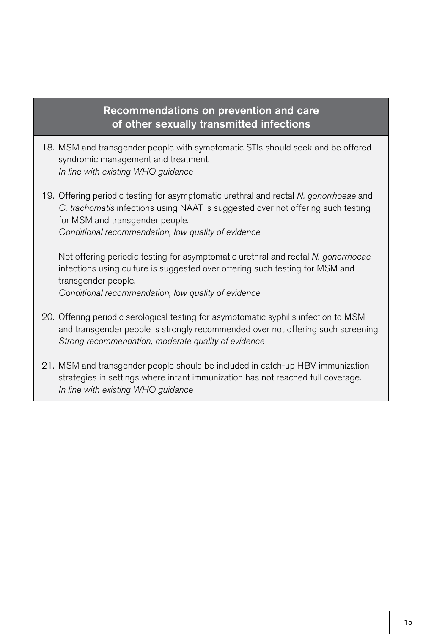## Recommendations on prevention and care of other sexually transmitted infections

- 18. MSM and transgender people with symptomatic STIs should seek and be offered syndromic management and treatment.  *In line with existing WHO guidance*
- 19. Offering periodic testing for asymptomatic urethral and rectal *N. gonorrhoeae* and *C. trachomatis* infections using NAAT is suggested over not offering such testing for MSM and transgender people.  *Conditional recommendation, low quality of evidence*

 Not offering periodic testing for asymptomatic urethral and rectal *N. gonorrhoeae* infections using culture is suggested over offering such testing for MSM and transgender people.

 *Conditional recommendation, low quality of evidence*

- 20. Offering periodic serological testing for asymptomatic syphilis infection to MSM and transgender people is strongly recommended over not offering such screening.  *Strong recommendation, moderate quality of evidence*
- 21. MSM and transgender people should be included in catch-up HBV immunization strategies in settings where infant immunization has not reached full coverage. *In line with existing WHO guidance*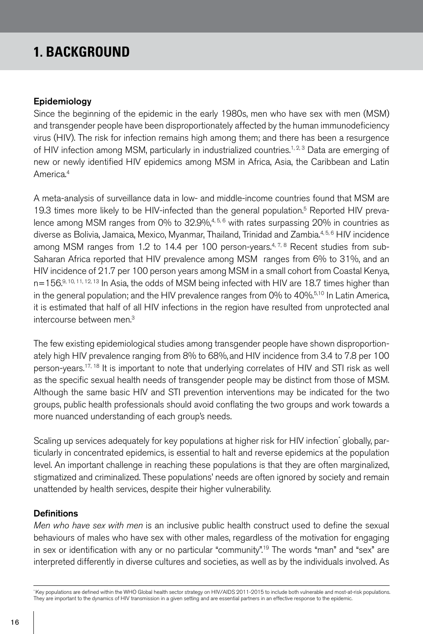# **1. BACKGROUND**

#### Epidemiology

Since the beginning of the epidemic in the early 1980s, men who have sex with men (MSM) and transgender people have been disproportionately affected by the human immunodeficiency virus (HIV). The risk for infection remains high among them; and there has been a resurgence of HIV infection among MSM, particularly in industrialized countries.<sup>1, 2, 3</sup> Data are emerging of new or newly identified HIV epidemics among MSM in Africa, Asia, the Caribbean and Latin America.4

A meta-analysis of surveillance data in low- and middle-income countries found that MSM are 19.3 times more likely to be HIV-infected than the general population.<sup>5</sup> Reported HIV prevalence among MSM ranges from 0% to  $32.9\%$ ,<sup>4,5,6</sup> with rates surpassing 20% in countries as diverse as Bolivia, Jamaica, Mexico, Myanmar, Thailand, Trinidad and Zambia.<sup>4, 5, 6</sup> HIV incidence among MSM ranges from 1.2 to 14.4 per 100 person-years. $4.78$  Recent studies from sub-Saharan Africa reported that HIV prevalence among MSM ranges from 6% to 31%, and an HIV incidence of 21.7 per 100 person years among MSM in a small cohort from Coastal Kenya, n=156.9, 10, 11, 12, 13 In Asia, the odds of MSM being infected with HIV are 18.7 times higher than in the general population; and the HIV prevalence ranges from 0% to  $40\%$ <sup>5,10</sup> In Latin America, it is estimated that half of all HIV infections in the region have resulted from unprotected anal intercourse between men.3

The few existing epidemiological studies among transgender people have shown disproportionately high HIV prevalence ranging from 8% to 68%, and HIV incidence from 3.4 to 7.8 per 100 person-years.17, 18 It is important to note that underlying correlates of HIV and STI risk as well as the specific sexual health needs of transgender people may be distinct from those of MSM. Although the same basic HIV and STI prevention interventions may be indicated for the two groups, public health professionals should avoid conflating the two groups and work towards a more nuanced understanding of each group's needs.

Scaling up services adequately for key populations at higher risk for HIV infection' globally, particularly in concentrated epidemics, is essential to halt and reverse epidemics at the population level. An important challenge in reaching these populations is that they are often marginalized, stigmatized and criminalized. These populations' needs are often ignored by society and remain unattended by health services, despite their higher vulnerability.

### **Definitions**

*Men who have sex with men* is an inclusive public health construct used to define the sexual behaviours of males who have sex with other males, regardless of the motivation for engaging in sex or identification with any or no particular "community".<sup>19</sup> The words "man" and "sex" are interpreted differently in diverse cultures and societies, as well as by the individuals involved. As

\* Key populations are defined within the WHO Global health sector strategy on HIV/AIDS 2011-2015 to include both vulnerable and most-at-risk populations. They are important to the dynamics of HIV transmission in a given setting and are essential partners in an effective response to the epidemic.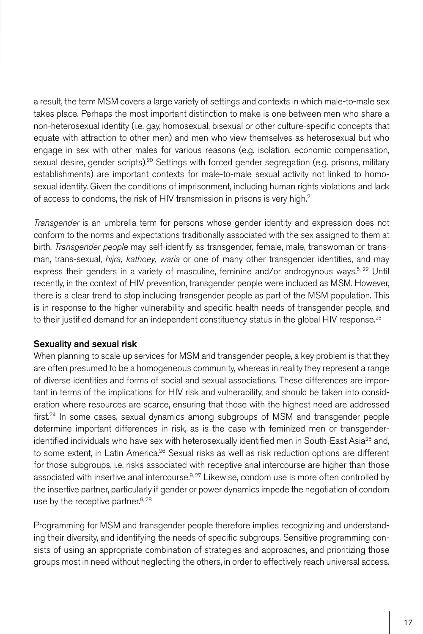a result, the term MSM covers a large variety of settings and contexts in which male-to-male sex takes place. Perhaps the most important distinction to make is one between men who share a non-heterosexual identity (i.e. gay, homosexual, bisexual or other culture-specific concepts that equate with attraction to other men) and men who view themselves as heterosexual but who engage in sex with other males for various reasons (e.g. isolation, economic compensation, sexual desire, gender scripts).<sup>20</sup> Settings with forced gender segregation (e.g. prisons, military establishments) are important contexts for male-to-male sexual activity not linked to homosexual identity. Given the conditions of imprisonment, including human rights violations and lack of access to condoms, the risk of HIV transmission in prisons is very high.<sup>21</sup>

*Transgender* is an umbrella term for persons whose gender identity and expression does not conform to the norms and expectations traditionally associated with the sex assigned to them at birth. *Transgender people* may self-identify as transgender, female, male, transwoman or transman, trans-sexual, *hijra, kathoey, waria* or one of many other transgender identities, and may express their genders in a variety of masculine, feminine and/or androgynous ways.<sup>5, 22</sup> Until recently, in the context of HIV prevention, transgender people were included as MSM. However, there is a clear trend to stop including transgender people as part of the MSM population. This is in response to the higher vulnerability and specific health needs of transgender people, and to their justified demand for an independent constituency status in the global HIV response.<sup>23</sup>

### Sexuality and sexual risk

When planning to scale up services for MSM and transgender people, a key problem is that they are often presumed to be a homogeneous community, whereas in reality they represent a range of diverse identities and forms of social and sexual associations. These differences are important in terms of the implications for HIV risk and vulnerability, and should be taken into consideration where resources are scarce, ensuring that those with the highest need are addressed  $first^{24}$  In some cases, sexual dynamics among subgroups of MSM and transgender people determine important differences in risk, as is the case with feminized men or transgenderidentified individuals who have sex with heterosexually identified men in South-East Asia<sup>25</sup> and, to some extent, in Latin America.<sup>26</sup> Sexual risks as well as risk reduction options are different for those subgroups, i.e. risks associated with receptive anal intercourse are higher than those associated with insertive anal intercourse.<sup>9, 27</sup> Likewise, condom use is more often controlled by the insertive partner, particularly if gender or power dynamics impede the negotiation of condom use by the receptive partner.<sup>9, 28</sup>

Programming for MSM and transgender people therefore implies recognizing and understanding their diversity, and identifying the needs of specific subgroups. Sensitive programming consists of using an appropriate combination of strategies and approaches, and prioritizing those groups most in need without neglecting the others, in order to effectively reach universal access.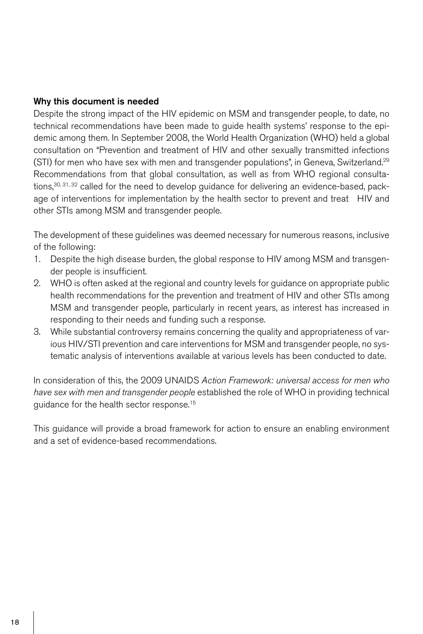### Why this document is needed

Despite the strong impact of the HIV epidemic on MSM and transgender people, to date, no technical recommendations have been made to guide health systems' response to the epidemic among them. In September 2008, the World Health Organization (WHO) held a global consultation on "Prevention and treatment of HIV and other sexually transmitted infections (STI) for men who have sex with men and transgender populations", in Geneva, Switzerland.<sup>29</sup> Recommendations from that global consultation, as well as from WHO regional consultations,<sup>30, 31, 32</sup> called for the need to develop quidance for delivering an evidence-based, package of interventions for implementation by the health sector to prevent and treat HIV and other STIs among MSM and transgender people.

The development of these guidelines was deemed necessary for numerous reasons, inclusive of the following:

- 1. Despite the high disease burden, the global response to HIV among MSM and transgender people is insufficient.
- 2. WHO is often asked at the regional and country levels for guidance on appropriate public health recommendations for the prevention and treatment of HIV and other STIs among MSM and transgender people, particularly in recent years, as interest has increased in responding to their needs and funding such a response.
- 3. While substantial controversy remains concerning the quality and appropriateness of various HIV/STI prevention and care interventions for MSM and transgender people, no systematic analysis of interventions available at various levels has been conducted to date.

In consideration of this, the 2009 UNAIDS *Action Framework: universal access for men who have sex with men and transgender people* established the role of WHO in providing technical guidance for the health sector response.<sup>15</sup>

This guidance will provide a broad framework for action to ensure an enabling environment and a set of evidence-based recommendations.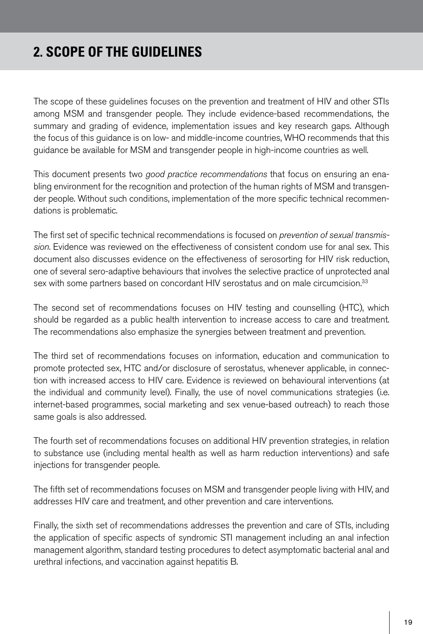# **2. SCOPE OF THE GUIDELINES**

The scope of these guidelines focuses on the prevention and treatment of HIV and other STIs among MSM and transgender people. They include evidence-based recommendations, the summary and grading of evidence, implementation issues and key research gaps. Although the focus of this guidance is on low- and middle-income countries, WHO recommends that this guidance be available for MSM and transgender people in high-income countries as well.

This document presents two *good practice recommendations* that focus on ensuring an enabling environment for the recognition and protection of the human rights of MSM and transgender people. Without such conditions, implementation of the more specific technical recommendations is problematic.

The first set of specific technical recommendations is focused on *prevention of sexual transmission*. Evidence was reviewed on the effectiveness of consistent condom use for anal sex. This document also discusses evidence on the effectiveness of serosorting for HIV risk reduction, one of several sero-adaptive behaviours that involves the selective practice of unprotected anal sex with some partners based on concordant HIV serostatus and on male circumcision.<sup>33</sup>

The second set of recommendations focuses on HIV testing and counselling (HTC), which should be regarded as a public health intervention to increase access to care and treatment. The recommendations also emphasize the synergies between treatment and prevention.

The third set of recommendations focuses on information, education and communication to promote protected sex, HTC and/or disclosure of serostatus, whenever applicable, in connection with increased access to HIV care. Evidence is reviewed on behavioural interventions (at the individual and community level). Finally, the use of novel communications strategies (i.e. internet-based programmes, social marketing and sex venue-based outreach) to reach those same goals is also addressed.

The fourth set of recommendations focuses on additional HIV prevention strategies, in relation to substance use (including mental health as well as harm reduction interventions) and safe injections for transgender people.

The fifth set of recommendations focuses on MSM and transgender people living with HIV, and addresses HIV care and treatment, and other prevention and care interventions.

Finally, the sixth set of recommendations addresses the prevention and care of STIs, including the application of specific aspects of syndromic STI management including an anal infection management algorithm, standard testing procedures to detect asymptomatic bacterial anal and urethral infections, and vaccination against hepatitis B.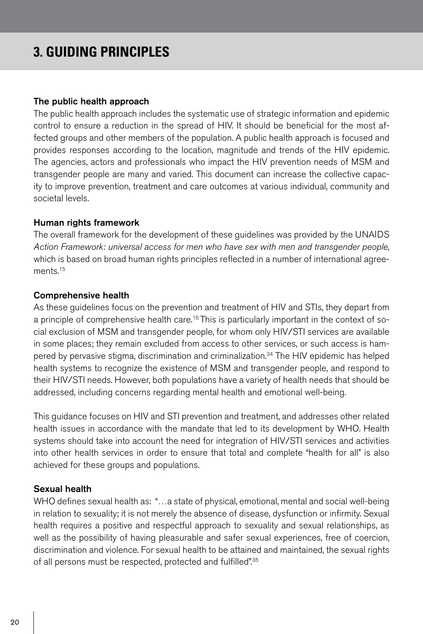# **3. GUIDING PRINCIPLES**

#### The public health approach

The public health approach includes the systematic use of strategic information and epidemic control to ensure a reduction in the spread of HIV. It should be beneficial for the most affected groups and other members of the population. A public health approach is focused and provides responses according to the location, magnitude and trends of the HIV epidemic. The agencies, actors and professionals who impact the HIV prevention needs of MSM and transgender people are many and varied. This document can increase the collective capacity to improve prevention, treatment and care outcomes at various individual, community and societal levels.

#### Human rights framework

The overall framework for the development of these guidelines was provided by the UNAIDS *Action Framework: universal access for men who have sex with men and transgender people*, which is based on broad human rights principles reflected in a number of international agreements.<sup>15</sup>

#### Comprehensive health

As these guidelines focus on the prevention and treatment of HIV and STIs, they depart from a principle of comprehensive health care.<sup>16</sup> This is particularly important in the context of social exclusion of MSM and transgender people, for whom only HIV/STI services are available in some places; they remain excluded from access to other services, or such access is hampered by pervasive stigma, discrimination and criminalization.34 The HIV epidemic has helped health systems to recognize the existence of MSM and transgender people, and respond to their HIV/STI needs. However, both populations have a variety of health needs that should be addressed, including concerns regarding mental health and emotional well-being.

This guidance focuses on HIV and STI prevention and treatment, and addresses other related health issues in accordance with the mandate that led to its development by WHO. Health systems should take into account the need for integration of HIV/STI services and activities into other health services in order to ensure that total and complete "health for all" is also achieved for these groups and populations.

### Sexual health

WHO defines sexual health as: "…a state of physical, emotional, mental and social well-being in relation to sexuality; it is not merely the absence of disease, dysfunction or infirmity. Sexual health requires a positive and respectful approach to sexuality and sexual relationships, as well as the possibility of having pleasurable and safer sexual experiences, free of coercion, discrimination and violence. For sexual health to be attained and maintained, the sexual rights of all persons must be respected, protected and fulfilled".35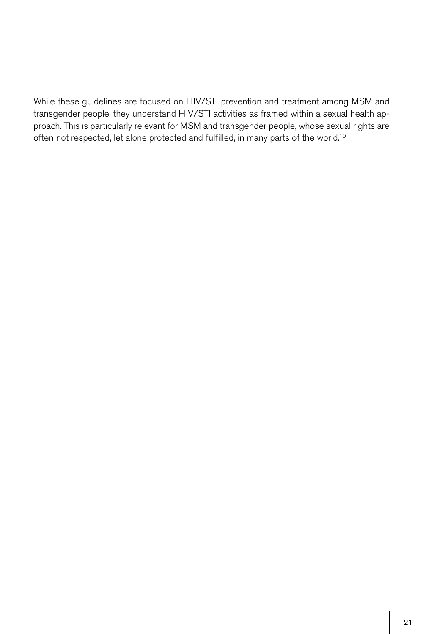While these guidelines are focused on HIV/STI prevention and treatment among MSM and transgender people, they understand HIV/STI activities as framed within a sexual health approach. This is particularly relevant for MSM and transgender people, whose sexual rights are often not respected, let alone protected and fulfilled, in many parts of the world.10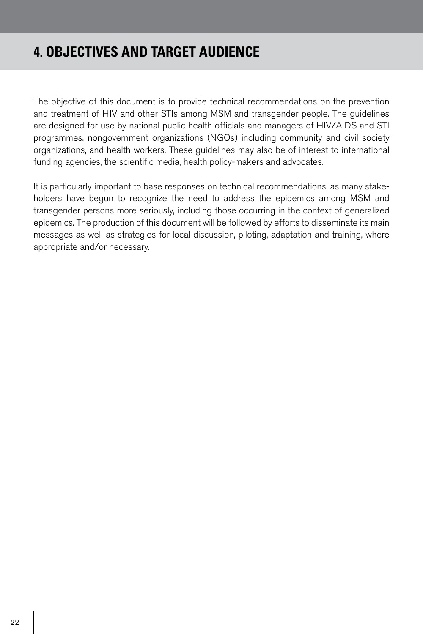# **4. OBJECTIVES AND TARGET AUDIENCE**

The objective of this document is to provide technical recommendations on the prevention and treatment of HIV and other STIs among MSM and transgender people. The guidelines are designed for use by national public health officials and managers of HIV/AIDS and STI programmes, nongovernment organizations (NGOs) including community and civil society organizations, and health workers. These guidelines may also be of interest to international funding agencies, the scientific media, health policy-makers and advocates.

It is particularly important to base responses on technical recommendations, as many stakeholders have begun to recognize the need to address the epidemics among MSM and transgender persons more seriously, including those occurring in the context of generalized epidemics. The production of this document will be followed by efforts to disseminate its main messages as well as strategies for local discussion, piloting, adaptation and training, where appropriate and/or necessary.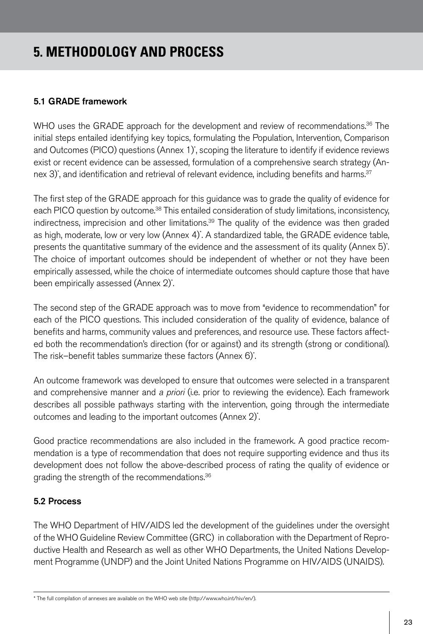# **5. METHODOLOGY AND PROCESS**

## 5.1 GRADE framework

WHO uses the GRADE approach for the development and review of recommendations.<sup>36</sup> The initial steps entailed identifying key topics, formulating the Population, Intervention, Comparison and Outcomes (PICO) questions (Annex 1)<sup>\*</sup>, scoping the literature to identify if evidence reviews exist or recent evidence can be assessed, formulation of a comprehensive search strategy (Annex 3)", and identification and retrieval of relevant evidence, including benefits and harms.<sup>37</sup>

The first step of the GRADE approach for this guidance was to grade the quality of evidence for each PICO question by outcome.<sup>38</sup> This entailed consideration of study limitations, inconsistency, indirectness, imprecision and other limitations. $39$  The quality of the evidence was then graded as high, moderate, low or very low (Annex 4)\* . A standardized table, the GRADE evidence table, presents the quantitative summary of the evidence and the assessment of its quality (Annex 5)\* . The choice of important outcomes should be independent of whether or not they have been empirically assessed, while the choice of intermediate outcomes should capture those that have been empirically assessed (Annex 2)\* .

The second step of the GRADE approach was to move from "evidence to recommendation" for each of the PICO questions. This included consideration of the quality of evidence, balance of benefits and harms, community values and preferences, and resource use. These factors affected both the recommendation's direction (for or against) and its strength (strong or conditional). The risk–benefit tables summarize these factors (Annex 6)\* .

An outcome framework was developed to ensure that outcomes were selected in a transparent and comprehensive manner and *a priori* (i.e. prior to reviewing the evidence). Each framework describes all possible pathways starting with the intervention, going through the intermediate outcomes and leading to the important outcomes (Annex 2)<sup>\*</sup>. .

Good practice recommendations are also included in the framework. A good practice recommendation is a type of recommendation that does not require supporting evidence and thus its development does not follow the above-described process of rating the quality of evidence or grading the strength of the recommendations.<sup>36</sup>

### 5.2 Process

The WHO Department of HIV/AIDS led the development of the guidelines under the oversight of the WHO Guideline Review Committee (GRC) in collaboration with the Department of Reproductive Health and Research as well as other WHO Departments, the United Nations Development Programme (UNDP) and the Joint United Nations Programme on HIV/AIDS (UNAIDS).

<sup>\*</sup> The full compilation of annexes are available on the WHO web site (http://www.who.int/hiv/en/).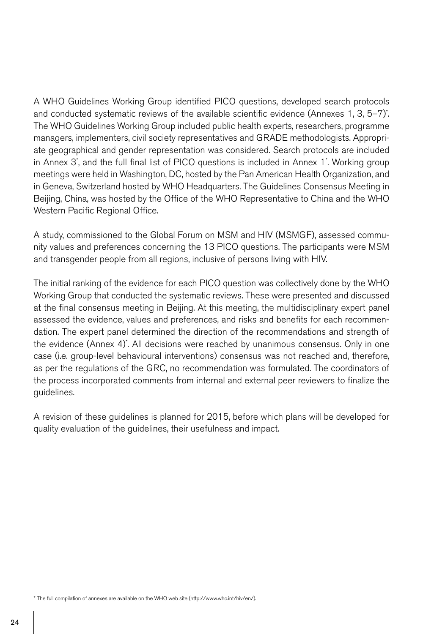A WHO Guidelines Working Group identified PICO questions, developed search protocols and conducted systematic reviews of the available scientific evidence (Annexes 1, 3, 5–7)\* . The WHO Guidelines Working Group included public health experts, researchers, programme managers, implementers, civil society representatives and GRADE methodologists. Appropriate geographical and gender representation was considered. Search protocols are included in Annex 3°, and the full final list of PICO questions is included in Annex 1°. Working group meetings were held in Washington, DC, hosted by the Pan American Health Organization, and in Geneva, Switzerland hosted by WHO Headquarters. The Guidelines Consensus Meeting in Beijing, China, was hosted by the Office of the WHO Representative to China and the WHO Western Pacific Regional Office.

A study, commissioned to the Global Forum on MSM and HIV (MSMGF), assessed community values and preferences concerning the 13 PICO questions. The participants were MSM and transgender people from all regions, inclusive of persons living with HIV.

The initial ranking of the evidence for each PICO question was collectively done by the WHO Working Group that conducted the systematic reviews. These were presented and discussed at the final consensus meeting in Beijing. At this meeting, the multidisciplinary expert panel assessed the evidence, values and preferences, and risks and benefits for each recommendation. The expert panel determined the direction of the recommendations and strength of the evidence (Annex 4)\* . All decisions were reached by unanimous consensus. Only in one case (i.e. group-level behavioural interventions) consensus was not reached and, therefore, as per the regulations of the GRC, no recommendation was formulated. The coordinators of the process incorporated comments from internal and external peer reviewers to finalize the guidelines.

A revision of these guidelines is planned for 2015, before which plans will be developed for quality evaluation of the guidelines, their usefulness and impact.

\* The full compilation of annexes are available on the WHO web site (http://www.who.int/hiv/en/).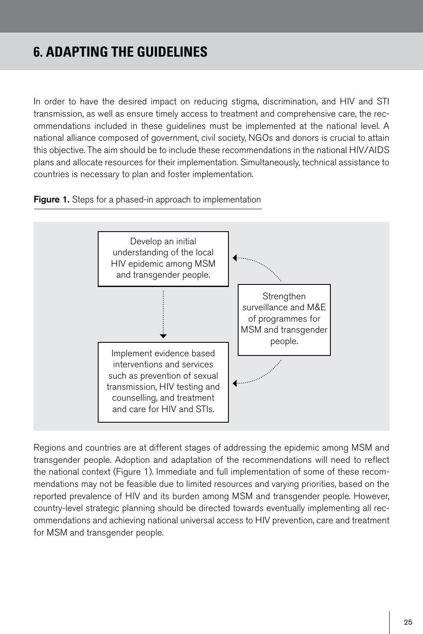# **6. ADAPTING THE GUIDELINES**

In order to have the desired impact on reducing stigma, discrimination, and HIV and STI transmission, as well as ensure timely access to treatment and comprehensive care, the recommendations included in these guidelines must be implemented at the national level. A national alliance composed of government, civil society, NGOs and donors is crucial to attain this objective. The aim should be to include these recommendations in the national HIV/AIDS plans and allocate resources for their implementation. Simultaneously, technical assistance to countries is necessary to plan and foster implementation.

Figure 1. Steps for a phased-in approach to implementation



Regions and countries are at different stages of addressing the epidemic among MSM and transgender people. Adoption and adaptation of the recommendations will need to reflect the national context (Figure 1). Immediate and full implementation of some of these recommendations may not be feasible due to limited resources and varying priorities, based on the reported prevalence of HIV and its burden among MSM and transgender people. However, country-level strategic planning should be directed towards eventually implementing all recommendations and achieving national universal access to HIV prevention, care and treatment for MSM and transgender people.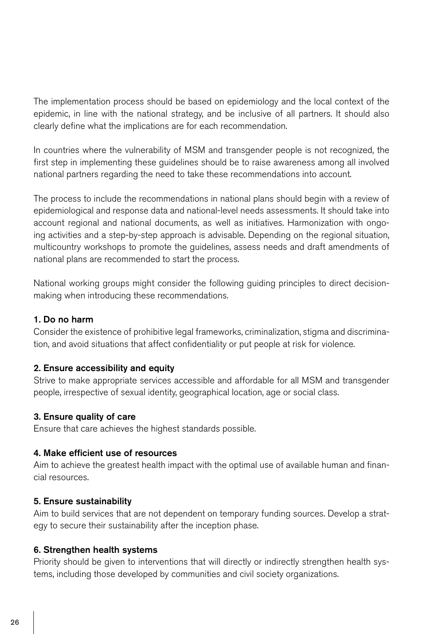The implementation process should be based on epidemiology and the local context of the epidemic, in line with the national strategy, and be inclusive of all partners. It should also clearly define what the implications are for each recommendation.

In countries where the vulnerability of MSM and transgender people is not recognized, the first step in implementing these guidelines should be to raise awareness among all involved national partners regarding the need to take these recommendations into account.

The process to include the recommendations in national plans should begin with a review of epidemiological and response data and national-level needs assessments. It should take into account regional and national documents, as well as initiatives. Harmonization with ongoing activities and a step-by-step approach is advisable. Depending on the regional situation, multicountry workshops to promote the guidelines, assess needs and draft amendments of national plans are recommended to start the process.

National working groups might consider the following guiding principles to direct decisionmaking when introducing these recommendations.

### 1. Do no harm

Consider the existence of prohibitive legal frameworks, criminalization, stigma and discrimination, and avoid situations that affect confidentiality or put people at risk for violence.

### 2. Ensure accessibility and equity

Strive to make appropriate services accessible and affordable for all MSM and transgender people, irrespective of sexual identity, geographical location, age or social class.

#### 3. Ensure quality of care

Ensure that care achieves the highest standards possible.

### 4. Make efficient use of resources

Aim to achieve the greatest health impact with the optimal use of available human and financial resources.

#### 5. Ensure sustainability

Aim to build services that are not dependent on temporary funding sources. Develop a strategy to secure their sustainability after the inception phase.

### 6. Strengthen health systems

Priority should be given to interventions that will directly or indirectly strengthen health systems, including those developed by communities and civil society organizations.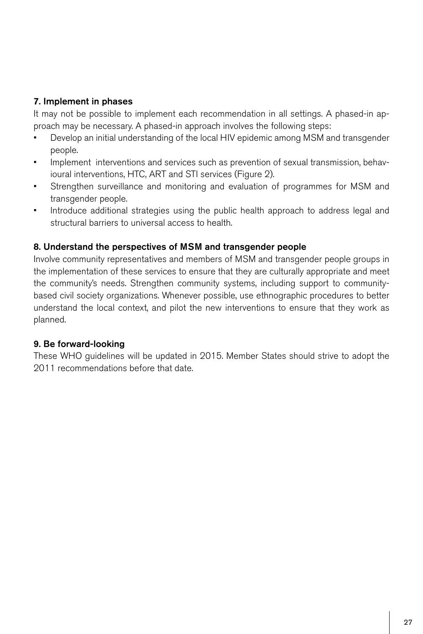## 7. Implement in phases

It may not be possible to implement each recommendation in all settings. A phased-in approach may be necessary. A phased-in approach involves the following steps:

- Develop an initial understanding of the local HIV epidemic among MSM and transgender people.
- Implement interventions and services such as prevention of sexual transmission, behavioural interventions, HTC, ART and STI services (Figure 2).
- Strengthen surveillance and monitoring and evaluation of programmes for MSM and transgender people.
- Introduce additional strategies using the public health approach to address legal and structural barriers to universal access to health.

## 8. Understand the perspectives of MSM and transgender people

Involve community representatives and members of MSM and transgender people groups in the implementation of these services to ensure that they are culturally appropriate and meet the community's needs. Strengthen community systems, including support to communitybased civil society organizations. Whenever possible, use ethnographic procedures to better understand the local context, and pilot the new interventions to ensure that they work as planned.

### 9. Be forward-looking

These WHO guidelines will be updated in 2015. Member States should strive to adopt the 2011 recommendations before that date.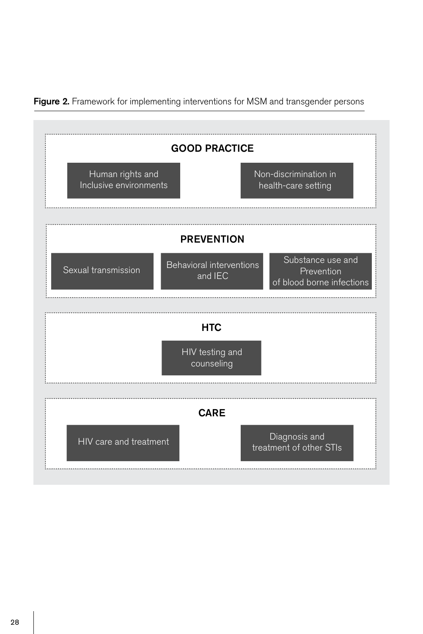

Figure 2. Framework for implementing interventions for MSM and transgender persons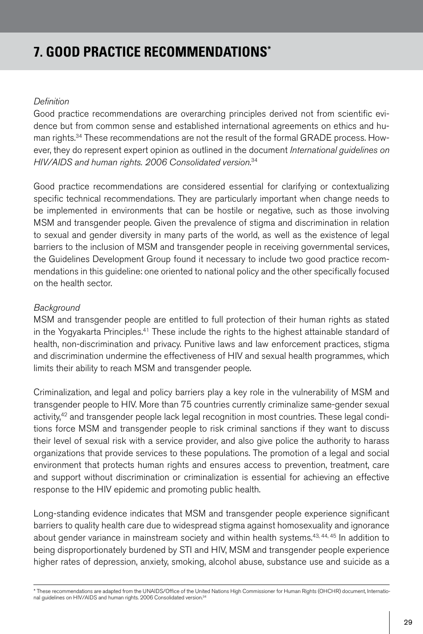# **7. GOOD PRACTICE RECOMMENDATIONS\***

#### *Definition*

Good practice recommendations are overarching principles derived not from scientific evidence but from common sense and established international agreements on ethics and human rights.34 These recommendations are not the result of the formal GRADE process. However, they do represent expert opinion as outlined in the document *International guidelines on HIV/AIDS and human rights. 2006 Consolidated version*. 34

Good practice recommendations are considered essential for clarifying or contextualizing specific technical recommendations. They are particularly important when change needs to be implemented in environments that can be hostile or negative, such as those involving MSM and transgender people. Given the prevalence of stigma and discrimination in relation to sexual and gender diversity in many parts of the world, as well as the existence of legal barriers to the inclusion of MSM and transgender people in receiving governmental services, the Guidelines Development Group found it necessary to include two good practice recommendations in this guideline: one oriented to national policy and the other specifically focused on the health sector.

#### *Background*

MSM and transgender people are entitled to full protection of their human rights as stated in the Yogyakarta Principles.<sup>41</sup> These include the rights to the highest attainable standard of health, non-discrimination and privacy. Punitive laws and law enforcement practices, stigma and discrimination undermine the effectiveness of HIV and sexual health programmes, which limits their ability to reach MSM and transgender people.

Criminalization, and legal and policy barriers play a key role in the vulnerability of MSM and transgender people to HIV. More than 75 countries currently criminalize same-gender sexual activity,<sup>42</sup> and transgender people lack legal recognition in most countries. These legal conditions force MSM and transgender people to risk criminal sanctions if they want to discuss their level of sexual risk with a service provider, and also give police the authority to harass organizations that provide services to these populations. The promotion of a legal and social environment that protects human rights and ensures access to prevention, treatment, care and support without discrimination or criminalization is essential for achieving an effective response to the HIV epidemic and promoting public health.

Long-standing evidence indicates that MSM and transgender people experience significant barriers to quality health care due to widespread stigma against homosexuality and ignorance about gender variance in mainstream society and within health systems.<sup>43, 44, 45</sup> In addition to being disproportionately burdened by STI and HIV, MSM and transgender people experience higher rates of depression, anxiety, smoking, alcohol abuse, substance use and suicide as a

\* These recommendations are adapted from the UNAIDS/Office of the United Nations High Commissioner for Human Rights (OHCHR) document, International guidelines on HIV/AIDS and human rights. 2006 Consolidated version.<sup>34</sup>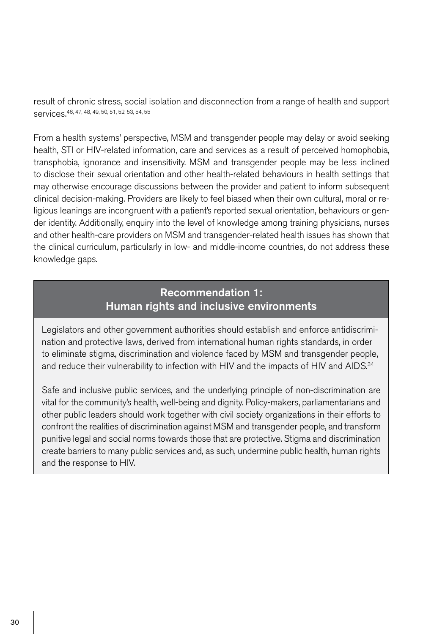result of chronic stress, social isolation and disconnection from a range of health and support services.46, 47, 48, 49, 50, 51, 52, 53, 54, 55

From a health systems' perspective, MSM and transgender people may delay or avoid seeking health, STI or HIV-related information, care and services as a result of perceived homophobia, transphobia, ignorance and insensitivity. MSM and transgender people may be less inclined to disclose their sexual orientation and other health-related behaviours in health settings that may otherwise encourage discussions between the provider and patient to inform subsequent clinical decision-making. Providers are likely to feel biased when their own cultural, moral or religious leanings are incongruent with a patient's reported sexual orientation, behaviours or gender identity. Additionally, enquiry into the level of knowledge among training physicians, nurses and other health-care providers on MSM and transgender-related health issues has shown that the clinical curriculum, particularly in low- and middle-income countries, do not address these knowledge gaps.

# Recommendation 1: Human rights and inclusive environments

Legislators and other government authorities should establish and enforce antidiscrimination and protective laws, derived from international human rights standards, in order to eliminate stigma, discrimination and violence faced by MSM and transgender people, and reduce their vulnerability to infection with HIV and the impacts of HIV and AIDS.<sup>34</sup>

Safe and inclusive public services, and the underlying principle of non-discrimination are vital for the community's health, well-being and dignity. Policy-makers, parliamentarians and other public leaders should work together with civil society organizations in their efforts to confront the realities of discrimination against MSM and transgender people, and transform punitive legal and social norms towards those that are protective. Stigma and discrimination create barriers to many public services and, as such, undermine public health, human rights and the response to HIV.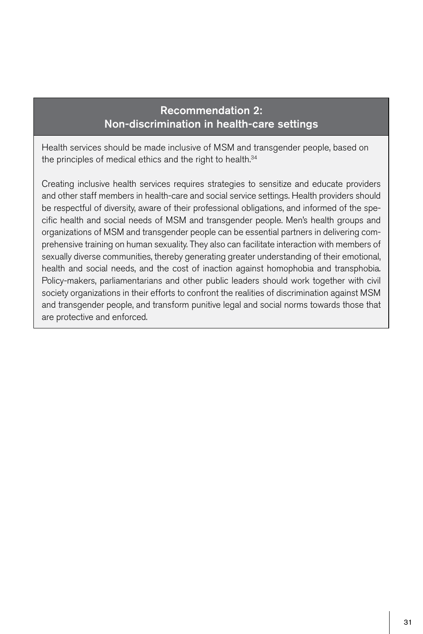# Recommendation 2: Non-discrimination in health-care settings

Health services should be made inclusive of MSM and transgender people, based on the principles of medical ethics and the right to health.<sup>34</sup>

Creating inclusive health services requires strategies to sensitize and educate providers and other staff members in health-care and social service settings. Health providers should be respectful of diversity, aware of their professional obligations, and informed of the specific health and social needs of MSM and transgender people. Men's health groups and organizations of MSM and transgender people can be essential partners in delivering comprehensive training on human sexuality. They also can facilitate interaction with members of sexually diverse communities, thereby generating greater understanding of their emotional, health and social needs, and the cost of inaction against homophobia and transphobia. Policy-makers, parliamentarians and other public leaders should work together with civil society organizations in their efforts to confront the realities of discrimination against MSM and transgender people, and transform punitive legal and social norms towards those that are protective and enforced.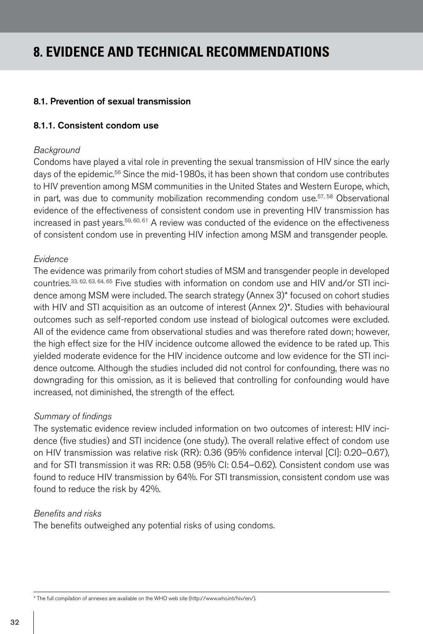# **8. EVIDENCE AND TECHNICAL RECOMMENDATIONS**

#### 8.1. Prevention of sexual transmission

#### 8.1.1. Consistent condom use

#### *Background*

Condoms have played a vital role in preventing the sexual transmission of HIV since the early days of the epidemic.<sup>56</sup> Since the mid-1980s, it has been shown that condom use contributes to HIV prevention among MSM communities in the United States and Western Europe, which, in part, was due to community mobilization recommending condom use.<sup>57, 58</sup> Observational evidence of the effectiveness of consistent condom use in preventing HIV transmission has increased in past years. $59, 60, 61$  A review was conducted of the evidence on the effectiveness of consistent condom use in preventing HIV infection among MSM and transgender people.

#### *Evidence*

The evidence was primarily from cohort studies of MSM and transgender people in developed countries.33, 62, 63, 64, 65 Five studies with information on condom use and HIV and/or STI incidence among MSM were included. The search strategy (Annex 3)\* focused on cohort studies with HIV and STI acquisition as an outcome of interest (Annex 2)<sup>\*</sup>. Studies with behavioural outcomes such as self-reported condom use instead of biological outcomes were excluded. All of the evidence came from observational studies and was therefore rated down; however, the high effect size for the HIV incidence outcome allowed the evidence to be rated up. This yielded moderate evidence for the HIV incidence outcome and low evidence for the STI incidence outcome. Although the studies included did not control for confounding, there was no downgrading for this omission, as it is believed that controlling for confounding would have increased, not diminished, the strength of the effect.

#### *Summary of findings*

The systematic evidence review included information on two outcomes of interest: HIV incidence (five studies) and STI incidence (one study). The overall relative effect of condom use on HIV transmission was relative risk (RR): 0.36 (95% confidence interval [CI]: 0.20–0.67), and for STI transmission it was RR: 0.58 (95% CI: 0.54–0.62). Consistent condom use was found to reduce HIV transmission by 64%. For STI transmission, consistent condom use was found to reduce the risk by 42%.

#### *Benefits and risks*

The benefits outweighed any potential risks of using condoms.

\* The full compilation of annexes are available on the WHO web site (http://www.who.int/hiv/en/).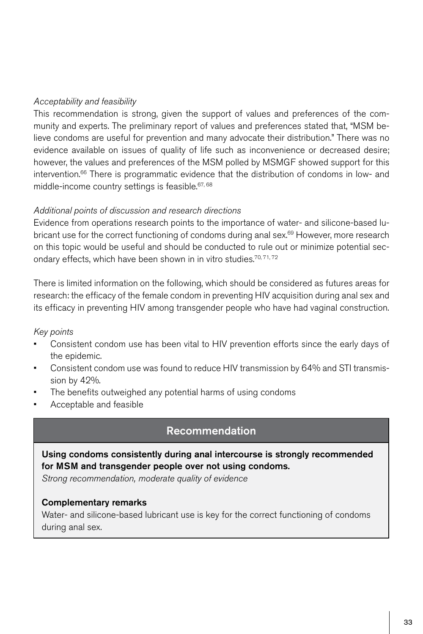### *Acceptability and feasibility*

This recommendation is strong, given the support of values and preferences of the community and experts. The preliminary report of values and preferences stated that, "MSM believe condoms are useful for prevention and many advocate their distribution." There was no evidence available on issues of quality of life such as inconvenience or decreased desire; however, the values and preferences of the MSM polled by MSMGF showed support for this intervention.66 There is programmatic evidence that the distribution of condoms in low- and middle-income country settings is feasible.<sup>67, 68</sup>

### *Additional points of discussion and research directions*

Evidence from operations research points to the importance of water- and silicone-based lubricant use for the correct functioning of condoms during anal sex.<sup>69</sup> However, more research on this topic would be useful and should be conducted to rule out or minimize potential secondary effects, which have been shown in in vitro studies.<sup>70,71,72</sup>

There is limited information on the following, which should be considered as futures areas for research: the efficacy of the female condom in preventing HIV acquisition during anal sex and its efficacy in preventing HIV among transgender people who have had vaginal construction.

### *Key points*

- Consistent condom use has been vital to HIV prevention efforts since the early days of the epidemic.
- Consistent condom use was found to reduce HIV transmission by 64% and STI transmission by 42%.
- The benefits outweighed any potential harms of using condoms
- Acceptable and feasible

# Recommendation

## Using condoms consistently during anal intercourse is strongly recommended for MSM and transgender people over not using condoms.

*Strong recommendation, moderate quality of evidence*

### Complementary remarks

Water- and silicone-based lubricant use is key for the correct functioning of condoms during anal sex.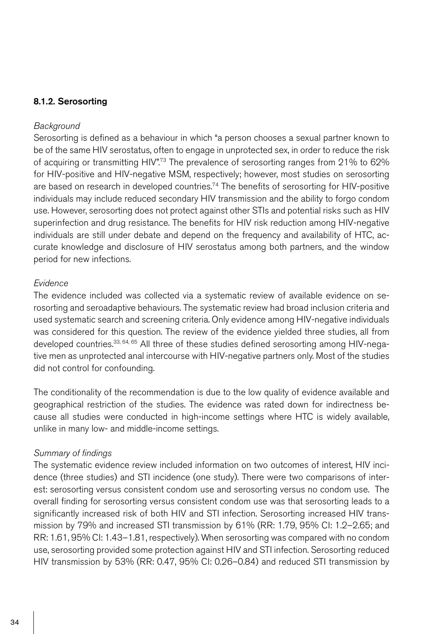### 8.1.2. Serosorting

#### *Background*

Serosorting is defined as a behaviour in which "a person chooses a sexual partner known to be of the same HIV serostatus, often to engage in unprotected sex, in order to reduce the risk of acquiring or transmitting HIV".<sup>73</sup> The prevalence of serosorting ranges from 21% to 62% for HIV-positive and HIV-negative MSM, respectively; however, most studies on serosorting are based on research in developed countries.<sup>74</sup> The benefits of serosorting for HIV-positive individuals may include reduced secondary HIV transmission and the ability to forgo condom use. However, serosorting does not protect against other STIs and potential risks such as HIV superinfection and drug resistance. The benefits for HIV risk reduction among HIV-negative individuals are still under debate and depend on the frequency and availability of HTC, accurate knowledge and disclosure of HIV serostatus among both partners, and the window period for new infections.

#### *Evidence*

The evidence included was collected via a systematic review of available evidence on serosorting and seroadaptive behaviours. The systematic review had broad inclusion criteria and used systematic search and screening criteria. Only evidence among HIV-negative individuals was considered for this question. The review of the evidence yielded three studies, all from developed countries.<sup>33, 64, 65</sup> All three of these studies defined serosorting among HIV-negative men as unprotected anal intercourse with HIV-negative partners only. Most of the studies did not control for confounding.

The conditionality of the recommendation is due to the low quality of evidence available and geographical restriction of the studies. The evidence was rated down for indirectness because all studies were conducted in high-income settings where HTC is widely available, unlike in many low- and middle-income settings.

#### *Summary of findings*

The systematic evidence review included information on two outcomes of interest, HIV incidence (three studies) and STI incidence (one study). There were two comparisons of interest: serosorting versus consistent condom use and serosorting versus no condom use. The overall finding for serosorting versus consistent condom use was that serosorting leads to a significantly increased risk of both HIV and STI infection. Serosorting increased HIV transmission by 79% and increased STI transmission by 61% (RR: 1.79, 95% CI: 1.2–2.65; and RR: 1.61, 95% CI: 1.43–1.81, respectively). When serosorting was compared with no condom use, serosorting provided some protection against HIV and STI infection. Serosorting reduced HIV transmission by 53% (RR: 0.47, 95% CI: 0.26–0.84) and reduced STI transmission by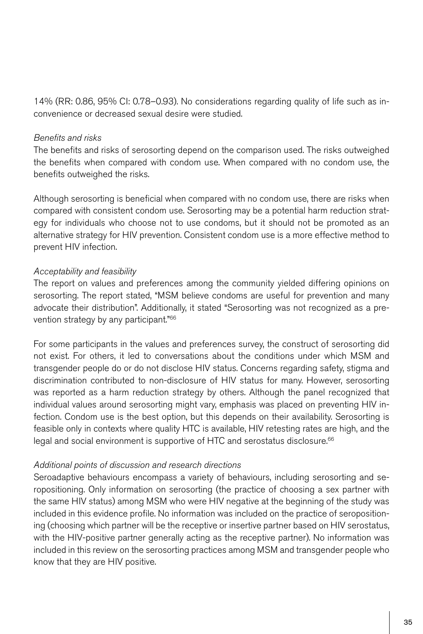14% (RR: 0.86, 95% CI: 0.78–0.93). No considerations regarding quality of life such as inconvenience or decreased sexual desire were studied.

#### *Benefits and risks*

The benefits and risks of serosorting depend on the comparison used. The risks outweighed the benefits when compared with condom use. When compared with no condom use, the benefits outweighed the risks.

Although serosorting is beneficial when compared with no condom use, there are risks when compared with consistent condom use. Serosorting may be a potential harm reduction strategy for individuals who choose not to use condoms, but it should not be promoted as an alternative strategy for HIV prevention. Consistent condom use is a more effective method to prevent HIV infection.

## *Acceptability and feasibility*

The report on values and preferences among the community yielded differing opinions on serosorting. The report stated, "MSM believe condoms are useful for prevention and many advocate their distribution". Additionally, it stated "Serosorting was not recognized as a prevention strategy by any participant."66

For some participants in the values and preferences survey, the construct of serosorting did not exist. For others, it led to conversations about the conditions under which MSM and transgender people do or do not disclose HIV status. Concerns regarding safety, stigma and discrimination contributed to non-disclosure of HIV status for many. However, serosorting was reported as a harm reduction strategy by others. Although the panel recognized that individual values around serosorting might vary, emphasis was placed on preventing HIV infection. Condom use is the best option, but this depends on their availability. Serosorting is feasible only in contexts where quality HTC is available, HIV retesting rates are high, and the legal and social environment is supportive of HTC and serostatus disclosure.<sup>66</sup>

### *Additional points of discussion and research directions*

Seroadaptive behaviours encompass a variety of behaviours, including serosorting and seropositioning. Only information on serosorting (the practice of choosing a sex partner with the same HIV status) among MSM who were HIV negative at the beginning of the study was included in this evidence profile. No information was included on the practice of seropositioning (choosing which partner will be the receptive or insertive partner based on HIV serostatus, with the HIV-positive partner generally acting as the receptive partner). No information was included in this review on the serosorting practices among MSM and transgender people who know that they are HIV positive.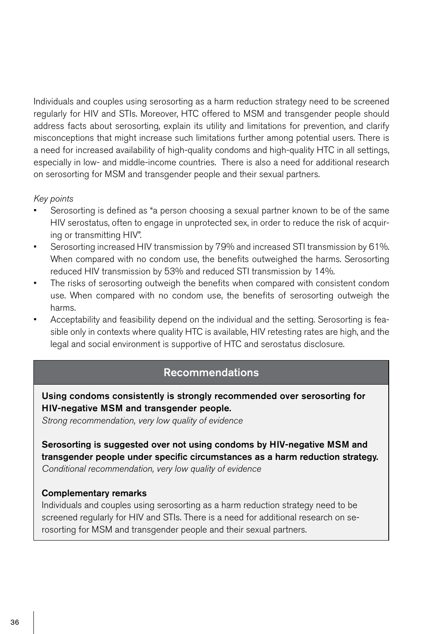Individuals and couples using serosorting as a harm reduction strategy need to be screened regularly for HIV and STIs. Moreover, HTC offered to MSM and transgender people should address facts about serosorting, explain its utility and limitations for prevention, and clarify misconceptions that might increase such limitations further among potential users. There is a need for increased availability of high-quality condoms and high-quality HTC in all settings, especially in low- and middle-income countries. There is also a need for additional research on serosorting for MSM and transgender people and their sexual partners.

#### *Key points*

- Serosorting is defined as "a person choosing a sexual partner known to be of the same HIV serostatus, often to engage in unprotected sex, in order to reduce the risk of acquiring or transmitting HIV".
- Serosorting increased HIV transmission by 79% and increased STI transmission by 61%. When compared with no condom use, the benefits outweighed the harms. Serosorting reduced HIV transmission by 53% and reduced STI transmission by 14%.
- The risks of serosorting outweigh the benefits when compared with consistent condom use. When compared with no condom use, the benefits of serosorting outweigh the harms.
- Acceptability and feasibility depend on the individual and the setting. Serosorting is feasible only in contexts where quality HTC is available, HIV retesting rates are high, and the legal and social environment is supportive of HTC and serostatus disclosure.

## Recommendations

Using condoms consistently is strongly recommended over serosorting for HIV-negative MSM and transgender people.

*Strong recommendation, very low quality of evidence*

Serosorting is suggested over not using condoms by HIV-negative MSM and transgender people under specific circumstances as a harm reduction strategy. *Conditional recommendation, very low quality of evidence*

#### Complementary remarks

Individuals and couples using serosorting as a harm reduction strategy need to be screened regularly for HIV and STIs. There is a need for additional research on serosorting for MSM and transgender people and their sexual partners.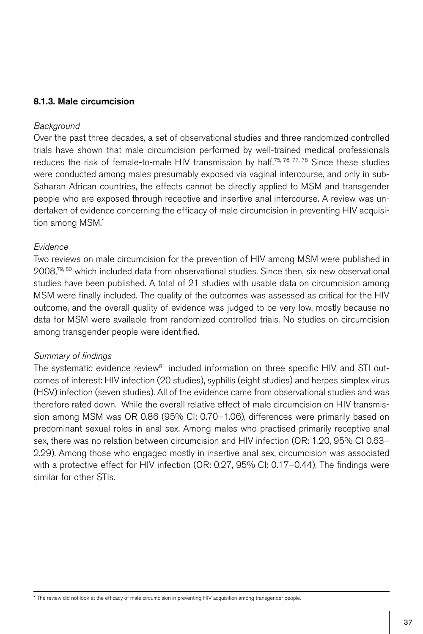### 8.1.3. Male circumcision

#### *Background*

Over the past three decades, a set of observational studies and three randomized controlled trials have shown that male circumcision performed by well-trained medical professionals reduces the risk of female-to-male HIV transmission by half.<sup>75, 76, 77, 78</sup> Since these studies were conducted among males presumably exposed via vaginal intercourse, and only in sub-Saharan African countries, the effects cannot be directly applied to MSM and transgender people who are exposed through receptive and insertive anal intercourse. A review was undertaken of evidence concerning the efficacy of male circumcision in preventing HIV acquisition among MSM.\*

### *Evidence*

Two reviews on male circumcision for the prevention of HIV among MSM were published in  $2008$ <sup>79, 80</sup> which included data from observational studies. Since then, six new observational studies have been published. A total of 21 studies with usable data on circumcision among MSM were finally included. The quality of the outcomes was assessed as critical for the HIV outcome, and the overall quality of evidence was judged to be very low, mostly because no data for MSM were available from randomized controlled trials. No studies on circumcision among transgender people were identified.

### *Summary of findings*

The systematic evidence review<sup>81</sup> included information on three specific HIV and STI outcomes of interest: HIV infection (20 studies), syphilis (eight studies) and herpes simplex virus (HSV) infection (seven studies). All of the evidence came from observational studies and was therefore rated down. While the overall relative effect of male circumcision on HIV transmission among MSM was OR 0.86 (95% CI: 0.70–1.06), differences were primarily based on predominant sexual roles in anal sex. Among males who practised primarily receptive anal sex, there was no relation between circumcision and HIV infection (OR: 1.20, 95% CI 0.63– 2.29). Among those who engaged mostly in insertive anal sex, circumcision was associated with a protective effect for HIV infection (OR: 0.27, 95% CI: 0.17–0.44). The findings were similar for other STIs.

\* The review did not look at the efficacy of male circumcision in preventing HIV acquisition among transgender people.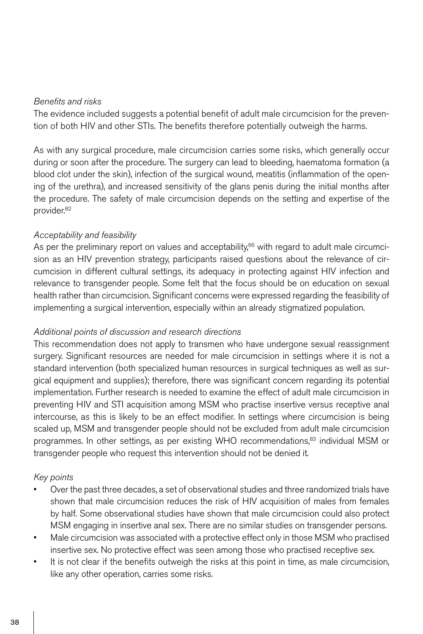### *Benefits and risks*

The evidence included suggests a potential benefit of adult male circumcision for the prevention of both HIV and other STIs. The benefits therefore potentially outweigh the harms.

As with any surgical procedure, male circumcision carries some risks, which generally occur during or soon after the procedure. The surgery can lead to bleeding, haematoma formation (a blood clot under the skin), infection of the surgical wound, meatitis (inflammation of the opening of the urethra), and increased sensitivity of the glans penis during the initial months after the procedure. The safety of male circumcision depends on the setting and expertise of the provider.82

# *Acceptability and feasibility*

As per the preliminary report on values and acceptability, $66$  with regard to adult male circumcision as an HIV prevention strategy, participants raised questions about the relevance of circumcision in different cultural settings, its adequacy in protecting against HIV infection and relevance to transgender people. Some felt that the focus should be on education on sexual health rather than circumcision. Significant concerns were expressed regarding the feasibility of implementing a surgical intervention, especially within an already stigmatized population.

### *Additional points of discussion and research directions*

This recommendation does not apply to transmen who have undergone sexual reassignment surgery. Significant resources are needed for male circumcision in settings where it is not a standard intervention (both specialized human resources in surgical techniques as well as surgical equipment and supplies); therefore, there was significant concern regarding its potential implementation. Further research is needed to examine the effect of adult male circumcision in preventing HIV and STI acquisition among MSM who practise insertive versus receptive anal intercourse, as this is likely to be an effect modifier. In settings where circumcision is being scaled up, MSM and transgender people should not be excluded from adult male circumcision programmes. In other settings, as per existing WHO recommendations,<sup>83</sup> individual MSM or transgender people who request this intervention should not be denied it.

### *Key points*

- Over the past three decades, a set of observational studies and three randomized trials have shown that male circumcision reduces the risk of HIV acquisition of males from females by half. Some observational studies have shown that male circumcision could also protect MSM engaging in insertive anal sex. There are no similar studies on transgender persons.
- Male circumcision was associated with a protective effect only in those MSM who practised insertive sex. No protective effect was seen among those who practised receptive sex.
- It is not clear if the benefits outweigh the risks at this point in time, as male circumcision, like any other operation, carries some risks.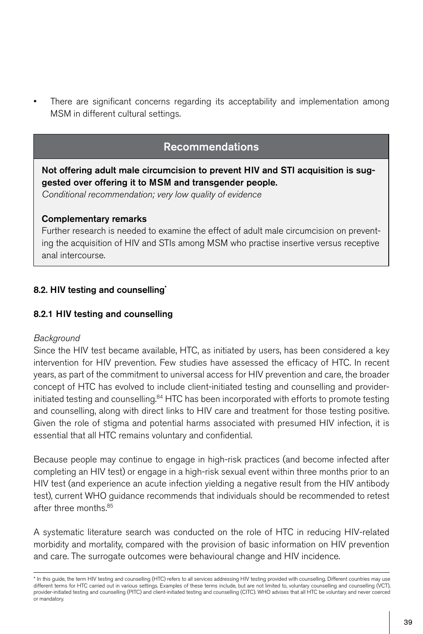There are significant concerns regarding its acceptability and implementation among MSM in different cultural settings.

# Recommendations

Not offering adult male circumcision to prevent HIV and STI acquisition is suggested over offering it to MSM and transgender people.

*Conditional recommendation; very low quality of evidence*

### Complementary remarks

Further research is needed to examine the effect of adult male circumcision on preventing the acquisition of HIV and STIs among MSM who practise insertive versus receptive anal intercourse.

# 8.2. HIV testing and counselling\*

# 8.2.1 HIV testing and counselling

# *Background*

Since the HIV test became available, HTC, as initiated by users, has been considered a key intervention for HIV prevention. Few studies have assessed the efficacy of HTC. In recent years, as part of the commitment to universal access for HIV prevention and care, the broader concept of HTC has evolved to include client-initiated testing and counselling and providerinitiated testing and counselling.<sup>84</sup> HTC has been incorporated with efforts to promote testing and counselling, along with direct links to HIV care and treatment for those testing positive. Given the role of stigma and potential harms associated with presumed HIV infection, it is essential that all HTC remains voluntary and confidential.

Because people may continue to engage in high-risk practices (and become infected after completing an HIV test) or engage in a high-risk sexual event within three months prior to an HIV test (and experience an acute infection yielding a negative result from the HIV antibody test), current WHO guidance recommends that individuals should be recommended to retest after three months.85

A systematic literature search was conducted on the role of HTC in reducing HIV-related morbidity and mortality, compared with the provision of basic information on HIV prevention and care. The surrogate outcomes were behavioural change and HIV incidence.

<sup>\*</sup> In this guide, the term HIV testing and counselling (HTC) refers to all services addressing HIV testing provided with counselling. Different countries may use different terms for HTC carried out in various settings. Examples of these terms include, but are not limited to, voluntary counselling and counselling (VCT), provider-initiated testing and counselling (PITC) and client-initiated testing and counselling (CITC). WHO advises that all HTC be voluntary and never coerced or mandatory.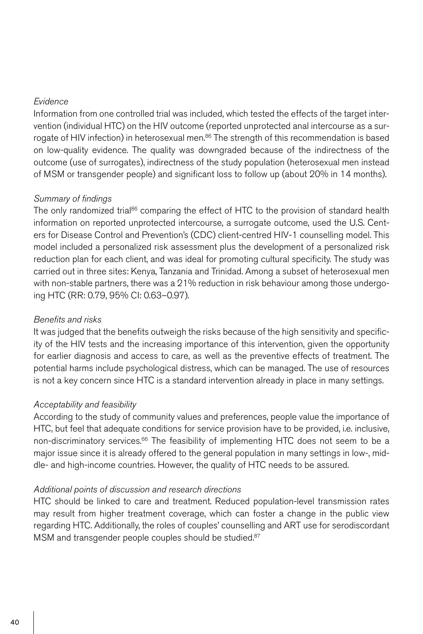### *Evidence*

Information from one controlled trial was included, which tested the effects of the target intervention (individual HTC) on the HIV outcome (reported unprotected anal intercourse as a surrogate of HIV infection) in heterosexual men.<sup>86</sup> The strength of this recommendation is based on low-quality evidence. The quality was downgraded because of the indirectness of the outcome (use of surrogates), indirectness of the study population (heterosexual men instead of MSM or transgender people) and significant loss to follow up (about 20% in 14 months).

### *Summary of findings*

The only randomized trial<sup>86</sup> comparing the effect of HTC to the provision of standard health information on reported unprotected intercourse, a surrogate outcome, used the U.S. Centers for Disease Control and Prevention's (CDC) client-centred HIV-1 counselling model. This model included a personalized risk assessment plus the development of a personalized risk reduction plan for each client, and was ideal for promoting cultural specificity. The study was carried out in three sites: Kenya, Tanzania and Trinidad. Among a subset of heterosexual men with non-stable partners, there was a 21% reduction in risk behaviour among those undergoing HTC (RR: 0.79, 95% CI: 0.63–0.97).

### *Benefits and risks*

It was judged that the benefits outweigh the risks because of the high sensitivity and specificity of the HIV tests and the increasing importance of this intervention, given the opportunity for earlier diagnosis and access to care, as well as the preventive effects of treatment. The potential harms include psychological distress, which can be managed. The use of resources is not a key concern since HTC is a standard intervention already in place in many settings.

### *Acceptability and feasibility*

According to the study of community values and preferences, people value the importance of HTC, but feel that adequate conditions for service provision have to be provided, i.e. inclusive, non-discriminatory services. $66$  The feasibility of implementing HTC does not seem to be a major issue since it is already offered to the general population in many settings in low-, middle- and high-income countries. However, the quality of HTC needs to be assured.

### *Additional points of discussion and research directions*

HTC should be linked to care and treatment. Reduced population-level transmission rates may result from higher treatment coverage, which can foster a change in the public view regarding HTC. Additionally, the roles of couples' counselling and ART use for serodiscordant MSM and transgender people couples should be studied.<sup>87</sup>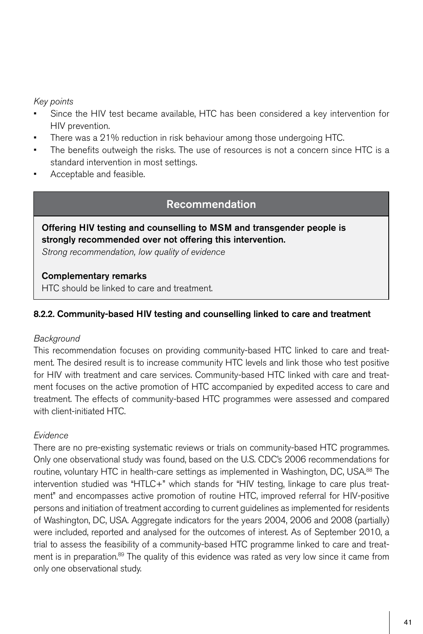# *Key points*

- Since the HIV test became available. HTC has been considered a key intervention for HIV prevention.
- There was a 21% reduction in risk behaviour among those undergoing HTC.
- The benefits outweigh the risks. The use of resources is not a concern since HTC is a standard intervention in most settings.
- Acceptable and feasible.

# Recommendation

# Offering HIV testing and counselling to MSM and transgender people is strongly recommended over not offering this intervention.

*Strong recommendation, low quality of evidence*

### Complementary remarks

HTC should be linked to care and treatment.

# 8.2.2. Community-based HIV testing and counselling linked to care and treatment

# *Background*

This recommendation focuses on providing community-based HTC linked to care and treatment. The desired result is to increase community HTC levels and link those who test positive for HIV with treatment and care services. Community-based HTC linked with care and treatment focuses on the active promotion of HTC accompanied by expedited access to care and treatment. The effects of community-based HTC programmes were assessed and compared with client-initiated HTC.

# *Evidence*

There are no pre-existing systematic reviews or trials on community-based HTC programmes. Only one observational study was found, based on the U.S. CDC's 2006 recommendations for routine, voluntary HTC in health-care settings as implemented in Washington, DC, USA.88 The intervention studied was "HTLC+" which stands for "HIV testing, linkage to care plus treatment" and encompasses active promotion of routine HTC, improved referral for HIV-positive persons and initiation of treatment according to current guidelines as implemented for residents of Washington, DC, USA. Aggregate indicators for the years 2004, 2006 and 2008 (partially) were included, reported and analysed for the outcomes of interest. As of September 2010, a trial to assess the feasibility of a community-based HTC programme linked to care and treatment is in preparation.<sup>89</sup> The quality of this evidence was rated as very low since it came from only one observational study.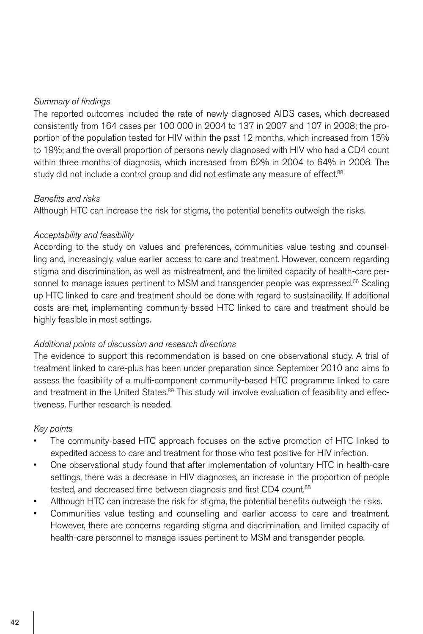# *Summary of findings*

The reported outcomes included the rate of newly diagnosed AIDS cases, which decreased consistently from 164 cases per 100 000 in 2004 to 137 in 2007 and 107 in 2008; the proportion of the population tested for HIV within the past 12 months, which increased from 15% to 19%; and the overall proportion of persons newly diagnosed with HIV who had a CD4 count within three months of diagnosis, which increased from 62% in 2004 to 64% in 2008. The study did not include a control group and did not estimate any measure of effect.<sup>88</sup>

# *Benefits and risks*

Although HTC can increase the risk for stigma, the potential benefits outweigh the risks.

### *Acceptability and feasibility*

According to the study on values and preferences, communities value testing and counselling and, increasingly, value earlier access to care and treatment. However, concern regarding stigma and discrimination, as well as mistreatment, and the limited capacity of health-care personnel to manage issues pertinent to MSM and transgender people was expressed.<sup>66</sup> Scaling up HTC linked to care and treatment should be done with regard to sustainability. If additional costs are met, implementing community-based HTC linked to care and treatment should be highly feasible in most settings.

### *Additional points of discussion and research directions*

The evidence to support this recommendation is based on one observational study. A trial of treatment linked to care-plus has been under preparation since September 2010 and aims to assess the feasibility of a multi-component community-based HTC programme linked to care and treatment in the United States.<sup>89</sup> This study will involve evaluation of feasibility and effectiveness. Further research is needed.

### *Key points*

- The community-based HTC approach focuses on the active promotion of HTC linked to expedited access to care and treatment for those who test positive for HIV infection.
- One observational study found that after implementation of voluntary HTC in health-care settings, there was a decrease in HIV diagnoses, an increase in the proportion of people tested, and decreased time between diagnosis and first CD4 count.<sup>88</sup>
- Although HTC can increase the risk for stigma, the potential benefits outweigh the risks.
- Communities value testing and counselling and earlier access to care and treatment. However, there are concerns regarding stigma and discrimination, and limited capacity of health-care personnel to manage issues pertinent to MSM and transgender people.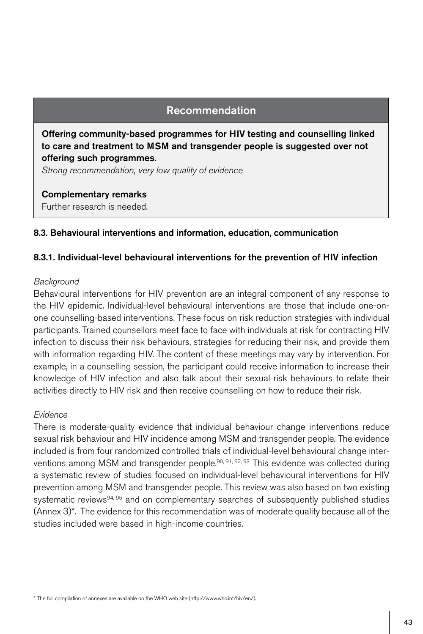# Recommendation

Offering community-based programmes for HIV testing and counselling linked to care and treatment to MSM and transgender people is suggested over not offering such programmes.

*Strong recommendation, very low quality of evidence*

Complementary remarks Further research is needed.

# 8.3. Behavioural interventions and information, education, communication

### 8.3.1. Individual-level behavioural interventions for the prevention of HIV infection

#### *Background*

Behavioural interventions for HIV prevention are an integral component of any response to the HIV epidemic. Individual-level behavioural interventions are those that include one-onone counselling-based interventions. These focus on risk reduction strategies with individual participants. Trained counsellors meet face to face with individuals at risk for contracting HIV infection to discuss their risk behaviours, strategies for reducing their risk, and provide them with information regarding HIV. The content of these meetings may vary by intervention. For example, in a counselling session, the participant could receive information to increase their knowledge of HIV infection and also talk about their sexual risk behaviours to relate their activities directly to HIV risk and then receive counselling on how to reduce their risk.

### *Evidence*

There is moderate-quality evidence that individual behaviour change interventions reduce sexual risk behaviour and HIV incidence among MSM and transgender people. The evidence included is from four randomized controlled trials of individual-level behavioural change interventions among MSM and transgender people.<sup>90, 91, 92, 93</sup> This evidence was collected during a systematic review of studies focused on individual-level behavioural interventions for HIV prevention among MSM and transgender people. This review was also based on two existing systematic reviews<sup>94, 95</sup> and on complementary searches of subsequently published studies (Annex 3)\*. The evidence for this recommendation was of moderate quality because all of the studies included were based in high-income countries.

\* The full compilation of annexes are available on the WHO web site (http://www.who.int/hiv/en/).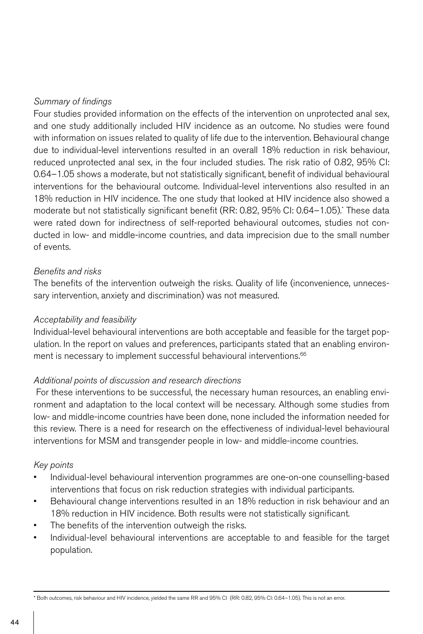# *Summary of findings*

Four studies provided information on the effects of the intervention on unprotected anal sex, and one study additionally included HIV incidence as an outcome. No studies were found with information on issues related to quality of life due to the intervention. Behavioural change due to individual-level interventions resulted in an overall 18% reduction in risk behaviour, reduced unprotected anal sex, in the four included studies. The risk ratio of 0.82, 95% CI: 0.64–1.05 shows a moderate, but not statistically significant, benefit of individual behavioural interventions for the behavioural outcome. Individual-level interventions also resulted in an 18% reduction in HIV incidence. The one study that looked at HIV incidence also showed a moderate but not statistically significant benefit (RR: 0.82, 95% CI: 0.64–1.05).\* These data were rated down for indirectness of self-reported behavioural outcomes, studies not conducted in low- and middle-income countries, and data imprecision due to the small number of events.

### *Benefits and risks*

The benefits of the intervention outweigh the risks. Quality of life (inconvenience, unnecessary intervention, anxiety and discrimination) was not measured.

### *Acceptability and feasibility*

Individual-level behavioural interventions are both acceptable and feasible for the target population. In the report on values and preferences, participants stated that an enabling environment is necessary to implement successful behavioural interventions.<sup>66</sup>

# *Additional points of discussion and research directions*

 For these interventions to be successful, the necessary human resources, an enabling environment and adaptation to the local context will be necessary. Although some studies from low- and middle-income countries have been done, none included the information needed for this review. There is a need for research on the effectiveness of individual-level behavioural interventions for MSM and transgender people in low- and middle-income countries.

### *Key points*

- Individual-level behavioural intervention programmes are one-on-one counselling-based interventions that focus on risk reduction strategies with individual participants.
- Behavioural change interventions resulted in an 18% reduction in risk behaviour and an 18% reduction in HIV incidence. Both results were not statistically significant.
- The benefits of the intervention outweigh the risks.
- Individual-level behavioural interventions are acceptable to and feasible for the target population.

\* Both outcomes, risk behaviour and HIV incidence, yielded the same RR and 95% CI (RR: 0.82, 95% CI: 0.64–1.05). This is not an error.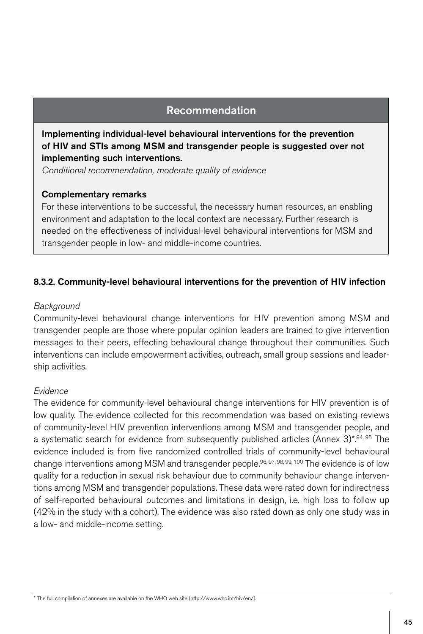# Recommendation

Implementing individual-level behavioural interventions for the prevention of HIV and STIs among MSM and transgender people is suggested over not implementing such interventions.

*Conditional recommendation, moderate quality of evidence*

### Complementary remarks

For these interventions to be successful, the necessary human resources, an enabling environment and adaptation to the local context are necessary. Further research is needed on the effectiveness of individual-level behavioural interventions for MSM and transgender people in low- and middle-income countries.

# 8.3.2. Community-level behavioural interventions for the prevention of HIV infection

### *Background*

Community-level behavioural change interventions for HIV prevention among MSM and transgender people are those where popular opinion leaders are trained to give intervention messages to their peers, effecting behavioural change throughout their communities. Such interventions can include empowerment activities, outreach, small group sessions and leadership activities.

# *Evidence*

The evidence for community-level behavioural change interventions for HIV prevention is of low quality. The evidence collected for this recommendation was based on existing reviews of community-level HIV prevention interventions among MSM and transgender people, and a systematic search for evidence from subsequently published articles (Annex 3)\*.94, 95 The evidence included is from five randomized controlled trials of community-level behavioural change interventions among MSM and transgender people.<sup>96, 97, 98, 99, 100</sup> The evidence is of low quality for a reduction in sexual risk behaviour due to community behaviour change interventions among MSM and transgender populations. These data were rated down for indirectness of self-reported behavioural outcomes and limitations in design, i.e. high loss to follow up (42% in the study with a cohort). The evidence was also rated down as only one study was in a low- and middle-income setting.

\* The full compilation of annexes are available on the WHO web site (http://www.who.int/hiv/en/).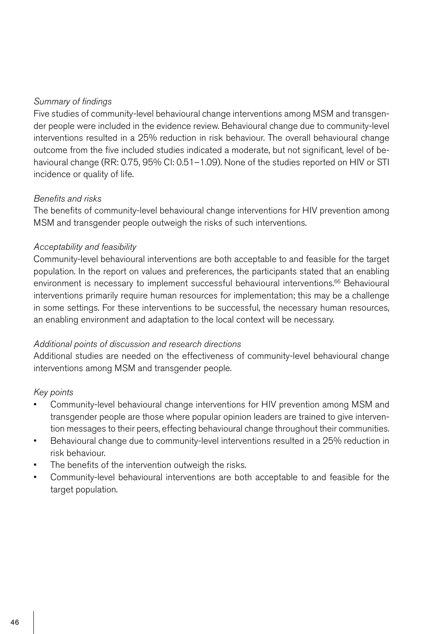# *Summary of findings*

Five studies of community-level behavioural change interventions among MSM and transgender people were included in the evidence review. Behavioural change due to community-level interventions resulted in a 25% reduction in risk behaviour. The overall behavioural change outcome from the five included studies indicated a moderate, but not significant, level of behavioural change (RR: 0.75, 95% CI: 0.51–1.09). None of the studies reported on HIV or STI incidence or quality of life.

# *Benefits and risks*

The benefits of community-level behavioural change interventions for HIV prevention among MSM and transgender people outweigh the risks of such interventions.

# *Acceptability and feasibility*

Community-level behavioural interventions are both acceptable to and feasible for the target population. In the report on values and preferences, the participants stated that an enabling environment is necessary to implement successful behavioural interventions.<sup>66</sup> Behavioural interventions primarily require human resources for implementation; this may be a challenge in some settings. For these interventions to be successful, the necessary human resources, an enabling environment and adaptation to the local context will be necessary.

# *Additional points of discussion and research directions*

Additional studies are needed on the effectiveness of community-level behavioural change interventions among MSM and transgender people.

# *Key points*

- Community-level behavioural change interventions for HIV prevention among MSM and transgender people are those where popular opinion leaders are trained to give intervention messages to their peers, effecting behavioural change throughout their communities.
- • Behavioural change due to community-level interventions resulted in a 25% reduction in risk behaviour.
- The benefits of the intervention outweigh the risks.
- Community-level behavioural interventions are both acceptable to and feasible for the target population.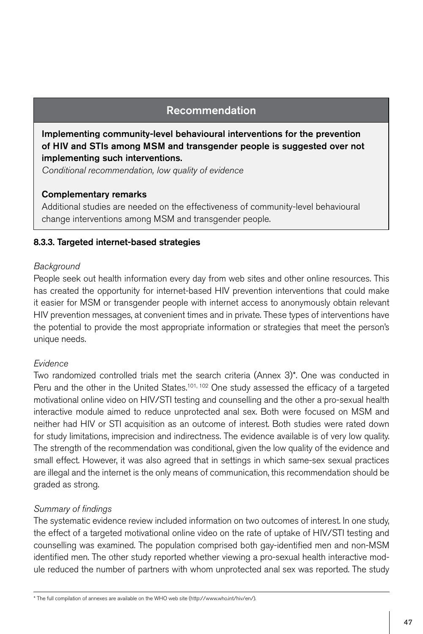# Recommendation

Implementing community-level behavioural interventions for the prevention of HIV and STIs among MSM and transgender people is suggested over not implementing such interventions.

*Conditional recommendation, low quality of evidence*

### Complementary remarks

Additional studies are needed on the effectiveness of community-level behavioural change interventions among MSM and transgender people.

### 8.3.3. Targeted internet-based strategies

### *Background*

People seek out health information every day from web sites and other online resources. This has created the opportunity for internet-based HIV prevention interventions that could make it easier for MSM or transgender people with internet access to anonymously obtain relevant HIV prevention messages, at convenient times and in private. These types of interventions have the potential to provide the most appropriate information or strategies that meet the person's unique needs.

# *Evidence*

Two randomized controlled trials met the search criteria (Annex 3)\*. One was conducted in Peru and the other in the United States.<sup>101, 102</sup> One study assessed the efficacy of a targeted motivational online video on HIV/STI testing and counselling and the other a pro-sexual health interactive module aimed to reduce unprotected anal sex. Both were focused on MSM and neither had HIV or STI acquisition as an outcome of interest. Both studies were rated down for study limitations, imprecision and indirectness. The evidence available is of very low quality. The strength of the recommendation was conditional, given the low quality of the evidence and small effect. However, it was also agreed that in settings in which same-sex sexual practices are illegal and the internet is the only means of communication, this recommendation should be graded as strong.

# *Summary of findings*

The systematic evidence review included information on two outcomes of interest. In one study, the effect of a targeted motivational online video on the rate of uptake of HIV/STI testing and counselling was examined. The population comprised both gay-identified men and non-MSM identified men. The other study reported whether viewing a pro-sexual health interactive module reduced the number of partners with whom unprotected anal sex was reported. The study

\* The full compilation of annexes are available on the WHO web site (http://www.who.int/hiv/en/).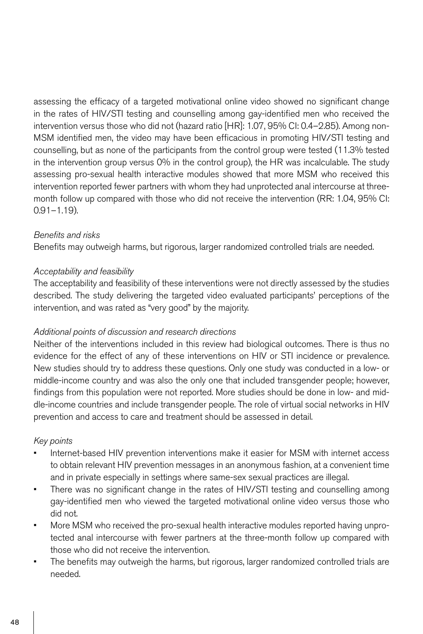assessing the efficacy of a targeted motivational online video showed no significant change in the rates of HIV/STI testing and counselling among gay-identified men who received the intervention versus those who did not (hazard ratio [HR]: 1.07, 95% CI: 0.4–2.85). Among non-MSM identified men, the video may have been efficacious in promoting HIV/STI testing and counselling, but as none of the participants from the control group were tested (11.3% tested in the intervention group versus 0% in the control group), the HR was incalculable. The study assessing pro-sexual health interactive modules showed that more MSM who received this intervention reported fewer partners with whom they had unprotected anal intercourse at threemonth follow up compared with those who did not receive the intervention (RR: 1.04, 95% CI:  $0.91 - 1.19$ ).

# *Benefits and risks*

Benefits may outweigh harms, but rigorous, larger randomized controlled trials are needed.

# *Acceptability and feasibility*

The acceptability and feasibility of these interventions were not directly assessed by the studies described. The study delivering the targeted video evaluated participants' perceptions of the intervention, and was rated as "very good" by the majority.

# *Additional points of discussion and research directions*

Neither of the interventions included in this review had biological outcomes. There is thus no evidence for the effect of any of these interventions on HIV or STI incidence or prevalence. New studies should try to address these questions. Only one study was conducted in a low- or middle-income country and was also the only one that included transgender people; however, findings from this population were not reported. More studies should be done in low- and middle-income countries and include transgender people. The role of virtual social networks in HIV prevention and access to care and treatment should be assessed in detail.

# *Key points*

- Internet-based HIV prevention interventions make it easier for MSM with internet access to obtain relevant HIV prevention messages in an anonymous fashion, at a convenient time and in private especially in settings where same-sex sexual practices are illegal.
- There was no significant change in the rates of HIV/STI testing and counselling among gay-identified men who viewed the targeted motivational online video versus those who did not.
- More MSM who received the pro-sexual health interactive modules reported having unprotected anal intercourse with fewer partners at the three-month follow up compared with those who did not receive the intervention.
- The benefits may outweigh the harms, but rigorous, larger randomized controlled trials are needed.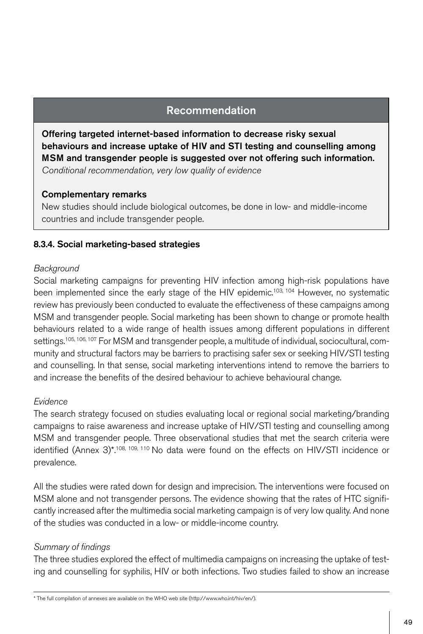# Recommendation

Offering targeted internet-based information to decrease risky sexual behaviours and increase uptake of HIV and STI testing and counselling among MSM and transgender people is suggested over not offering such information. *Conditional recommendation, very low quality of evidence*

### Complementary remarks

New studies should include biological outcomes, be done in low- and middle-income countries and include transgender people.

# 8.3.4. Social marketing-based strategies

### *Background*

Social marketing campaigns for preventing HIV infection among high-risk populations have been implemented since the early stage of the HIV epidemic.<sup>103, 104</sup> However, no systematic review has previously been conducted to evaluate the effectiveness of these campaigns among MSM and transgender people. Social marketing has been shown to change or promote health behaviours related to a wide range of health issues among different populations in different settings.105, 106, 107 For MSM and transgender people, a multitude of individual, sociocultural, community and structural factors may be barriers to practising safer sex or seeking HIV/STI testing and counselling. In that sense, social marketing interventions intend to remove the barriers to and increase the benefits of the desired behaviour to achieve behavioural change.

# *Evidence*

The search strategy focused on studies evaluating local or regional social marketing/branding campaigns to raise awareness and increase uptake of HIV/STI testing and counselling among MSM and transgender people. Three observational studies that met the search criteria were identified (Annex 3)\*.108, 109, 110 No data were found on the effects on HIV/STI incidence or prevalence.

All the studies were rated down for design and imprecision. The interventions were focused on MSM alone and not transgender persons. The evidence showing that the rates of HTC significantly increased after the multimedia social marketing campaign is of very low quality. And none of the studies was conducted in a low- or middle-income country.

# *Summary of findings*

The three studies explored the effect of multimedia campaigns on increasing the uptake of testing and counselling for syphilis, HIV or both infections. Two studies failed to show an increase

\* The full compilation of annexes are available on the WHO web site (http://www.who.int/hiv/en/).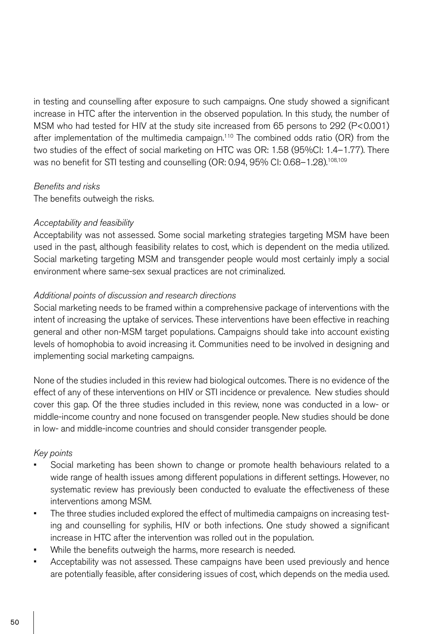in testing and counselling after exposure to such campaigns. One study showed a significant increase in HTC after the intervention in the observed population. In this study, the number of MSM who had tested for HIV at the study site increased from 65 persons to 292 (P<0.001) after implementation of the multimedia campaign.<sup>110</sup> The combined odds ratio (OR) from the two studies of the effect of social marketing on HTC was OR: 1.58 (95%CI: 1.4–1.77). There was no benefit for STI testing and counselling (OR: 0.94, 95% CI: 0.68-1.28).<sup>108,109</sup>

### *Benefits and risks*

The benefits outweigh the risks.

# *Acceptability and feasibility*

Acceptability was not assessed. Some social marketing strategies targeting MSM have been used in the past, although feasibility relates to cost, which is dependent on the media utilized. Social marketing targeting MSM and transgender people would most certainly imply a social environment where same-sex sexual practices are not criminalized.

# *Additional points of discussion and research directions*

Social marketing needs to be framed within a comprehensive package of interventions with the intent of increasing the uptake of services. These interventions have been effective in reaching general and other non-MSM target populations. Campaigns should take into account existing levels of homophobia to avoid increasing it. Communities need to be involved in designing and implementing social marketing campaigns.

None of the studies included in this review had biological outcomes. There is no evidence of the effect of any of these interventions on HIV or STI incidence or prevalence. New studies should cover this gap. Of the three studies included in this review, none was conducted in a low- or middle-income country and none focused on transgender people. New studies should be done in low- and middle-income countries and should consider transgender people.

# *Key points*

- Social marketing has been shown to change or promote health behaviours related to a wide range of health issues among different populations in different settings. However, no systematic review has previously been conducted to evaluate the effectiveness of these interventions among MSM.
- The three studies included explored the effect of multimedia campaigns on increasing testing and counselling for syphilis, HIV or both infections. One study showed a significant increase in HTC after the intervention was rolled out in the population.
- While the benefits outweigh the harms, more research is needed.
- Acceptability was not assessed. These campaigns have been used previously and hence are potentially feasible, after considering issues of cost, which depends on the media used.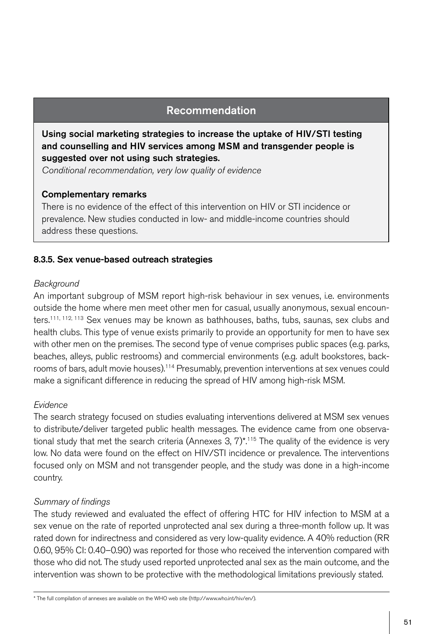# Recommendation

Using social marketing strategies to increase the uptake of HIV/STI testing and counselling and HIV services among MSM and transgender people is suggested over not using such strategies.

*Conditional recommendation, very low quality of evidence*

### Complementary remarks

There is no evidence of the effect of this intervention on HIV or STI incidence or prevalence. New studies conducted in low- and middle-income countries should address these questions.

# 8.3.5. Sex venue-based outreach strategies

### *Background*

An important subgroup of MSM report high-risk behaviour in sex venues, i.e. environments outside the home where men meet other men for casual, usually anonymous, sexual encounters.<sup>111, 112, 113</sup> Sex venues may be known as bathhouses, baths, tubs, saunas, sex clubs and health clubs. This type of venue exists primarily to provide an opportunity for men to have sex with other men on the premises. The second type of venue comprises public spaces (e.g. parks, beaches, alleys, public restrooms) and commercial environments (e.g. adult bookstores, backrooms of bars, adult movie houses).114 Presumably, prevention interventions at sex venues could make a significant difference in reducing the spread of HIV among high-risk MSM.

# *Evidence*

The search strategy focused on studies evaluating interventions delivered at MSM sex venues to distribute/deliver targeted public health messages. The evidence came from one observational study that met the search criteria (Annexes  $3, 7$ )<sup>\*</sup>.<sup>115</sup> The quality of the evidence is very low. No data were found on the effect on HIV/STI incidence or prevalence. The interventions focused only on MSM and not transgender people, and the study was done in a high-income country.

# *Summary of findings*

The study reviewed and evaluated the effect of offering HTC for HIV infection to MSM at a sex venue on the rate of reported unprotected anal sex during a three-month follow up. It was rated down for indirectness and considered as very low-quality evidence. A 40% reduction (RR 0.60, 95% CI: 0.40–0.90) was reported for those who received the intervention compared with those who did not. The study used reported unprotected anal sex as the main outcome, and the intervention was shown to be protective with the methodological limitations previously stated.

\* The full compilation of annexes are available on the WHO web site (http://www.who.int/hiv/en/).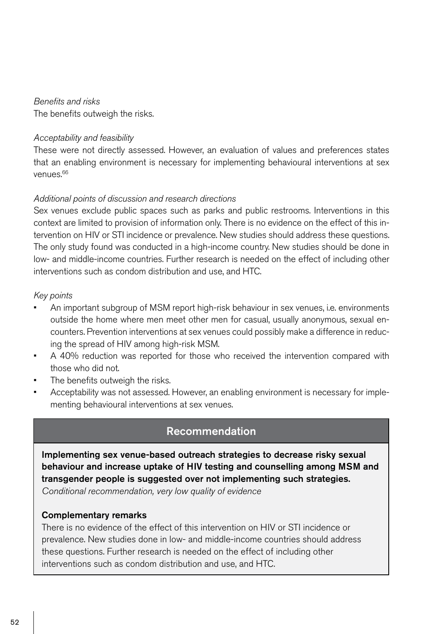### *Benefits and risks*

The benefits outweigh the risks.

### *Acceptability and feasibility*

These were not directly assessed. However, an evaluation of values and preferences states that an enabling environment is necessary for implementing behavioural interventions at sex venues.66

# *Additional points of discussion and research directions*

Sex venues exclude public spaces such as parks and public restrooms. Interventions in this context are limited to provision of information only. There is no evidence on the effect of this intervention on HIV or STI incidence or prevalence. New studies should address these questions. The only study found was conducted in a high-income country. New studies should be done in low- and middle-income countries. Further research is needed on the effect of including other interventions such as condom distribution and use, and HTC.

# *Key points*

- An important subgroup of MSM report high-risk behaviour in sex venues, i.e. environments outside the home where men meet other men for casual, usually anonymous, sexual encounters. Prevention interventions at sex venues could possibly make a difference in reducing the spread of HIV among high-risk MSM.
- • A 40% reduction was reported for those who received the intervention compared with those who did not.
- The benefits outweigh the risks.
- Acceptability was not assessed. However, an enabling environment is necessary for implementing behavioural interventions at sex venues.

# Recommendation

Implementing sex venue-based outreach strategies to decrease risky sexual behaviour and increase uptake of HIV testing and counselling among MSM and transgender people is suggested over not implementing such strategies. *Conditional recommendation, very low quality of evidence*

### Complementary remarks

There is no evidence of the effect of this intervention on HIV or STI incidence or prevalence. New studies done in low- and middle-income countries should address these questions. Further research is needed on the effect of including other interventions such as condom distribution and use, and HTC.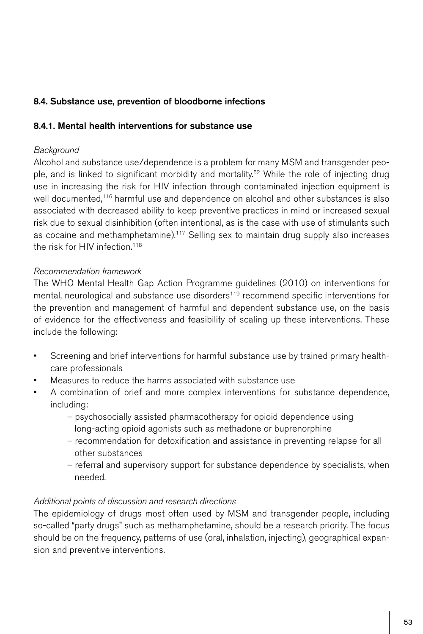# 8.4. Substance use, prevention of bloodborne infections

# 8.4.1. Mental health interventions for substance use

# *Background*

Alcohol and substance use/dependence is a problem for many MSM and transgender people, and is linked to significant morbidity and mortality.<sup>52</sup> While the role of injecting drug use in increasing the risk for HIV infection through contaminated injection equipment is well documented,<sup>116</sup> harmful use and dependence on alcohol and other substances is also associated with decreased ability to keep preventive practices in mind or increased sexual risk due to sexual disinhibition (often intentional, as is the case with use of stimulants such as cocaine and methamphetamine).117 Selling sex to maintain drug supply also increases the risk for HIV infection.<sup>118</sup>

# *Recommendation framework*

The WHO Mental Health Gap Action Programme guidelines (2010) on interventions for mental, neurological and substance use disorders<sup>119</sup> recommend specific interventions for the prevention and management of harmful and dependent substance use, on the basis of evidence for the effectiveness and feasibility of scaling up these interventions. These include the following:

- • Screening and brief interventions for harmful substance use by trained primary healthcare professionals
- Measures to reduce the harms associated with substance use
- A combination of brief and more complex interventions for substance dependence, including:
	- psychosocially assisted pharmacotherapy for opioid dependence using long-acting opioid agonists such as methadone or buprenorphine
	- recommendation for detoxification and assistance in preventing relapse for all other substances
	- referral and supervisory support for substance dependence by specialists, when needed.

# *Additional points of discussion and research directions*

The epidemiology of drugs most often used by MSM and transgender people, including so-called "party drugs" such as methamphetamine, should be a research priority. The focus should be on the frequency, patterns of use (oral, inhalation, injecting), geographical expansion and preventive interventions.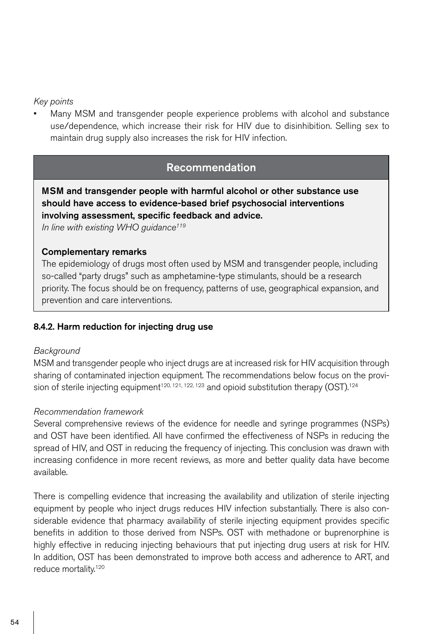### *Key points*

Many MSM and transgender people experience problems with alcohol and substance use/dependence, which increase their risk for HIV due to disinhibition. Selling sex to maintain drug supply also increases the risk for HIV infection.

# Recommendation

MSM and transgender people with harmful alcohol or other substance use should have access to evidence-based brief psychosocial interventions involving assessment, specific feedback and advice.

*In line with existing WHO guidance119*

### Complementary remarks

The epidemiology of drugs most often used by MSM and transgender people, including so-called "party drugs" such as amphetamine-type stimulants, should be a research priority. The focus should be on frequency, patterns of use, geographical expansion, and prevention and care interventions.

### 8.4.2. Harm reduction for injecting drug use

### *Background*

MSM and transgender people who inject drugs are at increased risk for HIV acquisition through sharing of contaminated injection equipment. The recommendations below focus on the provision of sterile injecting equipment<sup>120, 121, 122, 123</sup> and opioid substitution therapy (OST).<sup>124</sup>

### *Recommendation framework*

Several comprehensive reviews of the evidence for needle and syringe programmes (NSPs) and OST have been identified. All have confirmed the effectiveness of NSPs in reducing the spread of HIV, and OST in reducing the frequency of injecting. This conclusion was drawn with increasing confidence in more recent reviews, as more and better quality data have become available.

There is compelling evidence that increasing the availability and utilization of sterile injecting equipment by people who inject drugs reduces HIV infection substantially. There is also considerable evidence that pharmacy availability of sterile injecting equipment provides specific benefits in addition to those derived from NSPs. OST with methadone or buprenorphine is highly effective in reducing injecting behaviours that put injecting drug users at risk for HIV. In addition, OST has been demonstrated to improve both access and adherence to ART, and reduce mortality.120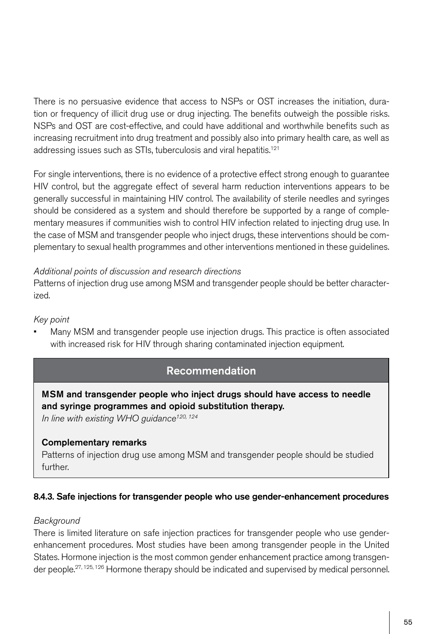There is no persuasive evidence that access to NSPs or OST increases the initiation, duration or frequency of illicit drug use or drug injecting. The benefits outweigh the possible risks. NSPs and OST are cost-effective, and could have additional and worthwhile benefits such as increasing recruitment into drug treatment and possibly also into primary health care, as well as addressing issues such as STIs, tuberculosis and viral hepatitis.<sup>121</sup>

For single interventions, there is no evidence of a protective effect strong enough to guarantee HIV control, but the aggregate effect of several harm reduction interventions appears to be generally successful in maintaining HIV control. The availability of sterile needles and syringes should be considered as a system and should therefore be supported by a range of complementary measures if communities wish to control HIV infection related to injecting drug use. In the case of MSM and transgender people who inject drugs, these interventions should be complementary to sexual health programmes and other interventions mentioned in these guidelines.

### *Additional points of discussion and research directions*

Patterns of injection drug use among MSM and transgender people should be better characterized.

# *Key point*

Many MSM and transgender people use injection drugs. This practice is often associated with increased risk for HIV through sharing contaminated injection equipment.

# Recommendation

MSM and transgender people who inject drugs should have access to needle and syringe programmes and opioid substitution therapy.

*In line with existing WHO guidance120, 124*

# Complementary remarks

Patterns of injection drug use among MSM and transgender people should be studied further.

# 8.4.3. Safe injections for transgender people who use gender-enhancement procedures

### *Background*

There is limited literature on safe injection practices for transgender people who use genderenhancement procedures. Most studies have been among transgender people in the United States. Hormone injection is the most common gender enhancement practice among transgender people.<sup>27, 125, 126</sup> Hormone therapy should be indicated and supervised by medical personnel.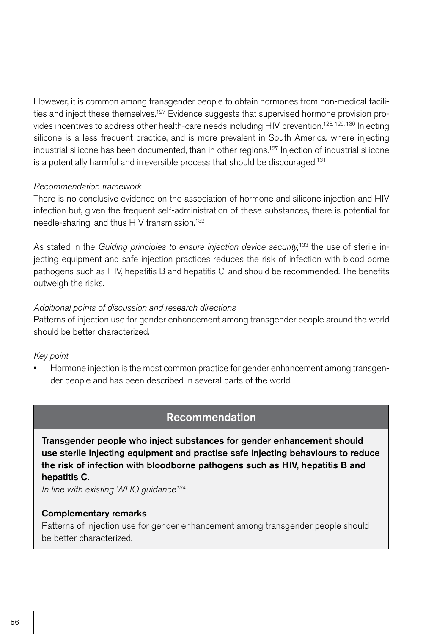However, it is common among transgender people to obtain hormones from non-medical facilities and inject these themselves.<sup>127</sup> Evidence suggests that supervised hormone provision provides incentives to address other health-care needs including HIV prevention.<sup>128, 129, 130</sup> Injecting silicone is a less frequent practice, and is more prevalent in South America, where injecting industrial silicone has been documented, than in other regions.<sup>127</sup> Injection of industrial silicone is a potentially harmful and irreversible process that should be discouraged.<sup>131</sup>

### *Recommendation framework*

There is no conclusive evidence on the association of hormone and silicone injection and HIV infection but, given the frequent self-administration of these substances, there is potential for needle-sharing, and thus HIV transmission.132

As stated in the *Guiding principles to ensure injection device security*,<sup>133</sup> the use of sterile injecting equipment and safe injection practices reduces the risk of infection with blood borne pathogens such as HIV, hepatitis B and hepatitis C, and should be recommended. The benefits outweigh the risks.

# *Additional points of discussion and research directions*

Patterns of injection use for gender enhancement among transgender people around the world should be better characterized.

# *Key point*

Hormone injection is the most common practice for gender enhancement among transgender people and has been described in several parts of the world.

# Recommendation

Transgender people who inject substances for gender enhancement should use sterile injecting equipment and practise safe injecting behaviours to reduce the risk of infection with bloodborne pathogens such as HIV, hepatitis B and hepatitis C.

*In line with existing WHO guidance134*

### Complementary remarks

Patterns of injection use for gender enhancement among transgender people should be better characterized.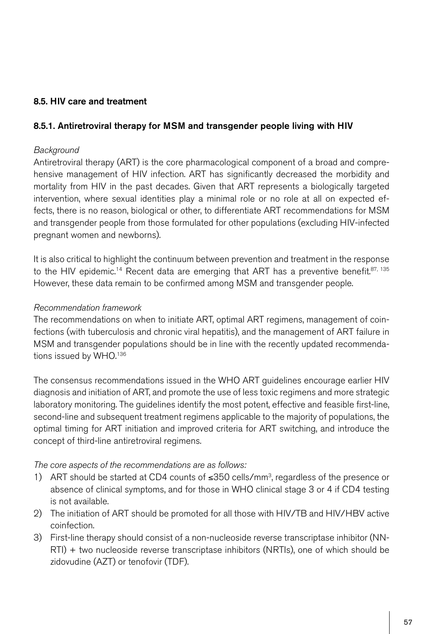# 8.5. HIV care and treatment

### 8.5.1. Antiretroviral therapy for MSM and transgender people living with HIV

### *Background*

Antiretroviral therapy (ART) is the core pharmacological component of a broad and comprehensive management of HIV infection. ART has significantly decreased the morbidity and mortality from HIV in the past decades. Given that ART represents a biologically targeted intervention, where sexual identities play a minimal role or no role at all on expected effects, there is no reason, biological or other, to differentiate ART recommendations for MSM and transgender people from those formulated for other populations (excluding HIV-infected pregnant women and newborns).

It is also critical to highlight the continuum between prevention and treatment in the response to the HIV epidemic.<sup>14</sup> Recent data are emerging that ART has a preventive benefit.<sup>87, 135</sup> However, these data remain to be confirmed among MSM and transgender people.

### *Recommendation framework*

The recommendations on when to initiate ART, optimal ART regimens, management of coinfections (with tuberculosis and chronic viral hepatitis), and the management of ART failure in MSM and transgender populations should be in line with the recently updated recommendations issued by WHO.<sup>136</sup>

The consensus recommendations issued in the WHO ART guidelines encourage earlier HIV diagnosis and initiation of ART, and promote the use of less toxic regimens and more strategic laboratory monitoring. The guidelines identify the most potent, effective and feasible first-line, second-line and subsequent treatment regimens applicable to the majority of populations, the optimal timing for ART initiation and improved criteria for ART switching, and introduce the concept of third-line antiretroviral regimens.

### *The core aspects of the recommendations are as follows:*

- 1) ART should be started at CD4 counts of  $≤350$  cells/mm<sup>3</sup>, regardless of the presence or absence of clinical symptoms, and for those in WHO clinical stage 3 or 4 if CD4 testing is not available.
- 2) The initiation of ART should be promoted for all those with HIV/TB and HIV/HBV active coinfection.
- 3) First-line therapy should consist of a non-nucleoside reverse transcriptase inhibitor (NN-RTI) + two nucleoside reverse transcriptase inhibitors (NRTIs), one of which should be zidovudine (AZT) or tenofovir (TDF).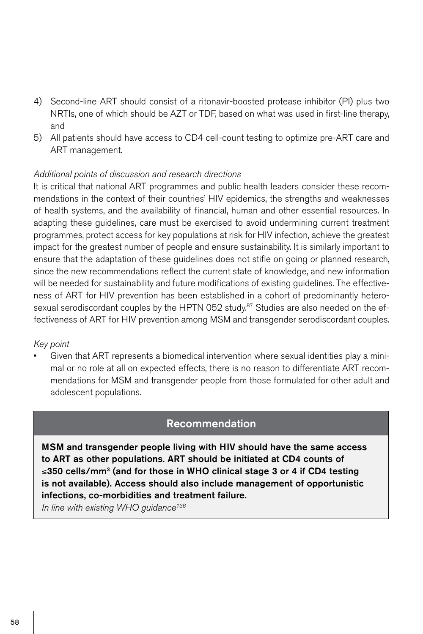- 4) Second-line ART should consist of a ritonavir-boosted protease inhibitor (PI) plus two NRTIs, one of which should be AZT or TDF, based on what was used in first-line therapy, and
- 5) All patients should have access to CD4 cell-count testing to optimize pre-ART care and ART management.

# *Additional points of discussion and research directions*

It is critical that national ART programmes and public health leaders consider these recommendations in the context of their countries' HIV epidemics, the strengths and weaknesses of health systems, and the availability of financial, human and other essential resources. In adapting these guidelines, care must be exercised to avoid undermining current treatment programmes, protect access for key populations at risk for HIV infection, achieve the greatest impact for the greatest number of people and ensure sustainability. It is similarly important to ensure that the adaptation of these guidelines does not stifle on going or planned research, since the new recommendations reflect the current state of knowledge, and new information will be needed for sustainability and future modifications of existing guidelines. The effectiveness of ART for HIV prevention has been established in a cohort of predominantly heterosexual serodiscordant couples by the HPTN 052 study.<sup>87</sup> Studies are also needed on the effectiveness of ART for HIV prevention among MSM and transgender serodiscordant couples.

### *Key point*

Given that ART represents a biomedical intervention where sexual identities play a minimal or no role at all on expected effects, there is no reason to differentiate ART recommendations for MSM and transgender people from those formulated for other adult and adolescent populations.

# Recommendation

MSM and transgender people living with HIV should have the same access to ART as other populations. ART should be initiated at CD4 counts of ≤350 cells/mm<sup>3</sup> (and for those in WHO clinical stage 3 or 4 if CD4 testing is not available). Access should also include management of opportunistic infections, co-morbidities and treatment failure.

*In line with existing WHO guidance136*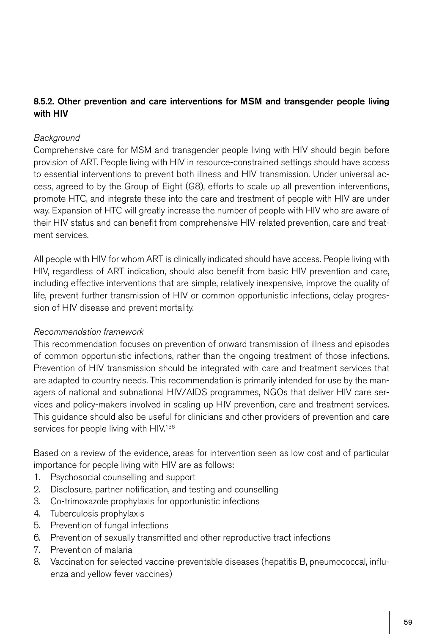# 8.5.2. Other prevention and care interventions for MSM and transgender people living with HIV

# *Background*

Comprehensive care for MSM and transgender people living with HIV should begin before provision of ART. People living with HIV in resource-constrained settings should have access to essential interventions to prevent both illness and HIV transmission. Under universal access, agreed to by the Group of Eight (G8), efforts to scale up all prevention interventions, promote HTC, and integrate these into the care and treatment of people with HIV are under way. Expansion of HTC will greatly increase the number of people with HIV who are aware of their HIV status and can benefit from comprehensive HIV-related prevention, care and treatment services.

All people with HIV for whom ART is clinically indicated should have access. People living with HIV, regardless of ART indication, should also benefit from basic HIV prevention and care, including effective interventions that are simple, relatively inexpensive, improve the quality of life, prevent further transmission of HIV or common opportunistic infections, delay progression of HIV disease and prevent mortality.

# *Recommendation framework*

This recommendation focuses on prevention of onward transmission of illness and episodes of common opportunistic infections, rather than the ongoing treatment of those infections. Prevention of HIV transmission should be integrated with care and treatment services that are adapted to country needs. This recommendation is primarily intended for use by the managers of national and subnational HIV/AIDS programmes, NGOs that deliver HIV care services and policy-makers involved in scaling up HIV prevention, care and treatment services. This guidance should also be useful for clinicians and other providers of prevention and care services for people living with HIV.<sup>136</sup>

Based on a review of the evidence, areas for intervention seen as low cost and of particular importance for people living with HIV are as follows:

- 1. Psychosocial counselling and support
- 2. Disclosure, partner notification, and testing and counselling
- 3. Co-trimoxazole prophylaxis for opportunistic infections
- 4. Tuberculosis prophylaxis
- 5. Prevention of fungal infections
- 6. Prevention of sexually transmitted and other reproductive tract infections
- 7. Prevention of malaria
- 8. Vaccination for selected vaccine-preventable diseases (hepatitis B, pneumococcal, influenza and yellow fever vaccines)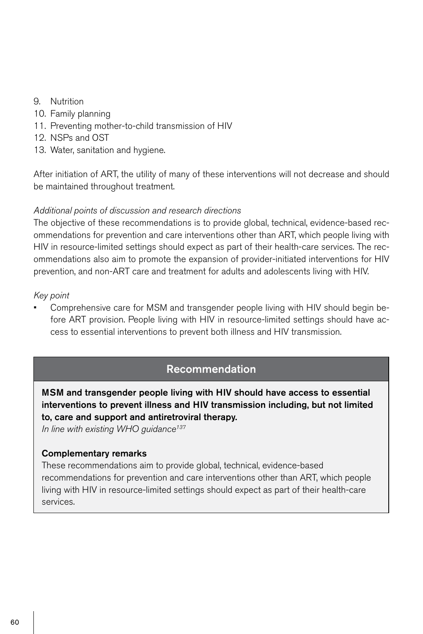- 9. Nutrition
- 10. Family planning
- 11. Preventing mother-to-child transmission of HIV
- 12. NSPs and OST
- 13. Water, sanitation and hygiene.

After initiation of ART, the utility of many of these interventions will not decrease and should be maintained throughout treatment.

### *Additional points of discussion and research directions*

The objective of these recommendations is to provide global, technical, evidence-based recommendations for prevention and care interventions other than ART, which people living with HIV in resource-limited settings should expect as part of their health-care services. The recommendations also aim to promote the expansion of provider-initiated interventions for HIV prevention, and non-ART care and treatment for adults and adolescents living with HIV.

### *Key point*

Comprehensive care for MSM and transgender people living with HIV should begin before ART provision. People living with HIV in resource-limited settings should have access to essential interventions to prevent both illness and HIV transmission.

# Recommendation

MSM and transgender people living with HIV should have access to essential interventions to prevent illness and HIV transmission including, but not limited to, care and support and antiretroviral therapy.

*In line with existing WHO guidance137*

### Complementary remarks

These recommendations aim to provide global, technical, evidence-based recommendations for prevention and care interventions other than ART, which people living with HIV in resource-limited settings should expect as part of their health-care services.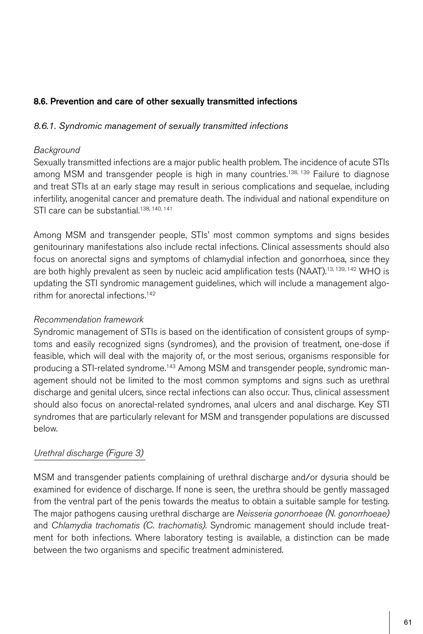# 8.6. Prevention and care of other sexually transmitted infections

# *8.6.1. Syndromic management of sexually transmitted infections*

### *Background*

Sexually transmitted infections are a major public health problem. The incidence of acute STIs among MSM and transgender people is high in many countries.<sup>138, 139</sup> Failure to diagnose and treat STIs at an early stage may result in serious complications and sequelae, including infertility, anogenital cancer and premature death. The individual and national expenditure on STI care can be substantial.<sup>138, 140, 141</sup>

Among MSM and transgender people, STIs' most common symptoms and signs besides genitourinary manifestations also include rectal infections. Clinical assessments should also focus on anorectal signs and symptoms of chlamydial infection and gonorrhoea, since they are both highly prevalent as seen by nucleic acid amplification tests (NAAT).<sup>13, 139, 142</sup> WHO is updating the STI syndromic management guidelines, which will include a management algorithm for anorectal infections.142

# *Recommendation framework*

Syndromic management of STIs is based on the identification of consistent groups of symptoms and easily recognized signs (syndromes), and the provision of treatment, one-dose if feasible, which will deal with the majority of, or the most serious, organisms responsible for producing a STI-related syndrome.143 Among MSM and transgender people, syndromic management should not be limited to the most common symptoms and signs such as urethral discharge and genital ulcers, since rectal infections can also occur. Thus, clinical assessment should also focus on anorectal-related syndromes, anal ulcers and anal discharge. Key STI syndromes that are particularly relevant for MSM and transgender populations are discussed below.

# *Urethral discharge (Figure 3)*

MSM and transgender patients complaining of urethral discharge and/or dysuria should be examined for evidence of discharge. If none is seen, the urethra should be gently massaged from the ventral part of the penis towards the meatus to obtain a suitable sample for testing. The major pathogens causing urethral discharge are *Neisseria gonorrhoeae (N. gonorrhoeae)*  and *Chlamydia trachomatis (C. trachomatis)*. Syndromic management should include treatment for both infections. Where laboratory testing is available, a distinction can be made between the two organisms and specific treatment administered.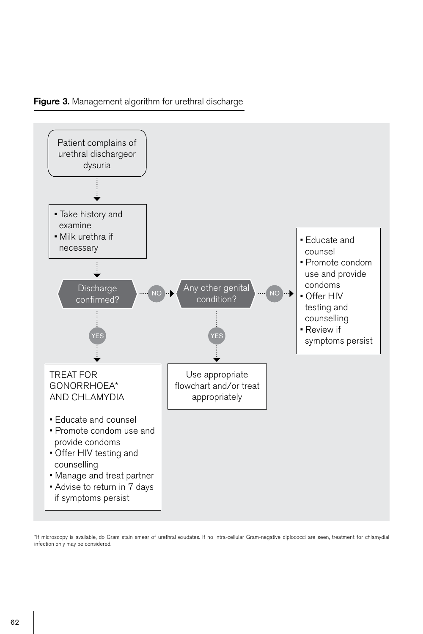



\*If microscopy is available, do Gram stain smear of urethral exudates. If no intra-cellular Gram-negative diplococci are seen, treatment for chlamydial infection only may be considered.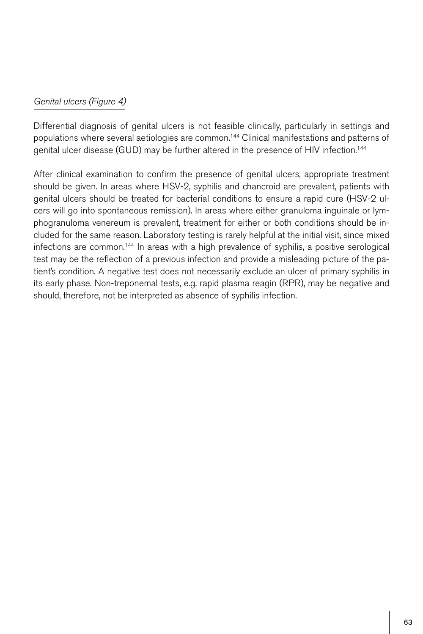# *Genital ulcers (Figure 4)*

Differential diagnosis of genital ulcers is not feasible clinically, particularly in settings and populations where several aetiologies are common.144 Clinical manifestations and patterns of genital ulcer disease (GUD) may be further altered in the presence of HIV infection.144

After clinical examination to confirm the presence of genital ulcers, appropriate treatment should be given. In areas where HSV-2, syphilis and chancroid are prevalent, patients with genital ulcers should be treated for bacterial conditions to ensure a rapid cure (HSV-2 ulcers will go into spontaneous remission). In areas where either granuloma inguinale or lymphogranuloma venereum is prevalent, treatment for either or both conditions should be included for the same reason. Laboratory testing is rarely helpful at the initial visit, since mixed infections are common.144 In areas with a high prevalence of syphilis, a positive serological test may be the reflection of a previous infection and provide a misleading picture of the patient's condition. A negative test does not necessarily exclude an ulcer of primary syphilis in its early phase. Non-treponemal tests, e.g. rapid plasma reagin (RPR), may be negative and should, therefore, not be interpreted as absence of syphilis infection.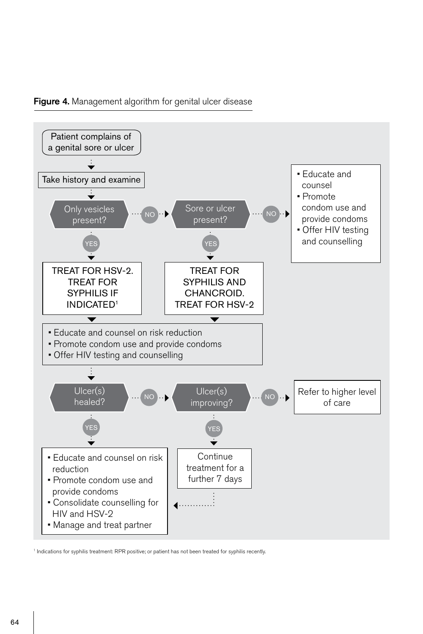### Figure 4. Management algorithm for genital ulcer disease



<sup>1</sup> Indications for syphilis treatment: RPR positive; or patient has not been treated for syphilis recently.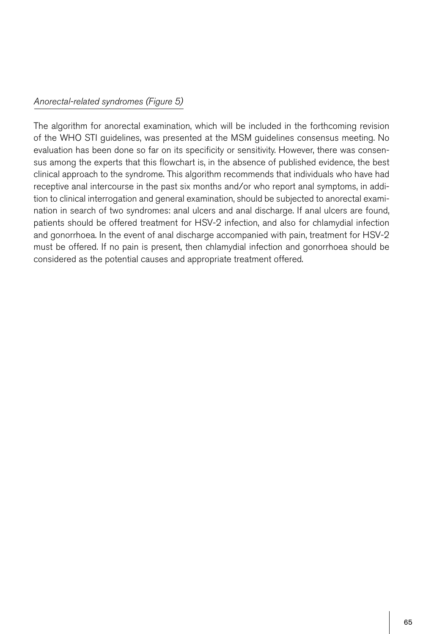# *Anorectal-related syndromes (Figure 5)*

The algorithm for anorectal examination, which will be included in the forthcoming revision of the WHO STI guidelines, was presented at the MSM guidelines consensus meeting. No evaluation has been done so far on its specificity or sensitivity. However, there was consensus among the experts that this flowchart is, in the absence of published evidence, the best clinical approach to the syndrome. This algorithm recommends that individuals who have had receptive anal intercourse in the past six months and/or who report anal symptoms, in addition to clinical interrogation and general examination, should be subjected to anorectal examination in search of two syndromes: anal ulcers and anal discharge. If anal ulcers are found, patients should be offered treatment for HSV-2 infection, and also for chlamydial infection and gonorrhoea. In the event of anal discharge accompanied with pain, treatment for HSV-2 must be offered. If no pain is present, then chlamydial infection and gonorrhoea should be considered as the potential causes and appropriate treatment offered.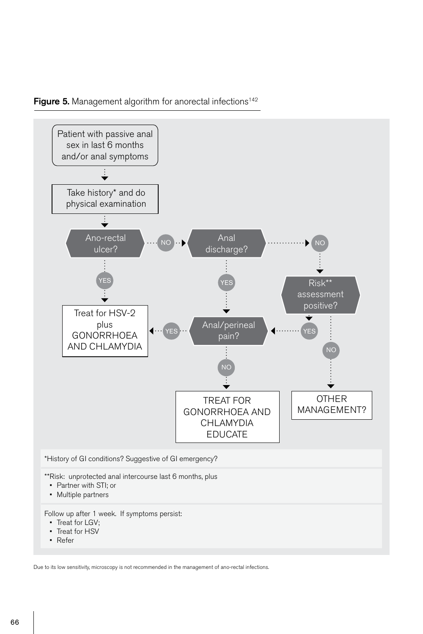



Due to its low sensitivity, microscopy is not recommended in the management of ano-rectal infections.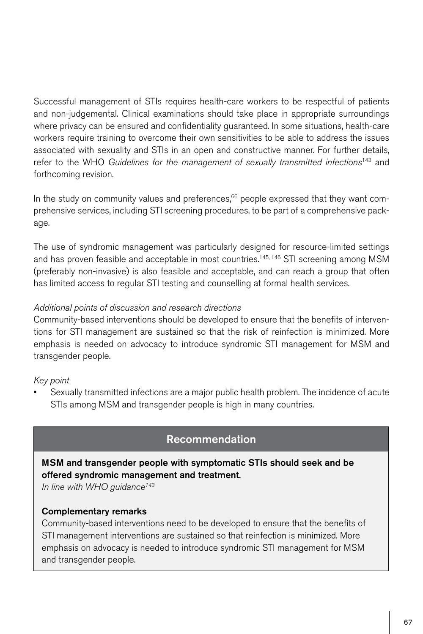Successful management of STIs requires health-care workers to be respectful of patients and non-judgemental. Clinical examinations should take place in appropriate surroundings where privacy can be ensured and confidentiality guaranteed. In some situations, health-care workers require training to overcome their own sensitivities to be able to address the issues associated with sexuality and STIs in an open and constructive manner. For further details, refer to the WHO *Guidelines for the management of sexually transmitted infections*143 and forthcoming revision.

In the study on community values and preferences, $66$  people expressed that they want comprehensive services, including STI screening procedures, to be part of a comprehensive package.

The use of syndromic management was particularly designed for resource-limited settings and has proven feasible and acceptable in most countries.<sup>145, 146</sup> STI screening among MSM (preferably non-invasive) is also feasible and acceptable, and can reach a group that often has limited access to regular STI testing and counselling at formal health services.

# *Additional points of discussion and research directions*

Community-based interventions should be developed to ensure that the benefits of interventions for STI management are sustained so that the risk of reinfection is minimized. More emphasis is needed on advocacy to introduce syndromic STI management for MSM and transgender people.

# *Key point*

Sexually transmitted infections are a major public health problem. The incidence of acute STIs among MSM and transgender people is high in many countries.

# Recommendation

MSM and transgender people with symptomatic STIs should seek and be offered syndromic management and treatment.

*In line with WHO guidance143*

# Complementary remarks

Community-based interventions need to be developed to ensure that the benefits of STI management interventions are sustained so that reinfection is minimized. More emphasis on advocacy is needed to introduce syndromic STI management for MSM and transgender people.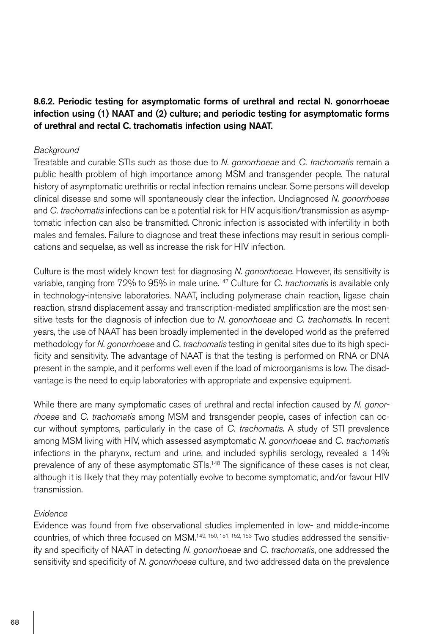8.6.2. Periodic testing for asymptomatic forms of urethral and rectal N. gonorrhoeae infection using (1) NAAT and (2) culture; and periodic testing for asymptomatic forms of urethral and rectal C. trachomatis infection using NAAT.

#### *Background*

Treatable and curable STIs such as those due to *N. gonorrhoeae* and *C. trachomatis* remain a public health problem of high importance among MSM and transgender people. The natural history of asymptomatic urethritis or rectal infection remains unclear. Some persons will develop clinical disease and some will spontaneously clear the infection. Undiagnosed *N. gonorrhoeae* and *C. trachomatis* infections can be a potential risk for HIV acquisition/transmission as asymptomatic infection can also be transmitted. Chronic infection is associated with infertility in both males and females. Failure to diagnose and treat these infections may result in serious complications and sequelae, as well as increase the risk for HIV infection.

Culture is the most widely known test for diagnosing *N. gonorrhoeae*. However, its sensitivity is variable, ranging from 72% to 95% in male urine.147 Culture for *C. trachomatis* is available only in technology-intensive laboratories. NAAT, including polymerase chain reaction, ligase chain reaction, strand displacement assay and transcription-mediated amplification are the most sensitive tests for the diagnosis of infection due to *N. gonorrhoeae* and *C. trachomatis*. In recent years, the use of NAAT has been broadly implemented in the developed world as the preferred methodology for *N. gonorrhoeae* and *C. trachomatis* testing in genital sites due to its high specificity and sensitivity. The advantage of NAAT is that the testing is performed on RNA or DNA present in the sample, and it performs well even if the load of microorganisms is low. The disadvantage is the need to equip laboratories with appropriate and expensive equipment.

While there are many symptomatic cases of urethral and rectal infection caused by *N. gonorrhoeae* and *C. trachomatis* among MSM and transgender people, cases of infection can occur without symptoms, particularly in the case of *C. trachomatis*. A study of STI prevalence among MSM living with HIV, which assessed asymptomatic *N. gonorrhoeae* and *C. trachomatis* infections in the pharynx, rectum and urine, and included syphilis serology, revealed a 14% prevalence of any of these asymptomatic STIs.<sup>148</sup> The significance of these cases is not clear, although it is likely that they may potentially evolve to become symptomatic, and/or favour HIV transmission.

### *Evidence*

Evidence was found from five observational studies implemented in low- and middle-income countries, of which three focused on MSM.149, 150, 151, 152, 153 Two studies addressed the sensitivity and specificity of NAAT in detecting *N. gonorrhoeae* and *C. trachomatis*, one addressed the sensitivity and specificity of *N. gonorrhoeae* culture, and two addressed data on the prevalence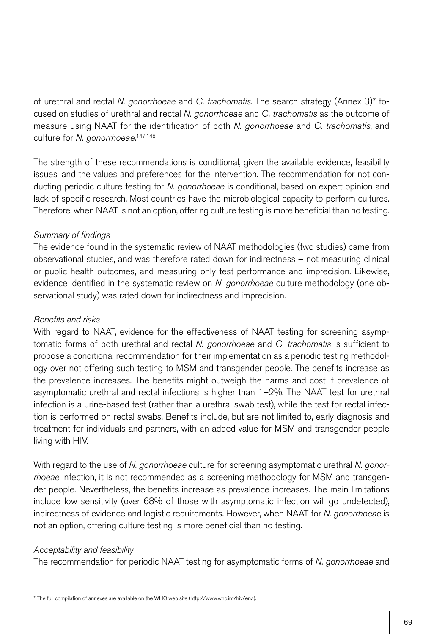of urethral and rectal *N. gonorrhoeae* and *C. trachomatis*. The search strategy (Annex 3)\* focused on studies of urethral and rectal *N. gonorrhoeae* and *C. trachomatis* as the outcome of measure using NAAT for the identification of both *N. gonorrhoeae* and *C. trachomatis*, and culture for *N. gonorrhoeae*. 147,148

The strength of these recommendations is conditional, given the available evidence, feasibility issues, and the values and preferences for the intervention. The recommendation for not conducting periodic culture testing for *N. gonorrhoeae* is conditional, based on expert opinion and lack of specific research. Most countries have the microbiological capacity to perform cultures. Therefore, when NAAT is not an option, offering culture testing is more beneficial than no testing.

# *Summary of findings*

The evidence found in the systematic review of NAAT methodologies (two studies) came from observational studies, and was therefore rated down for indirectness – not measuring clinical or public health outcomes, and measuring only test performance and imprecision. Likewise, evidence identified in the systematic review on *N. gonorrhoeae* culture methodology (one observational study) was rated down for indirectness and imprecision.

# *Benefits and risks*

With regard to NAAT, evidence for the effectiveness of NAAT testing for screening asymptomatic forms of both urethral and rectal *N. gonorrhoeae* and *C. trachomatis* is sufficient to propose a conditional recommendation for their implementation as a periodic testing methodology over not offering such testing to MSM and transgender people. The benefits increase as the prevalence increases. The benefits might outweigh the harms and cost if prevalence of asymptomatic urethral and rectal infections is higher than 1–2%. The NAAT test for urethral infection is a urine-based test (rather than a urethral swab test), while the test for rectal infection is performed on rectal swabs. Benefits include, but are not limited to, early diagnosis and treatment for individuals and partners, with an added value for MSM and transgender people living with HIV.

With regard to the use of *N. gonorrhoeae* culture for screening asymptomatic urethral *N. gonorrhoeae* infection, it is not recommended as a screening methodology for MSM and transgender people. Nevertheless, the benefits increase as prevalence increases. The main limitations include low sensitivity (over 68% of those with asymptomatic infection will go undetected), indirectness of evidence and logistic requirements. However, when NAAT for *N. gonorrhoeae* is not an option, offering culture testing is more beneficial than no testing.

# *Acceptability and feasibility*

The recommendation for periodic NAAT testing for asymptomatic forms of *N. gonorrhoeae* and

<sup>\*</sup> The full compilation of annexes are available on the WHO web site (http://www.who.int/hiv/en/).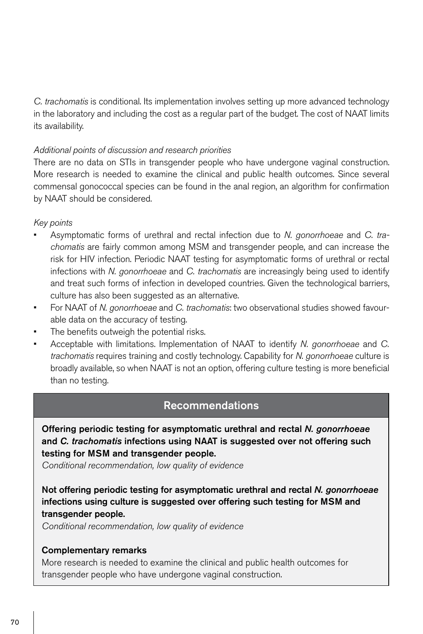*C. trachomatis* is conditional. Its implementation involves setting up more advanced technology in the laboratory and including the cost as a regular part of the budget. The cost of NAAT limits its availability.

# *Additional points of discussion and research priorities*

There are no data on STIs in transgender people who have undergone vaginal construction. More research is needed to examine the clinical and public health outcomes. Since several commensal gonococcal species can be found in the anal region, an algorithm for confirmation by NAAT should be considered.

### *Key points*

- Asymptomatic forms of urethral and rectal infection due to *N. gonorrhoeae* and *C. trachomatis* are fairly common among MSM and transgender people, and can increase the risk for HIV infection. Periodic NAAT testing for asymptomatic forms of urethral or rectal infections with *N. gonorrhoeae* and *C. trachomatis* are increasingly being used to identify and treat such forms of infection in developed countries. Given the technological barriers, culture has also been suggested as an alternative.
- For NAAT of *N. gonorrhoeae* and *C. trachomatis*: two observational studies showed favourable data on the accuracy of testing.
- The benefits outweigh the potential risks.
- Acceptable with limitations. Implementation of NAAT to identify *N. gonorrhoeae* and *C. trachomatis* requires training and costly technology. Capability for *N. gonorrhoeae* culture is broadly available, so when NAAT is not an option, offering culture testing is more beneficial than no testing.

# Recommendations

Offering periodic testing for asymptomatic urethral and rectal *N. gonorrhoeae* and *C. trachomatis* infections using NAAT is suggested over not offering such testing for MSM and transgender people.

*Conditional recommendation, low quality of evidence*

Not offering periodic testing for asymptomatic urethral and rectal *N. gonorrhoeae* infections using culture is suggested over offering such testing for MSM and transgender people.

*Conditional recommendation, low quality of evidence*

### Complementary remarks

More research is needed to examine the clinical and public health outcomes for transgender people who have undergone vaginal construction.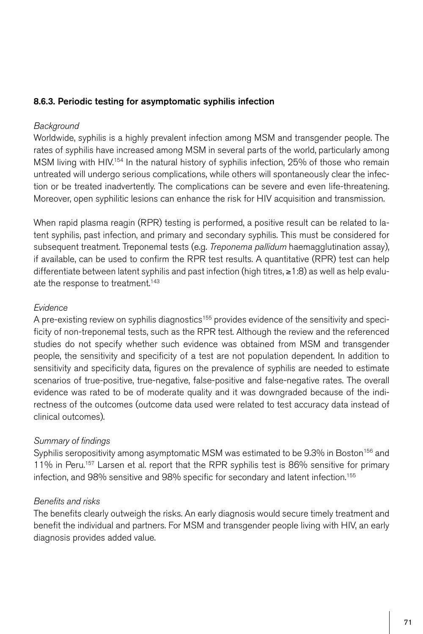# 8.6.3. Periodic testing for asymptomatic syphilis infection

### *Background*

Worldwide, syphilis is a highly prevalent infection among MSM and transgender people. The rates of syphilis have increased among MSM in several parts of the world, particularly among MSM living with HIV.<sup>154</sup> In the natural history of syphilis infection, 25% of those who remain untreated will undergo serious complications, while others will spontaneously clear the infection or be treated inadvertently. The complications can be severe and even life-threatening. Moreover, open syphilitic lesions can enhance the risk for HIV acquisition and transmission.

When rapid plasma reagin (RPR) testing is performed, a positive result can be related to latent syphilis, past infection, and primary and secondary syphilis. This must be considered for subsequent treatment. Treponemal tests (e.g. *Treponema pallidum* haemagglutination assay), if available, can be used to confirm the RPR test results. A quantitative (RPR) test can help differentiate between latent syphilis and past infection (high titres, ≥1:8) as well as help evaluate the response to treatment.<sup>143</sup>

### *Evidence*

A pre-existing review on syphilis diagnostics<sup>155</sup> provides evidence of the sensitivity and specificity of non-treponemal tests, such as the RPR test. Although the review and the referenced studies do not specify whether such evidence was obtained from MSM and transgender people, the sensitivity and specificity of a test are not population dependent. In addition to sensitivity and specificity data, figures on the prevalence of syphilis are needed to estimate scenarios of true-positive, true-negative, false-positive and false-negative rates. The overall evidence was rated to be of moderate quality and it was downgraded because of the indirectness of the outcomes (outcome data used were related to test accuracy data instead of clinical outcomes).

# *Summary of findings*

Syphilis seropositivity among asymptomatic MSM was estimated to be 9.3% in Boston<sup>156</sup> and 11% in Peru.<sup>157</sup> Larsen et al. report that the RPR syphilis test is 86% sensitive for primary infection, and 98% sensitive and 98% specific for secondary and latent infection.<sup>155</sup>

# *Benefits and risks*

The benefits clearly outweigh the risks. An early diagnosis would secure timely treatment and benefit the individual and partners. For MSM and transgender people living with HIV, an early diagnosis provides added value.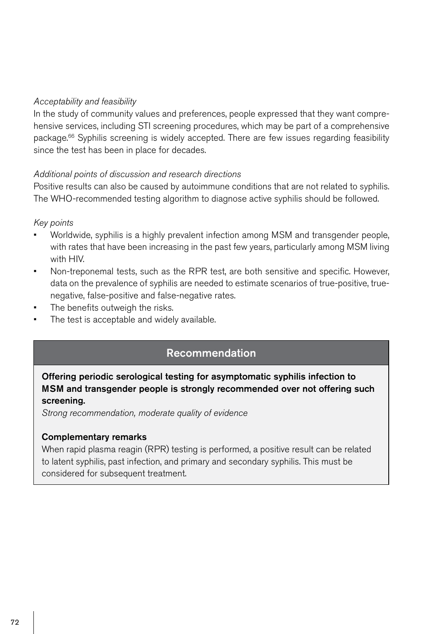### *Acceptability and feasibility*

In the study of community values and preferences, people expressed that they want comprehensive services, including STI screening procedures, which may be part of a comprehensive package.66 Syphilis screening is widely accepted. There are few issues regarding feasibility since the test has been in place for decades.

### *Additional points of discussion and research directions*

Positive results can also be caused by autoimmune conditions that are not related to syphilis. The WHO-recommended testing algorithm to diagnose active syphilis should be followed.

### *Key points*

- Worldwide, syphilis is a highly prevalent infection among MSM and transgender people, with rates that have been increasing in the past few years, particularly among MSM living with HIV.
- Non-treponemal tests, such as the RPR test, are both sensitive and specific. However, data on the prevalence of syphilis are needed to estimate scenarios of true-positive, truenegative, false-positive and false-negative rates.
- The benefits outweigh the risks.
- The test is acceptable and widely available.

# Recommendation

Offering periodic serological testing for asymptomatic syphilis infection to MSM and transgender people is strongly recommended over not offering such screening.

*Strong recommendation, moderate quality of evidence*

### Complementary remarks

When rapid plasma reagin (RPR) testing is performed, a positive result can be related to latent syphilis, past infection, and primary and secondary syphilis. This must be considered for subsequent treatment.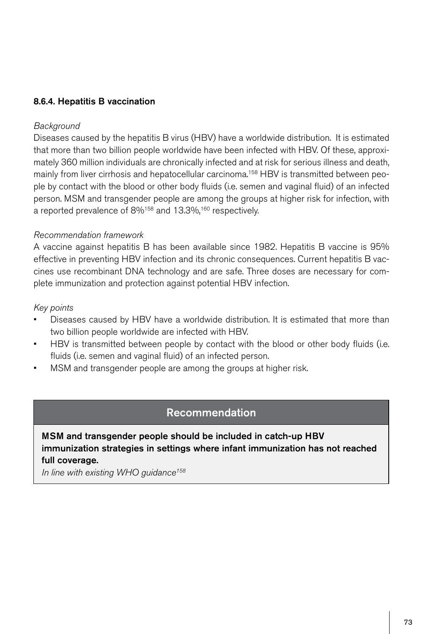## 8.6.4. Hepatitis B vaccination

#### *Background*

Diseases caused by the hepatitis B virus (HBV) have a worldwide distribution. It is estimated that more than two billion people worldwide have been infected with HBV. Of these, approximately 360 million individuals are chronically infected and at risk for serious illness and death, mainly from liver cirrhosis and hepatocellular carcinoma.<sup>158</sup> HBV is transmitted between people by contact with the blood or other body fluids (i.e. semen and vaginal fluid) of an infected person. MSM and transgender people are among the groups at higher risk for infection, with a reported prevalence of 8%<sup>158</sup> and 13.3%,<sup>160</sup> respectively.

#### *Recommendation framework*

A vaccine against hepatitis B has been available since 1982. Hepatitis B vaccine is 95% effective in preventing HBV infection and its chronic consequences. Current hepatitis B vaccines use recombinant DNA technology and are safe. Three doses are necessary for complete immunization and protection against potential HBV infection.

#### *Key points*

- Diseases caused by HBV have a worldwide distribution. It is estimated that more than two billion people worldwide are infected with HBV.
- HBV is transmitted between people by contact with the blood or other body fluids (i.e. fluids (i.e. semen and vaginal fluid) of an infected person.
- MSM and transgender people are among the groups at higher risk.

# Recommendation

MSM and transgender people should be included in catch-up HBV immunization strategies in settings where infant immunization has not reached full coverage.

*In line with existing WHO guidance158*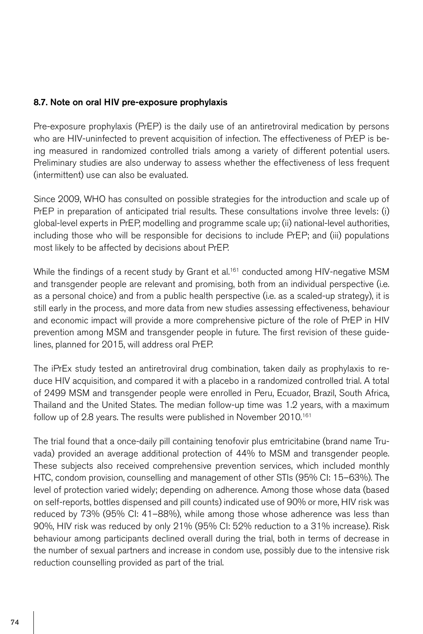### 8.7. Note on oral HIV pre-exposure prophylaxis

Pre-exposure prophylaxis (PrEP) is the daily use of an antiretroviral medication by persons who are HIV-uninfected to prevent acquisition of infection. The effectiveness of PrEP is being measured in randomized controlled trials among a variety of different potential users. Preliminary studies are also underway to assess whether the effectiveness of less frequent (intermittent) use can also be evaluated.

Since 2009, WHO has consulted on possible strategies for the introduction and scale up of PrEP in preparation of anticipated trial results. These consultations involve three levels: (i) global-level experts in PrEP, modelling and programme scale up; (ii) national-level authorities, including those who will be responsible for decisions to include PrEP; and (iii) populations most likely to be affected by decisions about PrEP.

While the findings of a recent study by Grant et al.<sup>161</sup> conducted among HIV-negative MSM and transgender people are relevant and promising, both from an individual perspective (i.e. as a personal choice) and from a public health perspective (i.e. as a scaled-up strategy), it is still early in the process, and more data from new studies assessing effectiveness, behaviour and economic impact will provide a more comprehensive picture of the role of PrEP in HIV prevention among MSM and transgender people in future. The first revision of these guidelines, planned for 2015, will address oral PrEP.

The iPrEx study tested an antiretroviral drug combination, taken daily as prophylaxis to reduce HIV acquisition, and compared it with a placebo in a randomized controlled trial. A total of 2499 MSM and transgender people were enrolled in Peru, Ecuador, Brazil, South Africa, Thailand and the United States. The median follow-up time was 1.2 years, with a maximum follow up of 2.8 years. The results were published in November 2010.161

The trial found that a once-daily pill containing tenofovir plus emtricitabine (brand name Truvada) provided an average additional protection of 44% to MSM and transgender people. These subjects also received comprehensive prevention services, which included monthly HTC, condom provision, counselling and management of other STIs (95% CI: 15–63%). The level of protection varied widely; depending on adherence. Among those whose data (based on self-reports, bottles dispensed and pill counts) indicated use of 90% or more, HIV risk was reduced by 73% (95% CI: 41–88%), while among those whose adherence was less than 90%, HIV risk was reduced by only 21% (95% CI: 52% reduction to a 31% increase). Risk behaviour among participants declined overall during the trial, both in terms of decrease in the number of sexual partners and increase in condom use, possibly due to the intensive risk reduction counselling provided as part of the trial.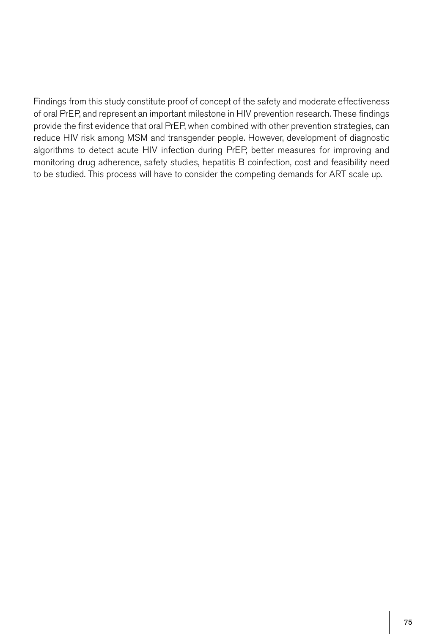Findings from this study constitute proof of concept of the safety and moderate effectiveness of oral PrEP, and represent an important milestone in HIV prevention research. These findings provide the first evidence that oral PrEP, when combined with other prevention strategies, can reduce HIV risk among MSM and transgender people. However, development of diagnostic algorithms to detect acute HIV infection during PrEP, better measures for improving and monitoring drug adherence, safety studies, hepatitis B coinfection, cost and feasibility need to be studied. This process will have to consider the competing demands for ART scale up.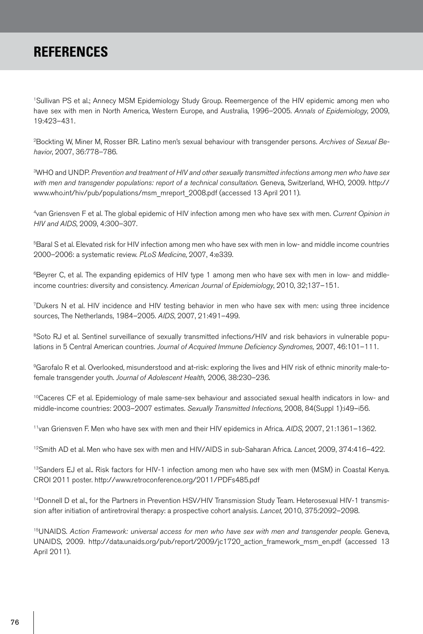# **REFERENCES**

1Sullivan PS et al.; Annecy MSM Epidemiology Study Group. Reemergence of the HIV epidemic among men who have sex with men in North America, Western Europe, and Australia, 1996–2005. *Annals of Epidemiology*, 2009, 19:423–431.

2Bockting W, Miner M, Rosser BR. Latino men's sexual behaviour with transgender persons. *Archives of Sexual Behavior*, 2007, 36:778–786.

3WHO and UNDP. *Prevention and treatment of HIV and other sexually transmitted infections among men who have sex with men and transgender populations: report of a technical consultation*. Geneva, Switzerland, WHO, 2009. http:// www.who.int/hiv/pub/populations/msm\_mreport\_2008.pdf (accessed 13 April 2011).

4van Griensven F et al. The global epidemic of HIV infection among men who have sex with men. *Current Opinion in HIV and AIDS*, 2009, 4:300–307.

5Baral S et al. Elevated risk for HIV infection among men who have sex with men in low- and middle income countries 2000–2006: a systematic review. *PLoS Medicine*, 2007, 4:e339.

<sup>6</sup>Beyrer C, et al. The expanding epidemics of HIV type 1 among men who have sex with men in low- and middleincome countries: diversity and consistency. *American Journal of Epidemiology*, 2010, 32;137–151.

7Dukers N et al. HIV incidence and HIV testing behavior in men who have sex with men: using three incidence sources, The Netherlands, 1984–2005. *AIDS*, 2007, 21:491–499.

<sup>8</sup>Soto RJ et al. Sentinel surveillance of sexually transmitted infections/HIV and risk behaviors in vulnerable populations in 5 Central American countries. *Journal of Acquired Immune Deficiency Syndromes,* 2007, 46:101–111.

9Garofalo R et al. Overlooked, misunderstood and at-risk: exploring the lives and HIV risk of ethnic minority male-tofemale transgender youth. *Journal of Adolescent Health,* 2006, 38:230–236.

<sup>10</sup>Caceres CF et al. Epidemiology of male same-sex behaviour and associated sexual health indicators in low- and middle-income countries: 2003–2007 estimates. *Sexually Transmitted Infections*, 2008, 84(Suppl 1):i49–i56.

11van Griensven F. Men who have sex with men and their HIV epidemics in Africa. *AIDS*, 2007, 21:1361–1362.

12Smith AD et al. Men who have sex with men and HIV/AIDS in sub-Saharan Africa. *Lancet*, 2009, 374:416–422.

<sup>13</sup>Sanders EJ et al.. Risk factors for HIV-1 infection among men who have sex with men (MSM) in Coastal Kenya. CROI 2011 poster. http://www.retroconference.org/2011/PDFs485.pdf

14Donnell D et al., for the Partners in Prevention HSV/HIV Transmission Study Team. Heterosexual HIV-1 transmission after initiation of antiretroviral therapy: a prospective cohort analysis. *Lancet*, 2010, 375:2092–2098.

15UNAIDS. *Action Framework: universal access for men who have sex with men and transgender people*. Geneva, UNAIDS, 2009. http://data.unaids.org/pub/report/2009/jc1720\_action\_framework\_msm\_en.pdf (accessed 13 April 2011).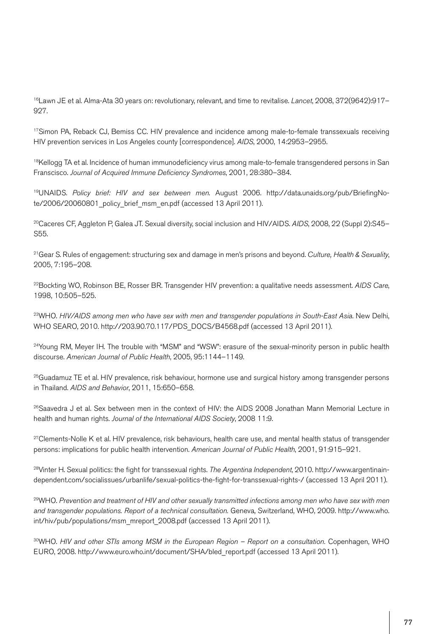16Lawn JE et al. Alma-Ata 30 years on: revolutionary, relevant, and time to revitalise. *Lancet*, 2008, 372(9642):917– 927.

<sup>17</sup>Simon PA, Reback CJ, Bemiss CC. HIV prevalence and incidence among male-to-female transsexuals receiving HIV prevention services in Los Angeles county [correspondence]. *AIDS*, 2000, 14:2953–2955.

<sup>18</sup>Kellogg TA et al. Incidence of human immunodeficiency virus among male-to-female transgendered persons in San Franscisco. *Journal of Acquired Immune Deficiency Syndromes*, 2001, 28:380–384.

19UNAIDS. *Policy brief: HIV and sex between men*. August 2006. http://data.unaids.org/pub/BriefingNote/2006/20060801\_policy\_brief\_msm\_en.pdf (accessed 13 April 2011).

20Caceres CF, Aggleton P, Galea JT. Sexual diversity, social inclusion and HIV/AIDS. *AIDS*, 2008, 22 (Suppl 2):S45– S55.

21Gear S. Rules of engagement: structuring sex and damage in men's prisons and beyond. *Culture, Health & Sexuality*, 2005, 7:195–208.

22Bockting WO, Robinson BE, Rosser BR. Transgender HIV prevention: a qualitative needs assessment. *AIDS Care*, 1998, 10:505–525.

23WHO. *HIV/AIDS among men who have sex with men and transgender populations in South-East Asia*. New Delhi, WHO SEARO, 2010. http://203.90.70.117/PDS\_DOCS/B4568.pdf (accessed 13 April 2011).

<sup>24</sup>Young RM, Meyer IH. The trouble with "MSM" and "WSW": erasure of the sexual-minority person in public health discourse. *American Journal of Public Health*, 2005, 95:1144–1149.

<sup>25</sup>Guadamuz TE et al. HIV prevalence, risk behaviour, hormone use and surgical history among transgender persons in Thailand. *AIDS and Behavior*, 2011, 15:650–658.

<sup>26</sup>Saavedra J et al. Sex between men in the context of HIV: the AIDS 2008 Jonathan Mann Memorial Lecture in health and human rights. *Journal of the International AIDS Society*, 2008 11:9.

 $27$ Clements-Nolle K et al. HIV prevalence, risk behaviours, health care use, and mental health status of transgender persons: implications for public health intervention. *American Journal of Public Health*, 2001, 91:915–921.

28Vinter H. Sexual politics: the fight for transsexual rights. *The Argentina Independent*, 2010. http://www.argentinaindependent.com/socialissues/urbanlife/sexual-politics-the-fight-for-transsexual-rights-/ (accessed 13 April 2011).

29WHO. *Prevention and treatment of HIV and other sexually transmitted infections among men who have sex with men and transgender populations. Report of a technical consultation.* Geneva, Switzerland, WHO, 2009. http://www.who. int/hiv/pub/populations/msm\_mreport\_2008.pdf (accessed 13 April 2011).

30WHO. *HIV and other STIs among MSM in the European Region – Report on a consultation.* Copenhagen, WHO EURO, 2008. http://www.euro.who.int/document/SHA/bled\_report.pdf (accessed 13 April 2011).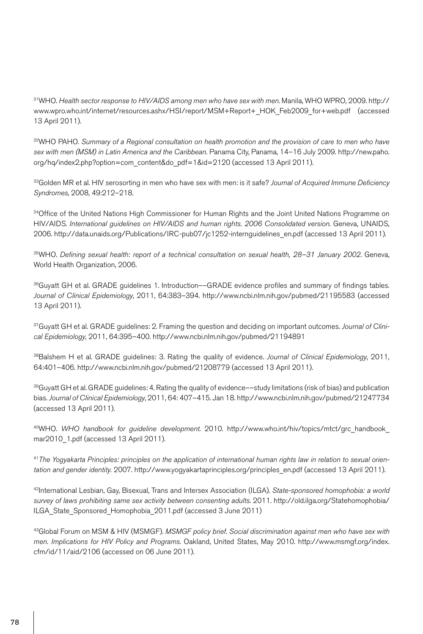31WHO. *Health sector response to HIV/AIDS among men who have sex with men*. Manila, WHO WPRO, 2009. http:// www.wpro.who.int/internet/resources.ashx/HSI/report/MSM+Report+\_HOK\_Feb2009\_for+web.pdf (accessed 13 April 2011).

32WHO PAHO. *Summary of a Regional consultation on health promotion and the provision of care to men who have sex with men (MSM) in Latin America and the Caribbean.* Panama City, Panama, 14–16 July 2009. http://new.paho. org/hq/index2.php?option=com\_content&do\_pdf=1&id=2120 (accessed 13 April 2011).

33Golden MR et al. HIV serosorting in men who have sex with men: is it safe? *Journal of Acquired Immune Deficiency Syndromes*, 2008, 49:212–218.

<sup>34</sup>Office of the United Nations High Commissioner for Human Rights and the Joint United Nations Programme on HIV/AIDS. *International guidelines on HIV/AIDS and human rights. 2006 Consolidated version*. Geneva, UNAIDS, 2006. http://data.unaids.org/Publications/IRC-pub07/jc1252-internguidelines\_en.pdf (accessed 13 April 2011).

35WHO. *Defining sexual health: report of a technical consultation on sexual health, 28–31 January 2002*. Geneva, World Health Organization, 2006.

36Guyatt GH et al. GRADE quidelines 1. Introduction––GRADE evidence profiles and summary of findings tables. *Journal of Clinical Epidemiology*, 2011, 64:383–394. http://www.ncbi.nlm.nih.gov/pubmed/21195583 (accessed 13 April 2011).

37Guyatt GH et al. GRADE guidelines: 2. Framing the question and deciding on important outcomes. *Journal of Clinical Epidemiology*, 2011, 64:395–400. http://www.ncbi.nlm.nih.gov/pubmed/21194891

38Balshem H et al. GRADE guidelines: 3. Rating the quality of evidence. *Journal of Clinical Epidemiology*, 2011, 64:401–406. http://www.ncbi.nlm.nih.gov/pubmed/21208779 (accessed 13 April 2011).

 $39$ Guyatt GH et al. GRADE guidelines: 4. Rating the quality of evidence––study limitations (risk of bias) and publication bias. *Journal of Clinical Epidemiology*, 2011, 64: 407–415. Jan 18. http://www.ncbi.nlm.nih.gov/pubmed/21247734 (accessed 13 April 2011).

40WHO. *WHO handbook for guideline development*. 2010. http://www.who.int/hiv/topics/mtct/grc\_handbook\_ mar2010\_1.pdf (accessed 13 April 2011).

41*The Yogyakarta Principles: principles on the application of international human rights law in relation to sexual orientation and gender identity.* 2007. http://www.yogyakartaprinciples.org/principles\_en.pdf (accessed 13 April 2011).

42International Lesbian, Gay, Bisexual, Trans and Intersex Association (ILGA). *State-sponsored homophobia: a world survey of laws prohibiting same sex activity between consenting adults*. 2011. http://old.ilga.org/Statehomophobia/ ILGA\_State\_Sponsored\_Homophobia\_2011.pdf (accessed 3 June 2011)

43Global Forum on MSM & HIV (MSMGF). *MSMGF policy brief. Social discrimination against men who have sex with men. Implications for HIV Policy and Programs*. Oakland, United States, May 2010. http://www.msmgf.org/index. cfm/id/11/aid/2106 (accessed on 06 June 2011).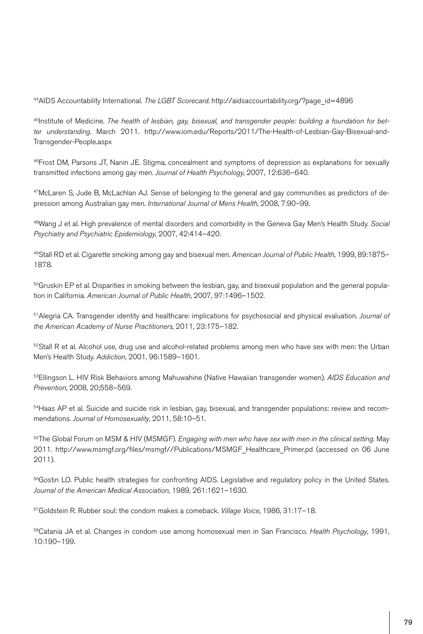44AIDS Accountability International. *The LGBT Scorecard*. http://aidsaccountability.org/?page\_id=4896

45Institute of Medicine. *The health of lesbian, gay, bisexual, and transgender people: building a foundation for better understanding*. March 2011. http://www.iom.edu/Reports/2011/The-Health-of-Lesbian-Gay-Bisexual-and-Transgender-People.aspx

46Frost DM, Parsons JT, Nanin JE. Stigma, concealment and symptoms of depression as explanations for sexually transmitted infections among gay men. *Journal of Health Psychology*, 2007, 12:636–640.

47McLaren S, Jude B, McLachlan AJ. Sense of belonging to the general and gay communities as predictors of depression among Australian gay men. *International Journal of Mens Health*, 2008, 7:90–99.

48Wang J et al. High prevalence of mental disorders and comorbidity in the Geneva Gay Men's Health Study. *Social Psychiatry and Psychiatric Epidemiology*, 2007, 42:414–420.

49Stall RD et al. Cigarette smoking among gay and bisexual men. *American Journal of Public Health*, 1999, 89:1875– 1878.

 $50$ Gruskin EP et al. Disparities in smoking between the lesbian, gay, and bisexual population and the general population in California. *American Journal of Public Health*, 2007, 97:1496–1502.

51Alegria CA. Transgender identity and healthcare: implications for psychosocial and physical evaluation. *Journal of the American Academy of Nurse Practitioners*, 2011, 23:175–182.

 $52$ Stall R et al. Alcohol use, drug use and alcohol-related problems among men who have sex with men: the Urban Men's Health Study. *Addiction*, 2001, 96:1589–1601.

53Ellingson L. HIV Risk Behaviors among Mahuwahine (Native Hawaiian transgender women). *AIDS Education and Prevention*, 2008, 20;558–569.

<sup>54</sup>Haas AP et al. Suicide and suicide risk in lesbian, gay, bisexual, and transgender populations: review and recommendations. *Journal of Homosexuality*, 2011, 58:10–51.

55The Global Forum on MSM & HIV (MSMGF). *Engaging with men who have sex with men in the clinical setting.* May 2011. http://www.msmgf.org/files/msmgf//Publications/MSMGF\_Healthcare\_Primer.pd (accessed on 06 June 2011).

<sup>56</sup>Gostin LO. Public health strategies for confronting AIDS. Legislative and regulatory policy in the United States. *Journal of the American Medical Association*, 1989, 261:1621–1630.

57Goldstein R. Rubber soul: the condom makes a comeback. *Village Voice*, 1986, 31:17–18.

58Catania JA et al. Changes in condom use among homosexual men in San Francisco. *Health Psychology*, 1991, 10:190–199.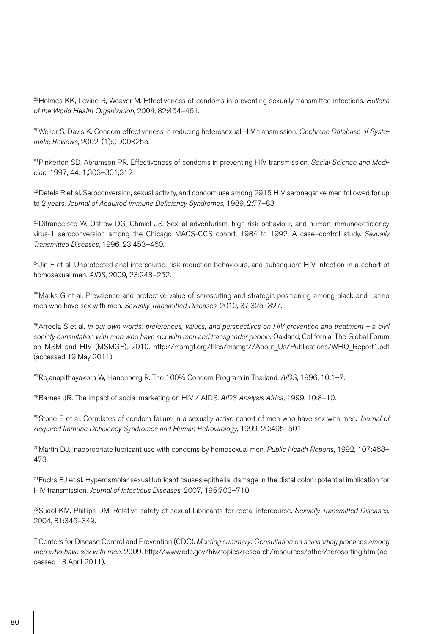59Holmes KK, Levine R, Weaver M. Effectiveness of condoms in preventing sexually transmitted infections. *Bulletin of the World Health Organization*, 2004, 82:454–461.

<sup>60</sup>Weller S, Davis K. Condom effectiveness in reducing heterosexual HIV transmission. Cochrane Database of Syste*matic Reviews*, 2002, (1):CD003255.

61Pinkerton SD, Abramson PR. Effectiveness of condoms in preventing HIV transmission. *Social Science and Medicine*, 1997, 44: 1,303–301,312.

 $62$ Detels R et al. Seroconversion, sexual activity, and condom use among 2915 HIV seronegative men followed for up to 2 years. *Journal of Acquired Immune Deficiency Syndromes*, 1989, 2:77–83.

63Difranceisco W, Ostrow DG, Chmiel JS. Sexual adventurism, high-risk behaviour, and human immunodeficiency virus-1 seroconversion among the Chicago MACS-CCS cohort, 1984 to 1992. A case–control study. *Sexually Transmitted Diseases*, 1996, 23:453–460.

<sup>64</sup>Jin F et al. Unprotected anal intercourse, risk reduction behaviours, and subsequent HIV infection in a cohort of homosexual men. *AIDS*, 2009, 23:243–252.

<sup>65</sup>Marks G et al. Prevalence and protective value of serosorting and strategic positioning among black and Latino men who have sex with men. *Sexually Transmitted Diseases*, 2010, 37:325–327.

66Arreola S et al. *In our own words: preferences, values, and perspectives on HIV prevention and treatment – a civil*  society consultation with men who have sex with men and transgender people. Oakland, California, The Global Forum on MSM and HIV (MSMGF), 2010. http://msmgf.org/files/msmgf//About\_Us/Publications/WHO\_Report1.pdf (accessed 19 May 2011)

67Rojanapithayakorn W, Hanenberg R. The 100% Condom Program in Thailand. *AIDS*, 1996, 10:1–7.

68Barnes JR. The impact of social marketing on HIV / AIDS. *AIDS Analysis Africa*, 1999, 10:8–10.

69Stone E et al. Correlates of condom failure in a sexually active cohort of men who have sex with men. *Journal of Acquired Immune Deficiency Syndromes and Human Retrovirology*, 1999, 20:495–501.

70Martin DJ. Inappropriate lubricant use with condoms by homosexual men. *Public Health Reports*, 1992, 107:468– 473.

71Fuchs EJ et al. Hyperosmolar sexual lubricant causes epithelial damage in the distal colon: potential implication for HIV transmission. *Journal of Infectious Diseases*, 2007, 195:703–710.

72Sudol KM, Phillips DM. Relative safety of sexual lubricants for rectal intercourse. *Sexually Transmitted Diseases*, 2004, 31:346–349.

73Centers for Disease Control and Prevention (CDC). *Meeting summary: Consultation on serosorting practices among men who have sex with men*. 2009. http://www.cdc.gov/hiv/topics/research/resources/other/serosorting.htm (accessed 13 April 2011).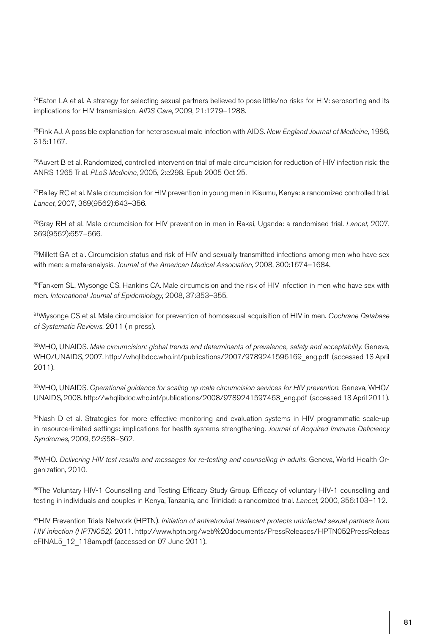$74$ Eaton LA et al. A strategy for selecting sexual partners believed to pose little/no risks for HIV: serosorting and its implications for HIV transmission. *AIDS Care*, 2009, 21:1279–1288.

75Fink AJ. A possible explanation for heterosexual male infection with AIDS. *New England Journal of Medicine*, 1986, 315:1167.

76Auvert B et al. Randomized, controlled intervention trial of male circumcision for reduction of HIV infection risk: the ANRS 1265 Trial. *PLoS Medicine*, 2005, 2:e298. Epub 2005 Oct 25.

77Bailey RC et al. Male circumcision for HIV prevention in young men in Kisumu, Kenya: a randomized controlled trial. *Lancet*, 2007, 369(9562):643–356.

78Gray RH et al. Male circumcision for HIV prevention in men in Rakai, Uganda: a randomised trial. *Lancet*, 2007, 369(9562):657–666.

79Millett GA et al. Circumcision status and risk of HIV and sexually transmitted infections among men who have sex with men: a meta-analysis. *Journal of the American Medical Association*, 2008, 300:1674–1684.

80Fankem SL, Wiysonge CS, Hankins CA. Male circumcision and the risk of HIV infection in men who have sex with men. *International Journal of Epidemiology*, 2008, 37:353–355.

81Wiysonge CS et al. Male circumcision for prevention of homosexual acquisition of HIV in men. *Cochrane Database of Systematic Reviews*, 2011 (in press).

82WHO, UNAIDS. *Male circumcision: global trends and determinants of prevalence, safety and acceptability*. Geneva, WHO/UNAIDS, 2007. http://whqlibdoc.who.int/publications/2007/9789241596169\_eng.pdf (accessed 13 April 2011).

83WHO, UNAIDS. *Operational guidance for scaling up male circumcision services for HIV prevention*. Geneva, WHO/ UNAIDS, 2008. http://whqlibdoc.who.int/publications/2008/9789241597463\_eng.pdf (accessed 13 April 2011).

84Nash D et al. Strategies for more effective monitoring and evaluation systems in HIV programmatic scale-up in resource-limited settings: implications for health systems strengthening. *Journal of Acquired Immune Deficiency Syndromes*, 2009, 52:S58–S62.

85WHO. *Delivering HIV test results and messages for re-testing and counselling in adults*. Geneva, World Health Organization, 2010.

86The Voluntary HIV-1 Counselling and Testing Efficacy Study Group. Efficacy of voluntary HIV-1 counselling and testing in individuals and couples in Kenya, Tanzania, and Trinidad: a randomized trial. *Lancet*, 2000, 356:103–112.

87HIV Prevention Trials Network (HPTN). *Initiation of antiretroviral treatment protects uninfected sexual partners from HIV infection (HPTN052)*. 2011. http://www.hptn.org/web%20documents/PressReleases/HPTN052PressReleas eFINAL5\_12\_118am.pdf (accessed on 07 June 2011).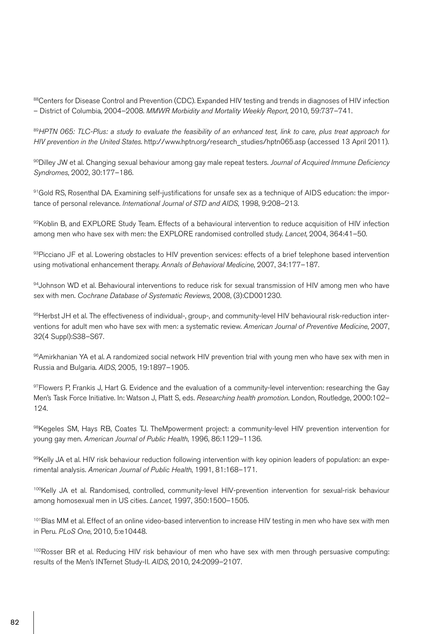88Centers for Disease Control and Prevention (CDC). Expanded HIV testing and trends in diagnoses of HIV infection – District of Columbia, 2004–2008. *MMWR Morbidity and Mortality Weekly Report*, 2010, 59:737–741.

89*HPTN 065: TLC-Plus: a study to evaluate the feasibility of an enhanced test, link to care, plus treat approach for HIV prevention in the United States*. http://www.hptn.org/research\_studies/hptn065.asp (accessed 13 April 2011).

90Dilley JW et al. Changing sexual behaviour among gay male repeat testers. *Journal of Acquired Immune Deficiency Syndromes*, 2002, 30:177–186.

91Gold RS, Rosenthal DA. Examining self-justifications for unsafe sex as a technique of AIDS education: the importance of personal relevance. *International Journal of STD and AIDS*, 1998, 9:208–213.

92Koblin B, and EXPLORE Study Team. Effects of a behavioural intervention to reduce acquisition of HIV infection among men who have sex with men: the EXPLORE randomised controlled study. *Lancet*, 2004, 364:41–50.

93Picciano JF et al. Lowering obstacles to HIV prevention services: effects of a brief telephone based intervention using motivational enhancement therapy. *Annals of Behavioral Medicine*, 2007, 34:177–187.

94Johnson WD et al. Behavioural interventions to reduce risk for sexual transmission of HIV among men who have sex with men. *Cochrane Database of Systematic Reviews*, 2008, (3):CD001230.

95Herbst JH et al. The effectiveness of individual-, group-, and community-level HIV behavioural risk-reduction interventions for adult men who have sex with men: a systematic review. *American Journal of Preventive Medicine*, 2007, 32(4 Suppl):S38–S67.

96Amirkhanian YA et al. A randomized social network HIV prevention trial with young men who have sex with men in Russia and Bulgaria. *AIDS*, 2005, 19:1897–1905.

 $97$ Flowers P, Frankis J, Hart G. Evidence and the evaluation of a community-level intervention: researching the Gay Men's Task Force Initiative. In: Watson J, Platt S, eds. *Researching health promotion*. London, Routledge, 2000:102– 124.

98Kegeles SM, Hays RB, Coates TJ. TheMpowerment project: a community-level HIV prevention intervention for young gay men. *American Journal of Public Health*, 1996, 86:1129–1136.

99Kelly JA et al. HIV risk behaviour reduction following intervention with key opinion leaders of population: an experimental analysis. *American Journal of Public Health*, 1991, 81:168–171.

100Kelly JA et al. Randomised, controlled, community-level HIV-prevention intervention for sexual-risk behaviour among homosexual men in US cities. *Lancet*, 1997, 350:1500–1505.

101 Blas MM et al. Effect of an online video-based intervention to increase HIV testing in men who have sex with men in Peru. *PLoS One*, 2010, 5:e10448.

102 Rosser BR et al. Reducing HIV risk behaviour of men who have sex with men through persuasive computing: results of the Men's INTernet Study-II. *AIDS*, 2010, 24:2099–2107.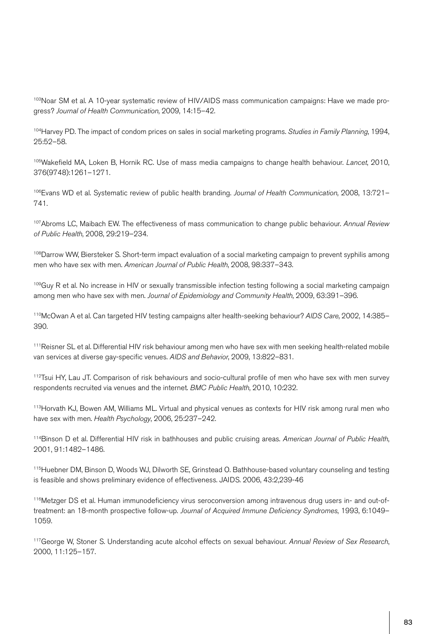103Noar SM et al. A 10-year systematic review of HIV/AIDS mass communication campaigns: Have we made progress? *Journal of Health Communication*, 2009, 14:15–42.

104Harvey PD. The impact of condom prices on sales in social marketing programs. *Studies in Family Planning*, 1994, 25:52–58.

105Wakefield MA, Loken B, Hornik RC. Use of mass media campaigns to change health behaviour. *Lancet*, 2010, 376(9748):1261–1271.

106Evans WD et al. Systematic review of public health branding. *Journal of Health Communication*, 2008, 13:721– 741.

107Abroms LC, Maibach EW. The effectiveness of mass communication to change public behaviour. *Annual Review of Public Health*, 2008, 29:219–234.

<sup>108</sup>Darrow WW, Biersteker S. Short-term impact evaluation of a social marketing campaign to prevent syphilis among men who have sex with men. *American Journal of Public Health*, 2008, 98:337–343.

<sup>109</sup>Guy R et al. No increase in HIV or sexually transmissible infection testing following a social marketing campaign among men who have sex with men. *Journal of Epidemiology and Community Health*, 2009, 63:391–396.

110McOwan A et al. Can targeted HIV testing campaigns alter health-seeking behaviour? *AIDS Care*, 2002, 14:385– 390.

111Reisner SL et al. Differential HIV risk behaviour among men who have sex with men seeking health-related mobile van services at diverse gay-specific venues. *AIDS and Behavior*, 2009, 13:822–831.

112Tsui HY, Lau JT. Comparison of risk behaviours and socio-cultural profile of men who have sex with men survey respondents recruited via venues and the internet. *BMC Public Health*, 2010, 10:232.

113Horvath KJ, Bowen AM, Williams ML. Virtual and physical venues as contexts for HIV risk among rural men who have sex with men. *Health Psychology*, 2006, 25:237–242.

114Binson D et al. Differential HIV risk in bathhouses and public cruising areas. *American Journal of Public Health*, 2001, 91:1482–1486.

115Huebner DM, Binson D, Woods WJ, Dilworth SE, Grinstead O. Bathhouse-based voluntary counseling and testing is feasible and shows preliminary evidence of effectiveness. JAIDS. 2006, 43:2,239-46

116Metzger DS et al. Human immunodeficiency virus seroconversion among intravenous drug users in- and out-oftreatment: an 18-month prospective follow-up. *Journal of Acquired Immune Deficiency Syndromes*, 1993, 6:1049– 1059.

117George W, Stoner S. Understanding acute alcohol effects on sexual behaviour. *Annual Review of Sex Research*, 2000, 11:125–157.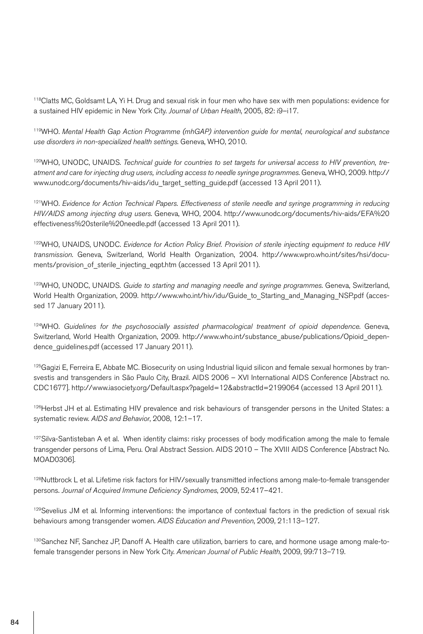<sup>118</sup>Clatts MC, Goldsamt LA, Yi H. Drug and sexual risk in four men who have sex with men populations: evidence for a sustained HIV epidemic in New York City. *Journal of Urban Health*, 2005, 82: i9–i17.

119WHO. *Mental Health Gap Action Programme (mhGAP) intervention guide for mental, neurological and substance use disorders in non-specialized health settings*. Geneva, WHO, 2010.

<sup>120</sup>WHO, UNODC, UNAIDS. *Technical quide for countries to set targets for universal access to HIV prevention, treatment and care for injecting drug users, including access to needle syringe programmes*. Geneva, WHO, 2009. http:// www.unodc.org/documents/hiv-aids/idu\_target\_setting\_guide.pdf (accessed 13 April 2011).

<sup>121</sup>WHO. *Evidence for Action Technical Papers. Effectiveness of sterile needle and syringe programming in reducing HIV/AIDS among injecting drug users*. Geneva, WHO, 2004. http://www.unodc.org/documents/hiv-aids/EFA%20 effectiveness%20sterile%20needle.pdf (accessed 13 April 2011).

122WHO, UNAIDS, UNODC. *Evidence for Action Policy Brief. Provision of sterile injecting equipment to reduce HIV transmission*. Geneva, Switzerland, World Health Organization, 2004. http://www.wpro.who.int/sites/hsi/documents/provision\_of\_sterile\_injecting\_eqpt.htm (accessed 13 April 2011).

123WHO, UNODC, UNAIDS. *Guide to starting and managing needle and syringe programmes*. Geneva, Switzerland, World Health Organization, 2009. http://www.who.int/hiv/idu/Guide\_to\_Starting\_and\_Managing\_NSP.pdf (accessed 17 January 2011).

124WHO. *Guidelines for the psychosocially assisted pharmacological treatment of opioid dependence*. Geneva, Switzerland, World Health Organization, 2009. http://www.who.int/substance\_abuse/publications/Opioid\_dependence quidelines.pdf (accessed 17 January 2011).

 $125$ Gagizi E, Ferreira E, Abbate MC. Biosecurity on using Industrial liquid silicon and female sexual hormones by transvestis and transgenders in São Paulo City, Brazil. AIDS 2006 – XVI International AIDS Conference [Abstract no. CDC1677]. http://www.iasociety.org/Default.aspx?pageId=12&abstractId=2199064 (accessed 13 April 2011).

126 Herbst JH et al. Estimating HIV prevalence and risk behaviours of transgender persons in the United States: a systematic review. *AIDS and Behavior*, 2008, 12:1–17.

<sup>127</sup>Silva-Santisteban A et al. When identity claims: risky processes of body modification among the male to female transgender persons of Lima, Peru. Oral Abstract Session. AIDS 2010 – The XVIII AIDS Conference [Abstract No. MOAD0306].

128Nuttbrock L et al. Lifetime risk factors for HIV/sexually transmitted infections among male-to-female transgender persons. *Journal of Acquired Immune Deficiency Syndromes*, 2009, 52:417–421.

<sup>129</sup>Sevelius JM et al. Informing interventions: the importance of contextual factors in the prediction of sexual risk behaviours among transgender women. *AIDS Education and Prevention*, 2009, 21:113–127.

<sup>130</sup>Sanchez NF, Sanchez JP, Danoff A. Health care utilization, barriers to care, and hormone usage among male-tofemale transgender persons in New York City. *American Journal of Public Health*, 2009, 99:713–719.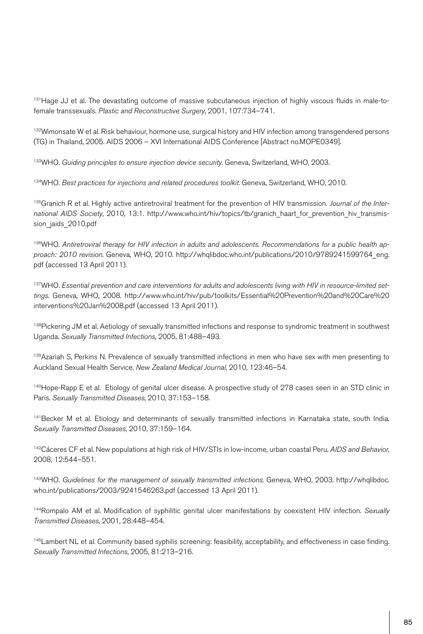131 Hage JJ et al. The devastating outcome of massive subcutaneous injection of highly viscous fluids in male-tofemale transsexuals. *Plastic and Reconstructive Surgery*, 2001, 107:734–741.

<sup>132</sup>Wimonsate W et al. Risk behaviour, hormone use, surgical history and HIV infection among transgendered persons (TG) in Thailand, 2005. AIDS 2006 – XVI International AIDS Conference [Abstract no.MOPE0349].

133WHO. *Guiding principles to ensure injection device security*. Geneva, Switzerland, WHO, 2003.

134WHO. Best practices for injections and related procedures toolkit. Geneva, Switzerland, WHO, 2010.

135Granich R et al. Highly active antiretroviral treatment for the prevention of HIV transmission. *Journal of the International AIDS Society*, 2010, 13:1. http://www.who.int/hiv/topics/tb/granich\_haart\_for\_prevention\_hiv\_transmission\_jaids\_2010.pdf

136WHO. *Antiretroviral therapy for HIV infection in adults and adolescents. Recommendations for a public health approach: 2010 revision*. Geneva, WHO, 2010. http://whqlibdoc.who.int/publications/2010/9789241599764\_eng. pdf (accessed 13 April 2011).

<sup>137</sup> WHO. Essential prevention and care interventions for adults and adolescents living with HIV in resource-limited set*tings*. Geneva, WHO, 2008. http://www.who.int/hiv/pub/toolkits/Essential%20Prevention%20and%20Care%20 interventions%20Jan%2008.pdf (accessed 13 April 2011).

<sup>138</sup>Pickering JM et al. Aetiology of sexually transmitted infections and response to syndromic treatment in southwest Uganda. *Sexually Transmitted Infections*, 2005, 81:488–493.

<sup>139</sup>Azariah S, Perkins N. Prevalence of sexually transmitted infections in men who have sex with men presenting to Auckland Sexual Health Service. *New Zealand Medical Journal*, 2010, 123:46–54.

<sup>140</sup>Hope-Rapp E et al. Etiology of genital ulcer disease. A prospective study of 278 cases seen in an STD clinic in Paris. *Sexually Transmitted Diseases*, 2010, 37:153–158.

141 Becker M et al. Etiology and determinants of sexually transmitted infections in Karnataka state, south India. *Sexually Transmitted Diseases*, 2010, 37:159–164.

142Cáceres CF et al. New populations at high risk of HIV/STIs in low-income, urban coastal Peru. *AIDS and Behavior*, 2008, 12:544–551.

143WHO. *Guidelines for the management of sexually transmitted infections*. Geneva, WHO, 2003. http://whqlibdoc. who.int/publications/2003/9241546263.pdf (accessed 13 April 2011).

144Rompalo AM et al. Modification of syphilitic genital ulcer manifestations by coexistent HIV infection. *Sexually Transmitted Diseases*, 2001, 28:448–454.

<sup>145</sup>Lambert NL et al. Community based syphilis screening: feasibility, acceptability, and effectiveness in case finding. *Sexually Transmitted Infections*, 2005, 81:213–216.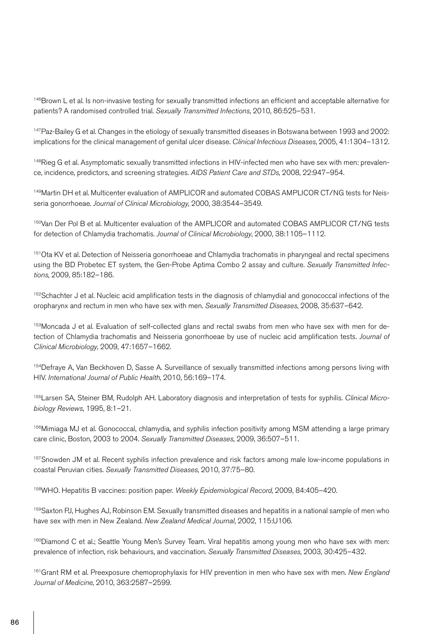146Brown L et al. Is non-invasive testing for sexually transmitted infections an efficient and acceptable alternative for patients? A randomised controlled trial. *Sexually Transmitted Infections*, 2010, 86:525–531.

147Paz-Bailey G et al. Changes in the etiology of sexually transmitted diseases in Botswana between 1993 and 2002: implications for the clinical management of genital ulcer disease. *Clinical Infectious Diseases*, 2005, 41:1304–1312.

148Rieg G et al. Asymptomatic sexually transmitted infections in HIV-infected men who have sex with men: prevalence, incidence, predictors, and screening strategies. *AIDS Patient Care and STDs*, 2008, 22:947–954.

149Martin DH et al. Multicenter evaluation of AMPLICOR and automated COBAS AMPLICOR CT/NG tests for Neisseria gonorrhoeae. *Journal of Clinical Microbiology*, 2000, 38:3544–3549.

150Van Der Pol B et al. Multicenter evaluation of the AMPLICOR and automated COBAS AMPLICOR CT/NG tests for detection of Chlamydia trachomatis. *Journal of Clinical Microbiology*, 2000, 38:1105–1112.

151Ota KV et al. Detection of Neisseria gonorrhoeae and Chlamydia trachomatis in pharyngeal and rectal specimens using the BD Probetec ET system, the Gen-Probe Aptima Combo 2 assay and culture. *Sexually Transmitted Infections*, 2009, 85:182–186.

152 Schachter J et al. Nucleic acid amplification tests in the diagnosis of chlamydial and gonococcal infections of the oropharynx and rectum in men who have sex with men. *Sexually Transmitted Diseases*, 2008, 35:637–642.

153Moncada J et al. Evaluation of self-collected glans and rectal swabs from men who have sex with men for detection of Chlamydia trachomatis and Neisseria gonorrhoeae by use of nucleic acid amplification tests. *Journal of Clinical Microbiology*, 2009, 47:1657–1662.

154Defraye A, Van Beckhoven D, Sasse A. Surveillance of sexually transmitted infections among persons living with HIV. *International Journal of Public Health*, 2010, 56:169–174.

155Larsen SA, Steiner BM, Rudolph AH. Laboratory diagnosis and interpretation of tests for syphilis. *Clinical Microbiology Reviews*, 1995, 8:1–21.

156Mimiaga MJ et al. Gonococcal, chlamydia, and syphilis infection positivity among MSM attending a large primary care clinic, Boston, 2003 to 2004. *Sexually Transmitted Diseases*, 2009, 36:507–511.

157 Snowden JM et al. Recent syphilis infection prevalence and risk factors among male low-income populations in coastal Peruvian cities. *Sexually Transmitted Diseases*, 2010, 37:75–80.

158WHO. Hepatitis B vaccines: position paper. *Weekly Epidemiological Record*, 2009, 84:405–420.

159Saxton PJ, Hughes AJ, Robinson EM. Sexually transmitted diseases and hepatitis in a national sample of men who have sex with men in New Zealand. *New Zealand Medical Journal*, 2002, 115:U106.

160Diamond C et al.; Seattle Young Men's Survey Team. Viral hepatitis among young men who have sex with men: prevalence of infection, risk behaviours, and vaccination. *Sexually Transmitted Diseases*, 2003, 30:425–432.

161Grant RM et al. Preexposure chemoprophylaxis for HIV prevention in men who have sex with men. *New England Journal of Medicine*, 2010, 363:2587–2599.